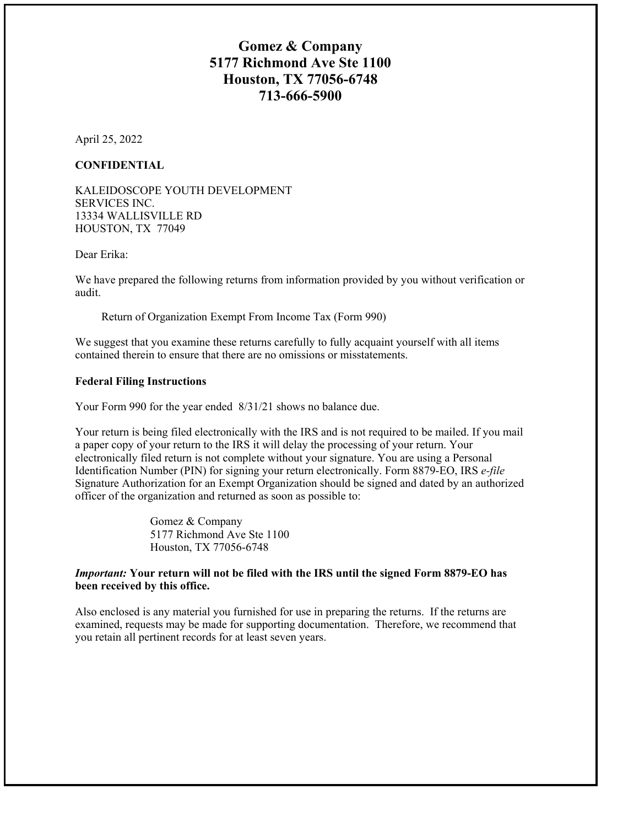## **Gomez & Company 5177 Richmond Ave Ste 1100 Houston, TX 77056-6748 713-666-5900**

April 25, 2022

#### **CONFIDENTIAL**

KALEIDOSCOPE YOUTH DEVELOPMENT SERVICES INC. 13334 WALLISVILLE RD HOUSTON, TX 77049

Dear Erika:

We have prepared the following returns from information provided by you without verification or audit.

Return of Organization Exempt From Income Tax (Form 990)

We suggest that you examine these returns carefully to fully acquaint yourself with all items contained therein to ensure that there are no omissions or misstatements.

#### **Federal Filing Instructions**

Your Form 990 for the year ended 8/31/21 shows no balance due.

Your return is being filed electronically with the IRS and is not required to be mailed. If you mail a paper copy of your return to the IRS it will delay the processing of your return. Your electronically filed return is not complete without your signature. You are using a Personal Identification Number (PIN) for signing your return electronically. Form 8879-EO, IRS *e-file* Signature Authorization for an Exempt Organization should be signed and dated by an authorized officer of the organization and returned as soon as possible to:

> Gomez & Company 5177 Richmond Ave Ste 1100 Houston, TX 77056-6748

#### *Important:* **Your return will not be filed with the IRS until the signed Form 8879-EO has been received by this office.**

Also enclosed is any material you furnished for use in preparing the returns. If the returns are examined, requests may be made for supporting documentation. Therefore, we recommend that you retain all pertinent records for at least seven years.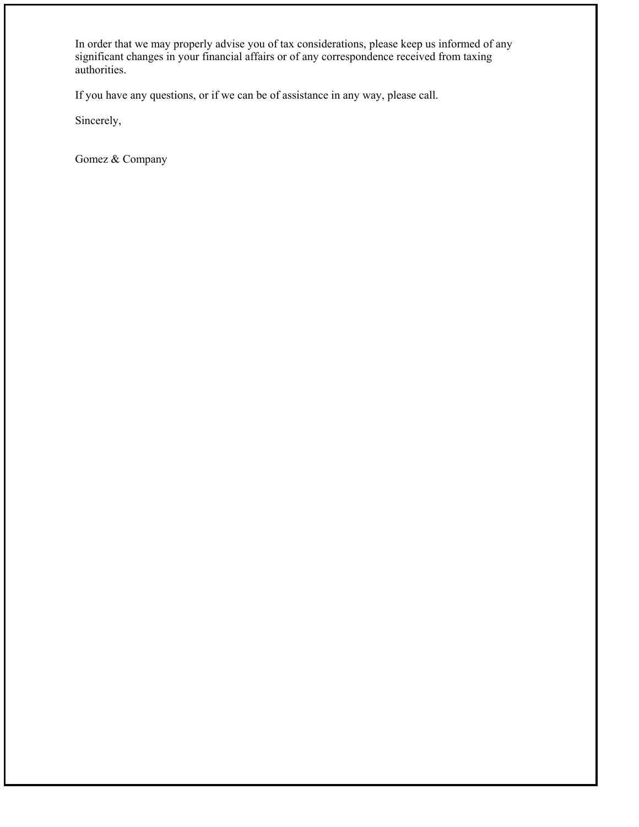In order that we may properly advise you of tax considerations, please keep us informed of any significant changes in your financial affairs or of any correspondence received from taxing authorities.

If you have any questions, or if we can be of assistance in any way, please call.

Sincerely,

Gomez & Company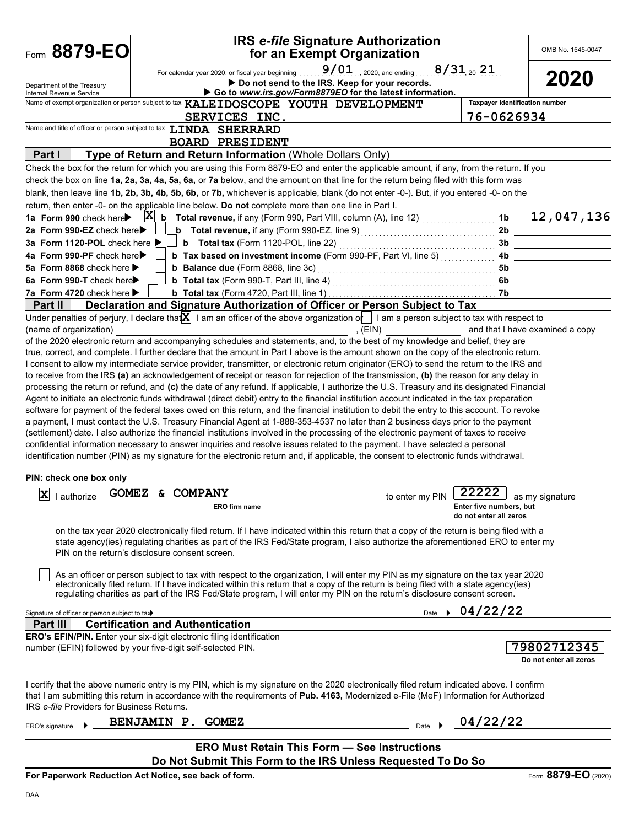| Form 8879-EO                                                                 |                                                                                                                                                                                                              |                                                                                                    | <b>IRS e-file Signature Authorization</b><br>for an Exempt Organization                                                                                                                                                                                                                   |                                       | OMB No. 1545-0047               |  |
|------------------------------------------------------------------------------|--------------------------------------------------------------------------------------------------------------------------------------------------------------------------------------------------------------|----------------------------------------------------------------------------------------------------|-------------------------------------------------------------------------------------------------------------------------------------------------------------------------------------------------------------------------------------------------------------------------------------------|---------------------------------------|---------------------------------|--|
| Department of the Treasury<br>Internal Revenue Service                       | $9/01$ 2020, and ending 8/31 20 21<br>For calendar year 2020, or fiscal year beginning<br>2020<br>Do not send to the IRS. Keep for your records.<br>Go to www.irs.gov/Form8879EO for the latest information. |                                                                                                    |                                                                                                                                                                                                                                                                                           |                                       |                                 |  |
|                                                                              |                                                                                                                                                                                                              | Name of exempt organization or person subject to tax KALEIDOSCOPE YOUTH DEVELOPMENT                |                                                                                                                                                                                                                                                                                           | <b>Taxpayer identification number</b> |                                 |  |
|                                                                              |                                                                                                                                                                                                              | SERVICES INC.                                                                                      |                                                                                                                                                                                                                                                                                           | 76-0626934                            |                                 |  |
| Name and title of officer or person subject to tax LINDA SHERRARD            |                                                                                                                                                                                                              |                                                                                                    |                                                                                                                                                                                                                                                                                           |                                       |                                 |  |
|                                                                              |                                                                                                                                                                                                              | <b>BOARD PRESIDENT</b>                                                                             |                                                                                                                                                                                                                                                                                           |                                       |                                 |  |
| Part I                                                                       |                                                                                                                                                                                                              | Type of Return and Return Information (Whole Dollars Only)                                         |                                                                                                                                                                                                                                                                                           |                                       |                                 |  |
|                                                                              |                                                                                                                                                                                                              |                                                                                                    | Check the box for the return for which you are using this Form 8879-EO and enter the applicable amount, if any, from the return. If you<br>check the box on line 1a, 2a, 3a, 4a, 5a, 6a, or 7a below, and the amount on that line for the return being filed with this form was           |                                       |                                 |  |
|                                                                              |                                                                                                                                                                                                              |                                                                                                    | blank, then leave line 1b, 2b, 3b, 4b, 5b, 6b, or 7b, whichever is applicable, blank (do not enter -0-). But, if you entered -0- on the                                                                                                                                                   |                                       |                                 |  |
|                                                                              |                                                                                                                                                                                                              | return, then enter -0- on the applicable line below. Do not complete more than one line in Part I. |                                                                                                                                                                                                                                                                                           |                                       |                                 |  |
| 1a Form 990 check here                                                       | $ {\bf X} $                                                                                                                                                                                                  |                                                                                                    | $\underline{\mathbf{b}}$ Total revenue, if any (Form 990, Part VIII, column (A), line 12) $\begin{array}{ccc} \dots & \dots & \dots \end{array}$                                                                                                                                          | 1b                                    | 12,047,136                      |  |
| 2a Form 990-EZ check here                                                    |                                                                                                                                                                                                              |                                                                                                    | <b>b</b> Total revenue, if any (Form 990-EZ, line 9) $\ldots$ $\ldots$ $\ldots$ $\ldots$ $\ldots$ $\ldots$                                                                                                                                                                                | 2b                                    |                                 |  |
| 3a Form 1120-POL check here ▶                                                |                                                                                                                                                                                                              |                                                                                                    |                                                                                                                                                                                                                                                                                           | 3b                                    |                                 |  |
| 4a Form 990-PF check here▶                                                   |                                                                                                                                                                                                              |                                                                                                    | b Tax based on investment income (Form 990-PF, Part VI, line 5)                                                                                                                                                                                                                           | 4b                                    |                                 |  |
| 5a Form 8868 check here $\blacktriangleright$                                |                                                                                                                                                                                                              | <b>b</b> Balance due (Form 8868, line 3c)                                                          |                                                                                                                                                                                                                                                                                           | 5b                                    |                                 |  |
| 6a Form 990-T check here                                                     |                                                                                                                                                                                                              |                                                                                                    |                                                                                                                                                                                                                                                                                           | 6b                                    |                                 |  |
| 7a Form 4720 check here ▶                                                    |                                                                                                                                                                                                              |                                                                                                    |                                                                                                                                                                                                                                                                                           | 7b                                    |                                 |  |
| Part II                                                                      |                                                                                                                                                                                                              |                                                                                                    | Declaration and Signature Authorization of Officer or Person Subject to Tax                                                                                                                                                                                                               |                                       |                                 |  |
|                                                                              |                                                                                                                                                                                                              |                                                                                                    | Under penalties of perjury, I declare that $\mathbf{X}$ I am an officer of the above organization of I am a person subject to tax with respect to                                                                                                                                         |                                       |                                 |  |
| (name of organization)                                                       |                                                                                                                                                                                                              |                                                                                                    | , $(EIN)$                                                                                                                                                                                                                                                                                 |                                       | and that I have examined a copy |  |
|                                                                              |                                                                                                                                                                                                              |                                                                                                    | of the 2020 electronic return and accompanying schedules and statements, and, to the best of my knowledge and belief, they are                                                                                                                                                            |                                       |                                 |  |
|                                                                              |                                                                                                                                                                                                              |                                                                                                    | true, correct, and complete. I further declare that the amount in Part I above is the amount shown on the copy of the electronic return.                                                                                                                                                  |                                       |                                 |  |
|                                                                              |                                                                                                                                                                                                              |                                                                                                    | I consent to allow my intermediate service provider, transmitter, or electronic return originator (ERO) to send the return to the IRS and                                                                                                                                                 |                                       |                                 |  |
|                                                                              |                                                                                                                                                                                                              |                                                                                                    | to receive from the IRS (a) an acknowledgement of receipt or reason for rejection of the transmission, (b) the reason for any delay in                                                                                                                                                    |                                       |                                 |  |
|                                                                              |                                                                                                                                                                                                              |                                                                                                    | processing the return or refund, and (c) the date of any refund. If applicable, I authorize the U.S. Treasury and its designated Financial<br>Agent to initiate an electronic funds withdrawal (direct debit) entry to the financial institution account indicated in the tax preparation |                                       |                                 |  |
|                                                                              |                                                                                                                                                                                                              |                                                                                                    | software for payment of the federal taxes owed on this return, and the financial institution to debit the entry to this account. To revoke                                                                                                                                                |                                       |                                 |  |
|                                                                              |                                                                                                                                                                                                              |                                                                                                    | a payment, I must contact the U.S. Treasury Financial Agent at 1-888-353-4537 no later than 2 business days prior to the payment                                                                                                                                                          |                                       |                                 |  |
|                                                                              |                                                                                                                                                                                                              |                                                                                                    | (settlement) date. I also authorize the financial institutions involved in the processing of the electronic payment of taxes to receive                                                                                                                                                   |                                       |                                 |  |
|                                                                              |                                                                                                                                                                                                              |                                                                                                    | confidential information necessary to answer inquiries and resolve issues related to the payment. I have selected a personal                                                                                                                                                              |                                       |                                 |  |
|                                                                              |                                                                                                                                                                                                              |                                                                                                    | identification number (PIN) as my signature for the electronic return and, if applicable, the consent to electronic funds withdrawal.                                                                                                                                                     |                                       |                                 |  |
|                                                                              |                                                                                                                                                                                                              |                                                                                                    |                                                                                                                                                                                                                                                                                           |                                       |                                 |  |
| PIN: check one box only                                                      |                                                                                                                                                                                                              |                                                                                                    |                                                                                                                                                                                                                                                                                           |                                       |                                 |  |
| X lauthorize GOMEZ & COMPANY                                                 |                                                                                                                                                                                                              |                                                                                                    |                                                                                                                                                                                                                                                                                           | 22222 as my signature                 |                                 |  |
|                                                                              |                                                                                                                                                                                                              | ERO firm name                                                                                      | to enter my PIN $\Box$                                                                                                                                                                                                                                                                    | Enter five numbers, but               |                                 |  |
|                                                                              |                                                                                                                                                                                                              |                                                                                                    |                                                                                                                                                                                                                                                                                           | do not enter all zeros                |                                 |  |
|                                                                              |                                                                                                                                                                                                              |                                                                                                    | on the tax year 2020 electronically filed return. If I have indicated within this return that a copy of the return is being filed with a                                                                                                                                                  |                                       |                                 |  |
|                                                                              |                                                                                                                                                                                                              |                                                                                                    | state agency(ies) regulating charities as part of the IRS Fed/State program, I also authorize the aforementioned ERO to enter my                                                                                                                                                          |                                       |                                 |  |
|                                                                              | PIN on the return's disclosure consent screen.                                                                                                                                                               |                                                                                                    |                                                                                                                                                                                                                                                                                           |                                       |                                 |  |
|                                                                              |                                                                                                                                                                                                              |                                                                                                    |                                                                                                                                                                                                                                                                                           |                                       |                                 |  |
|                                                                              |                                                                                                                                                                                                              |                                                                                                    | As an officer or person subject to tax with respect to the organization, I will enter my PIN as my signature on the tax year 2020                                                                                                                                                         |                                       |                                 |  |
|                                                                              |                                                                                                                                                                                                              |                                                                                                    | electronically filed return. If I have indicated within this return that a copy of the return is being filed with a state agency(ies)                                                                                                                                                     |                                       |                                 |  |
|                                                                              |                                                                                                                                                                                                              |                                                                                                    | regulating charities as part of the IRS Fed/State program, I will enter my PIN on the return's disclosure consent screen.                                                                                                                                                                 |                                       |                                 |  |
| Signature of officer or person subject to tax                                |                                                                                                                                                                                                              |                                                                                                    |                                                                                                                                                                                                                                                                                           | Date $\rightarrow$ 04/22/22           |                                 |  |
| Part II                                                                      | <b>Certification and Authentication</b>                                                                                                                                                                      |                                                                                                    |                                                                                                                                                                                                                                                                                           |                                       |                                 |  |
| <b>ERO's EFIN/PIN.</b> Enter your six-digit electronic filing identification |                                                                                                                                                                                                              |                                                                                                    |                                                                                                                                                                                                                                                                                           |                                       |                                 |  |
| number (EFIN) followed by your five-digit self-selected PIN.                 |                                                                                                                                                                                                              |                                                                                                    |                                                                                                                                                                                                                                                                                           |                                       | 79802712345                     |  |
|                                                                              |                                                                                                                                                                                                              |                                                                                                    |                                                                                                                                                                                                                                                                                           |                                       | Do not enter all zeros          |  |
|                                                                              |                                                                                                                                                                                                              |                                                                                                    |                                                                                                                                                                                                                                                                                           |                                       |                                 |  |
|                                                                              |                                                                                                                                                                                                              |                                                                                                    | I certify that the above numeric entry is my PIN, which is my signature on the 2020 electronically filed return indicated above. I confirm                                                                                                                                                |                                       |                                 |  |
|                                                                              |                                                                                                                                                                                                              |                                                                                                    | that I am submitting this return in accordance with the requirements of Pub. 4163, Modernized e-File (MeF) Information for Authorized                                                                                                                                                     |                                       |                                 |  |
| IRS e-file Providers for Business Returns.                                   |                                                                                                                                                                                                              |                                                                                                    |                                                                                                                                                                                                                                                                                           |                                       |                                 |  |
|                                                                              | BENJAMIN P. GOMEZ                                                                                                                                                                                            |                                                                                                    | Date $\rightarrow$                                                                                                                                                                                                                                                                        | 04/22/22                              |                                 |  |
| ERO's signature                                                              |                                                                                                                                                                                                              |                                                                                                    |                                                                                                                                                                                                                                                                                           |                                       |                                 |  |
|                                                                              |                                                                                                                                                                                                              |                                                                                                    | <b>ERO Must Retain This Form - See Instructions</b>                                                                                                                                                                                                                                       |                                       |                                 |  |
|                                                                              |                                                                                                                                                                                                              |                                                                                                    | Do Not Submit This Form to the IRS Unless Requested To Do So                                                                                                                                                                                                                              |                                       |                                 |  |
| <b>Department: Deduction Act Notice, can begin of four</b>                   |                                                                                                                                                                                                              |                                                                                                    |                                                                                                                                                                                                                                                                                           |                                       | 9970 F <sub>0</sub>             |  |

**For Paperwork Reduction Act Notice, see back of form.**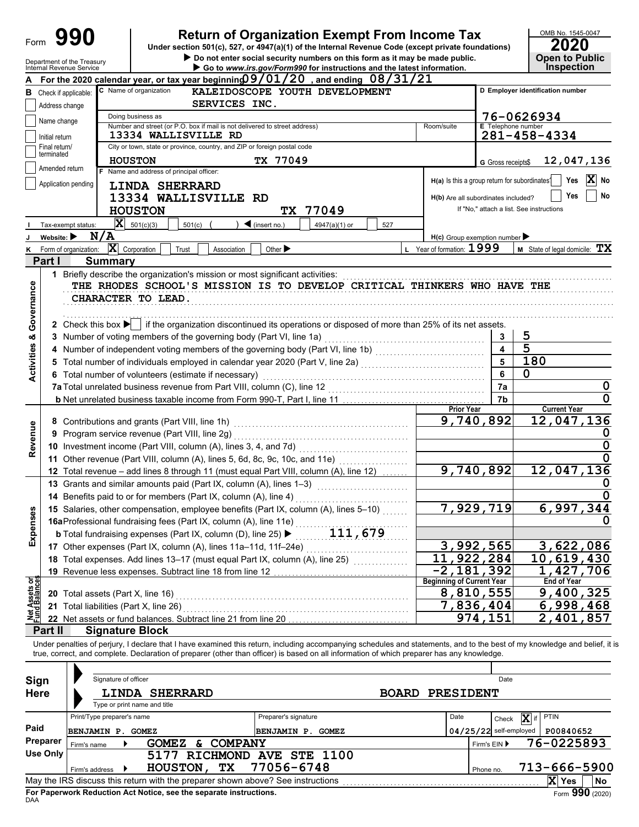| Form                                   |                                | 990                           |                                                                                                                                         | <b>Return of Organization Exempt From Income Tax</b><br>Under section 501(c), 527, or 4947(a)(1) of the Internal Revenue Code (except private foundations)                                                                                                                                                               |                                                           |                           | OMB No. 1545-0047<br>2020                |
|----------------------------------------|--------------------------------|-------------------------------|-----------------------------------------------------------------------------------------------------------------------------------------|--------------------------------------------------------------------------------------------------------------------------------------------------------------------------------------------------------------------------------------------------------------------------------------------------------------------------|-----------------------------------------------------------|---------------------------|------------------------------------------|
|                                        |                                | Department of the Treasury    |                                                                                                                                         | Do not enter social security numbers on this form as it may be made public.                                                                                                                                                                                                                                              |                                                           |                           | <b>Open to Public</b>                    |
|                                        |                                | Internal Revenue Service      |                                                                                                                                         | Go to www.irs.gov/Form990 for instructions and the latest information.<br>For the 2020 calendar year, or tax year beginning $09/01/20$ , and ending $08/31/21$                                                                                                                                                           |                                                           |                           | <b>Inspection</b>                        |
|                                        |                                | <b>B</b> Check if applicable: | C Name of organization                                                                                                                  | KALEIDOSCOPE YOUTH DEVELOPMENT                                                                                                                                                                                                                                                                                           |                                                           |                           | D Employer identification number         |
|                                        | Address change                 |                               | SERVICES INC.                                                                                                                           |                                                                                                                                                                                                                                                                                                                          |                                                           |                           |                                          |
|                                        |                                |                               | Doing business as                                                                                                                       |                                                                                                                                                                                                                                                                                                                          |                                                           |                           | 76-0626934                               |
|                                        | Name change                    |                               | Number and street (or P.O. box if mail is not delivered to street address)                                                              |                                                                                                                                                                                                                                                                                                                          | Room/suite                                                | <b>E</b> Telephone number |                                          |
|                                        | Initial return                 |                               | 13334 WALLISVILLE RD                                                                                                                    |                                                                                                                                                                                                                                                                                                                          |                                                           |                           | 281-458-4334                             |
|                                        | Final return/<br>terminated    |                               | City or town, state or province, country, and ZIP or foreign postal code                                                                |                                                                                                                                                                                                                                                                                                                          |                                                           |                           |                                          |
|                                        | Amended return                 |                               | <b>HOUSTON</b><br>F Name and address of principal officer:                                                                              | TX 77049                                                                                                                                                                                                                                                                                                                 |                                                           | G Gross receipts\$        | 12,047,136                               |
|                                        |                                | Application pending           |                                                                                                                                         |                                                                                                                                                                                                                                                                                                                          | H(a) Is this a group return for subordinates <sup>1</sup> |                           | $ \mathbf{X} $ No<br>Yes                 |
|                                        |                                |                               | <b>LINDA SHERRARD</b><br>13334 WALLISVILLE RD                                                                                           |                                                                                                                                                                                                                                                                                                                          | H(b) Are all subordinates included?                       |                           | Yes<br>No                                |
|                                        |                                |                               | <b>HOUSTON</b>                                                                                                                          | 77049<br>TX I                                                                                                                                                                                                                                                                                                            |                                                           |                           | If "No," attach a list. See instructions |
|                                        |                                |                               | $ \mathbf{X} $ 501(c)(3)                                                                                                                |                                                                                                                                                                                                                                                                                                                          |                                                           |                           |                                          |
| J                                      | Website: $\blacktriangleright$ | Tax-exempt status:<br>N/A     | 501(c)                                                                                                                                  | $\triangleleft$ (insert no.)<br>4947(a)(1) or<br>527                                                                                                                                                                                                                                                                     | $H(c)$ Group exemption number $\blacktriangleright$       |                           |                                          |
| ĸ                                      |                                | Form of organization:         | $ \mathbf{X} $ Corporation<br>Trust<br>Association                                                                                      | Other $\blacktriangleright$                                                                                                                                                                                                                                                                                              | L Year of formation: $1999$                               |                           | <b>M</b> State of legal domicile: $TX$   |
|                                        | Part I                         | <b>Summary</b>                |                                                                                                                                         |                                                                                                                                                                                                                                                                                                                          |                                                           |                           |                                          |
|                                        |                                |                               | 1 Briefly describe the organization's mission or most significant activities:                                                           |                                                                                                                                                                                                                                                                                                                          |                                                           |                           |                                          |
| Governance                             |                                |                               | CHARACTER TO LEAD.                                                                                                                      | THE RHODES SCHOOL'S MISSION IS TO DEVELOP CRITICAL THINKERS WHO HAVE THE<br>2 Check this box $\blacktriangleright$ if the organization discontinued its operations or disposed of more than 25% of its net assets.                                                                                                       |                                                           |                           |                                          |
| œ                                      |                                |                               | 3 Number of voting members of the governing body (Part VI, line 1a)                                                                     |                                                                                                                                                                                                                                                                                                                          |                                                           | 3                         | 5                                        |
|                                        |                                |                               |                                                                                                                                         | 4 Number of independent voting members of the governing body (Part VI, line 1b) [[[[[[[[[[[[[[[[[[[[[[[[[[[[[                                                                                                                                                                                                            |                                                           | 4                         | $\overline{5}$                           |
| Activities                             | 5                              |                               |                                                                                                                                         | Total number of individuals employed in calendar year 2020 (Part V, line 2a) [[[[[[[[[[[[[[[[[[[[[[[[[[[[[[[[                                                                                                                                                                                                            |                                                           | 5                         | 180                                      |
|                                        |                                |                               | 6 Total number of volunteers (estimate if necessary)                                                                                    |                                                                                                                                                                                                                                                                                                                          |                                                           | 6                         | 0                                        |
|                                        |                                |                               |                                                                                                                                         |                                                                                                                                                                                                                                                                                                                          |                                                           | 7a                        |                                          |
|                                        |                                |                               |                                                                                                                                         |                                                                                                                                                                                                                                                                                                                          |                                                           | 7b                        | 0                                        |
|                                        |                                |                               |                                                                                                                                         |                                                                                                                                                                                                                                                                                                                          | <b>Prior Year</b>                                         |                           | <b>Current Year</b>                      |
|                                        |                                |                               | 8 Contributions and grants (Part VIII, line 1h)                                                                                         |                                                                                                                                                                                                                                                                                                                          | 9,740,892                                                 |                           | 12,047,136                               |
|                                        | 9                              |                               | Program service revenue (Part VIII, line 2g)                                                                                            |                                                                                                                                                                                                                                                                                                                          |                                                           |                           |                                          |
| Revenue                                |                                |                               | 10 Investment income (Part VIII, column (A), lines 3, 4, and 7d)                                                                        |                                                                                                                                                                                                                                                                                                                          |                                                           |                           | 0                                        |
|                                        |                                |                               |                                                                                                                                         | 11 Other revenue (Part VIII, column (A), lines 5, 6d, 8c, 9c, 10c, and 11e)                                                                                                                                                                                                                                              |                                                           |                           |                                          |
|                                        |                                |                               |                                                                                                                                         | 12 Total revenue - add lines 8 through 11 (must equal Part VIII, column (A), line 12)                                                                                                                                                                                                                                    | 9,740,892                                                 |                           | 12,047,136                               |
|                                        |                                |                               | 13 Grants and similar amounts paid (Part IX, column (A), lines 1-3)                                                                     |                                                                                                                                                                                                                                                                                                                          |                                                           |                           |                                          |
|                                        |                                |                               | 14 Benefits paid to or for members (Part IX, column (A), line 4)                                                                        |                                                                                                                                                                                                                                                                                                                          |                                                           |                           | 6,997,344                                |
|                                        |                                |                               | 15 Salaries, other compensation, employee benefits (Part IX, column (A), lines 5-10)                                                    | 7,929,719                                                                                                                                                                                                                                                                                                                |                                                           |                           |                                          |
| Expenses                               |                                |                               | 16aProfessional fundraising fees (Part IX, column (A), line 11e)                                                                        | 111,679                                                                                                                                                                                                                                                                                                                  |                                                           |                           |                                          |
|                                        |                                |                               | <b>b</b> Total fundraising expenses (Part IX, column (D), line 25) ▶<br>17 Other expenses (Part IX, column (A), lines 11a-11d, 11f-24e) |                                                                                                                                                                                                                                                                                                                          | 3,992,565                                                 |                           | 3,622,086                                |
|                                        |                                |                               | 18 Total expenses. Add lines 13-17 (must equal Part IX, column (A), line 25)                                                            |                                                                                                                                                                                                                                                                                                                          | 11,922,284                                                |                           | 10,619,430                               |
|                                        |                                |                               | 19 Revenue less expenses. Subtract line 18 from line 12                                                                                 |                                                                                                                                                                                                                                                                                                                          | $-2, 181, 392$                                            |                           | $\overline{1}$ , 427, 706                |
|                                        |                                |                               |                                                                                                                                         |                                                                                                                                                                                                                                                                                                                          | <b>Beginning of Current Year</b>                          |                           | <b>End of Year</b>                       |
|                                        |                                |                               | 20 Total assets (Part X, line 16)                                                                                                       |                                                                                                                                                                                                                                                                                                                          | 8,810,555                                                 |                           | 9,400,325                                |
| <b>Net Assets or<br/>Fund Balances</b> |                                |                               | 21 Total liabilities (Part X, line 26)                                                                                                  |                                                                                                                                                                                                                                                                                                                          | 7,836,404                                                 |                           | 6,998,468                                |
|                                        |                                |                               | 22 Net assets or fund balances. Subtract line 21 from line 20                                                                           |                                                                                                                                                                                                                                                                                                                          |                                                           | 974,151                   | 2,401,857                                |
|                                        | Part II                        |                               | <b>Signature Block</b>                                                                                                                  |                                                                                                                                                                                                                                                                                                                          |                                                           |                           |                                          |
|                                        |                                |                               |                                                                                                                                         | Under penalties of perjury, I declare that I have examined this return, including accompanying schedules and statements, and to the best of my knowledge and belief, it is<br>true, correct, and complete. Declaration of preparer (other than officer) is based on all information of which preparer has any knowledge. |                                                           |                           |                                          |
|                                        |                                |                               | Signature of officer                                                                                                                    |                                                                                                                                                                                                                                                                                                                          |                                                           | Date                      |                                          |
| Sign<br><b>Here</b>                    |                                |                               | <b>LINDA SHERRARD</b>                                                                                                                   | <b>BOARD</b>                                                                                                                                                                                                                                                                                                             |                                                           |                           |                                          |
|                                        |                                |                               | Type or print name and title                                                                                                            |                                                                                                                                                                                                                                                                                                                          | <b>PRESIDENT</b>                                          |                           |                                          |
|                                        |                                | Print/Type preparer's name    |                                                                                                                                         | Preparer's signature                                                                                                                                                                                                                                                                                                     | Date                                                      | Check                     | X if<br><b>PTIN</b>                      |
| Paid                                   |                                | <b>BENJAMIN P. GOMEZ</b>      |                                                                                                                                         | BENJAMIN P. GOMEZ                                                                                                                                                                                                                                                                                                        |                                                           | $04/25/22$ self-employed  | P00840652                                |
|                                        | Preparer                       | Firm's name                   | GOMEZ & COMPANY                                                                                                                         |                                                                                                                                                                                                                                                                                                                          |                                                           | Firm's EIN ▶              | 76-0225893                               |
|                                        | <b>Use Only</b>                |                               |                                                                                                                                         | 5177 RICHMOND AVE STE 1100                                                                                                                                                                                                                                                                                               |                                                           |                           |                                          |
|                                        |                                | Firm's address                | <b>HOUSTON,</b><br>ТX                                                                                                                   | 77056-6748                                                                                                                                                                                                                                                                                                               |                                                           | Phone no.                 | 713-666-5900                             |
|                                        |                                |                               |                                                                                                                                         |                                                                                                                                                                                                                                                                                                                          |                                                           |                           | X Yes<br>No                              |

| Sign<br><b>Here</b> | Signature of officer<br><b>SHERRARD</b><br><b>PRESIDENT</b><br><b>LINDA</b><br><b>BOARD</b><br>Type or print name and title |                      |      |              |                          |                 |    |  |  |
|---------------------|-----------------------------------------------------------------------------------------------------------------------------|----------------------|------|--------------|--------------------------|-----------------|----|--|--|
|                     | Print/Type preparer's name                                                                                                  | Preparer's signature | Date |              | X<br>Check               | <b>PTIN</b>     |    |  |  |
| Paid                | P. GOMEZ<br><b>BENJAMIN</b>                                                                                                 | BENJAMIN P. GOMEZ    |      |              | $04/25/22$ self-employed | P00840652       |    |  |  |
| Preparer            | <b>COMPANY</b><br><b>GOMEZ</b><br>Firm's name                                                                               |                      |      | Firm's $EIN$ |                          | 76-0225893      |    |  |  |
| Use Only            | <b>RICHMOND</b><br>5177                                                                                                     | <b>AVE STE 1100</b>  |      |              |                          |                 |    |  |  |
|                     | TХ<br><b>HOUSTON</b><br>Firm's address                                                                                      | 77056-6748           |      | Phone no.    |                          | 713-666-5900    |    |  |  |
|                     | May the IRS discuss this return with the preparer shown above? See instructions                                             |                      |      |              |                          | X<br><b>Yes</b> | No |  |  |
| <b>DAA</b>          | Form 990 (2020)<br>For Paperwork Reduction Act Notice, see the separate instructions.                                       |                      |      |              |                          |                 |    |  |  |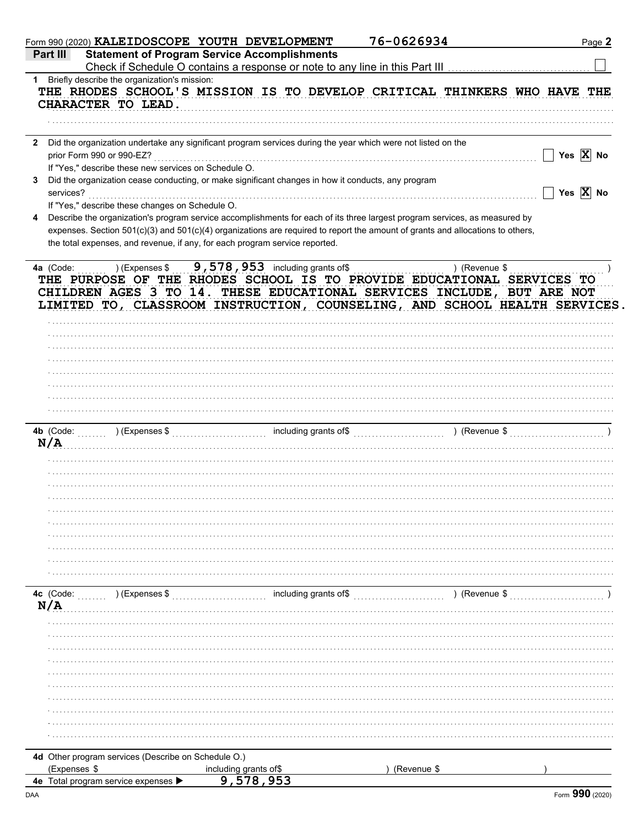|              | Form 990 (2020) KALEIDOSCOPE YOUTH DEVELOPMENT                                                                                                                                                                                 |                                            | 76-0626934    | Page 2                                            |
|--------------|--------------------------------------------------------------------------------------------------------------------------------------------------------------------------------------------------------------------------------|--------------------------------------------|---------------|---------------------------------------------------|
|              | <b>Statement of Program Service Accomplishments</b><br>Part III                                                                                                                                                                |                                            |               |                                                   |
|              |                                                                                                                                                                                                                                |                                            |               |                                                   |
|              | 1 Briefly describe the organization's mission:                                                                                                                                                                                 |                                            |               |                                                   |
|              | THE RHODES SCHOOL'S MISSION IS TO DEVELOP CRITICAL THINKERS WHO HAVE THE<br>CHARACTER TO LEAD.                                                                                                                                 |                                            |               |                                                   |
|              |                                                                                                                                                                                                                                |                                            |               |                                                   |
| $\mathbf{2}$ | Did the organization undertake any significant program services during the year which were not listed on the                                                                                                                   |                                            |               |                                                   |
|              | prior Form 990 or 990-EZ?                                                                                                                                                                                                      |                                            |               | $\Box$ Yes $\overline{X}$ No                      |
|              | If "Yes," describe these new services on Schedule O.                                                                                                                                                                           |                                            |               |                                                   |
| 3            | Did the organization cease conducting, or make significant changes in how it conducts, any program<br>services?                                                                                                                |                                            |               | $\boxed{\phantom{1}}$ Yes $\boxed{\mathbf{X}}$ No |
|              | If "Yes," describe these changes on Schedule O.                                                                                                                                                                                |                                            |               |                                                   |
| 4            | Describe the organization's program service accomplishments for each of its three largest program services, as measured by                                                                                                     |                                            |               |                                                   |
|              | expenses. Section 501(c)(3) and 501(c)(4) organizations are required to report the amount of grants and allocations to others,                                                                                                 |                                            |               |                                                   |
|              | the total expenses, and revenue, if any, for each program service reported.                                                                                                                                                    |                                            |               |                                                   |
|              |                                                                                                                                                                                                                                |                                            |               |                                                   |
|              | 4a (Code:                                                                                                                                                                                                                      | $(1.5, 9.578, 953)$ including grants of \$ | ) (Revenue \$ |                                                   |
|              | THE PURPOSE OF THE RHODES SCHOOL IS TO PROVIDE EDUCATIONAL SERVICES TO<br>CHILDREN AGES 3 TO 14. THESE EDUCATIONAL SERVICES INCLUDE, BUT ARE NOT<br>LIMITED TO, CLASSROOM INSTRUCTION, COUNSELING, AND SCHOOL HEALTH SERVICES. |                                            |               |                                                   |
|              |                                                                                                                                                                                                                                |                                            |               |                                                   |
|              |                                                                                                                                                                                                                                |                                            |               |                                                   |
|              |                                                                                                                                                                                                                                |                                            |               |                                                   |
|              |                                                                                                                                                                                                                                |                                            |               |                                                   |
|              |                                                                                                                                                                                                                                |                                            |               |                                                   |
|              |                                                                                                                                                                                                                                |                                            |               |                                                   |
|              | <b>4b</b> (Code:                                                                                                                                                                                                               |                                            |               |                                                   |
|              | N/A                                                                                                                                                                                                                            |                                            |               |                                                   |
|              |                                                                                                                                                                                                                                |                                            |               |                                                   |
|              |                                                                                                                                                                                                                                |                                            |               |                                                   |
|              |                                                                                                                                                                                                                                |                                            |               |                                                   |
|              |                                                                                                                                                                                                                                |                                            |               |                                                   |
|              |                                                                                                                                                                                                                                |                                            |               |                                                   |
|              |                                                                                                                                                                                                                                |                                            |               |                                                   |
|              |                                                                                                                                                                                                                                |                                            |               |                                                   |
|              |                                                                                                                                                                                                                                |                                            |               |                                                   |
|              |                                                                                                                                                                                                                                |                                            |               |                                                   |
|              |                                                                                                                                                                                                                                |                                            |               |                                                   |
|              | 4c (Code:<br>$\ldots$ ) (Expenses \$                                                                                                                                                                                           | including grants of\$                      | ) (Revenue \$ |                                                   |
|              |                                                                                                                                                                                                                                |                                            |               |                                                   |
|              |                                                                                                                                                                                                                                |                                            |               |                                                   |
|              |                                                                                                                                                                                                                                |                                            |               |                                                   |
|              |                                                                                                                                                                                                                                |                                            |               |                                                   |
|              |                                                                                                                                                                                                                                |                                            |               |                                                   |
|              |                                                                                                                                                                                                                                |                                            |               |                                                   |
|              |                                                                                                                                                                                                                                |                                            |               |                                                   |
|              |                                                                                                                                                                                                                                |                                            |               |                                                   |
|              |                                                                                                                                                                                                                                |                                            |               |                                                   |
|              |                                                                                                                                                                                                                                |                                            |               |                                                   |
|              |                                                                                                                                                                                                                                |                                            |               |                                                   |
|              | 4d Other program services (Describe on Schedule O.)                                                                                                                                                                            |                                            |               |                                                   |
|              | (Expenses \$                                                                                                                                                                                                                   |                                            | (Revenue \$   |                                                   |
|              | 4e Total program service expenses D                                                                                                                                                                                            | including grants of\$<br>9,578,953         |               |                                                   |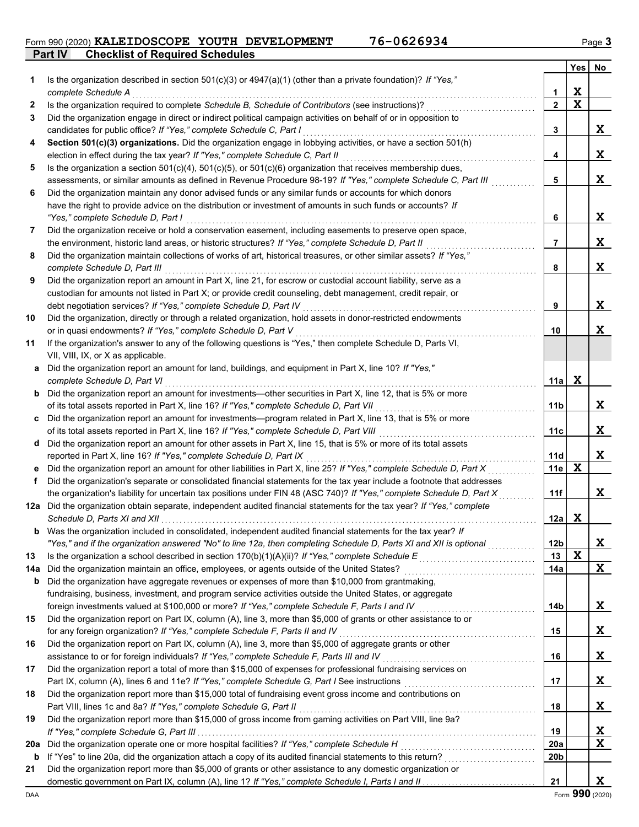Form 990 (2020) **KALEIDOSCOPE YOUTH DEVELOPMENT** 76-0626934 Page 3

**Part IV Checklist of Required Schedules**

|          |                                                                                                                                                                                                                                                    |                         | Yes         | No               |
|----------|----------------------------------------------------------------------------------------------------------------------------------------------------------------------------------------------------------------------------------------------------|-------------------------|-------------|------------------|
| 1.       | Is the organization described in section 501(c)(3) or 4947(a)(1) (other than a private foundation)? If "Yes,"                                                                                                                                      |                         |             |                  |
|          | complete Schedule A                                                                                                                                                                                                                                | 1                       | X           |                  |
| 2        | Is the organization required to complete Schedule B, Schedule of Contributors (see instructions)?                                                                                                                                                  | $\overline{\mathbf{2}}$ | $\mathbf x$ |                  |
| 3        | Did the organization engage in direct or indirect political campaign activities on behalf of or in opposition to                                                                                                                                   |                         |             |                  |
|          | candidates for public office? If "Yes," complete Schedule C, Part I                                                                                                                                                                                | 3                       |             | X                |
| 4        | Section 501(c)(3) organizations. Did the organization engage in lobbying activities, or have a section 501(h)                                                                                                                                      |                         |             |                  |
|          | election in effect during the tax year? If "Yes," complete Schedule C, Part II                                                                                                                                                                     | 4                       |             | $\mathbf x$      |
| 5        | Is the organization a section $501(c)(4)$ , $501(c)(5)$ , or $501(c)(6)$ organization that receives membership dues,                                                                                                                               |                         |             | $\mathbf x$      |
|          | assessments, or similar amounts as defined in Revenue Procedure 98-19? If "Yes," complete Schedule C, Part III<br>Did the organization maintain any donor advised funds or any similar funds or accounts for which donors                          | 5                       |             |                  |
| 6        | have the right to provide advice on the distribution or investment of amounts in such funds or accounts? If                                                                                                                                        |                         |             |                  |
|          | "Yes," complete Schedule D, Part I                                                                                                                                                                                                                 | 6                       |             | X                |
| 7        | Did the organization receive or hold a conservation easement, including easements to preserve open space,                                                                                                                                          |                         |             |                  |
|          | the environment, historic land areas, or historic structures? If "Yes," complete Schedule D, Part II                                                                                                                                               | 7                       |             | X                |
| 8        | Did the organization maintain collections of works of art, historical treasures, or other similar assets? If "Yes,"                                                                                                                                |                         |             |                  |
|          | complete Schedule D, Part III                                                                                                                                                                                                                      | 8                       |             | $\mathbf x$      |
| 9        | Did the organization report an amount in Part X, line 21, for escrow or custodial account liability, serve as a                                                                                                                                    |                         |             |                  |
|          | custodian for amounts not listed in Part X; or provide credit counseling, debt management, credit repair, or                                                                                                                                       |                         |             |                  |
|          | debt negotiation services? If "Yes," complete Schedule D, Part IV                                                                                                                                                                                  | 9                       |             | X                |
| 10       | Did the organization, directly or through a related organization, hold assets in donor-restricted endowments                                                                                                                                       |                         |             |                  |
|          | or in quasi endowments? If "Yes," complete Schedule D, Part V                                                                                                                                                                                      | 10                      |             | X                |
| 11       | If the organization's answer to any of the following questions is "Yes," then complete Schedule D, Parts VI,                                                                                                                                       |                         |             |                  |
|          | VII, VIII, IX, or X as applicable.                                                                                                                                                                                                                 |                         |             |                  |
|          | a Did the organization report an amount for land, buildings, and equipment in Part X, line 10? If "Yes,"                                                                                                                                           |                         |             |                  |
|          | complete Schedule D, Part VI                                                                                                                                                                                                                       | 11a                     | $\mathbf x$ |                  |
|          | <b>b</b> Did the organization report an amount for investments-other securities in Part X, line 12, that is 5% or more                                                                                                                             |                         |             |                  |
|          | of its total assets reported in Part X, line 16? If "Yes," complete Schedule D, Part VII                                                                                                                                                           | 11b                     |             | X                |
|          | c Did the organization report an amount for investments—program related in Part X, line 13, that is 5% or more                                                                                                                                     |                         |             |                  |
|          | of its total assets reported in Part X, line 16? If "Yes," complete Schedule D, Part VIII [[[[[[[[[[[[[[[[[[[                                                                                                                                      | 11c                     |             | X                |
|          | d Did the organization report an amount for other assets in Part X, line 15, that is 5% or more of its total assets                                                                                                                                |                         |             |                  |
|          | reported in Part X, line 16? If "Yes," complete Schedule D, Part IX                                                                                                                                                                                | <b>11d</b>              | X           | X                |
| f        | e Did the organization report an amount for other liabilities in Part X, line 25? If "Yes," complete Schedule D, Part X<br>Did the organization's separate or consolidated financial statements for the tax year include a footnote that addresses | 11e                     |             |                  |
|          | the organization's liability for uncertain tax positions under FIN 48 (ASC 740)? If "Yes," complete Schedule D, Part X                                                                                                                             | 11f                     |             | X                |
|          | 12a Did the organization obtain separate, independent audited financial statements for the tax year? If "Yes," complete                                                                                                                            |                         |             |                  |
|          |                                                                                                                                                                                                                                                    | 12a                     | X           |                  |
| b        | Was the organization included in consolidated, independent audited financial statements for the tax year? If                                                                                                                                       |                         |             |                  |
|          | "Yes," and if the organization answered "No" to line 12a, then completing Schedule D, Parts XI and XII is optional                                                                                                                                 | 12 <sub>b</sub>         |             | Χ                |
| 13       |                                                                                                                                                                                                                                                    | 13                      | X           |                  |
| 14a      | Did the organization maintain an office, employees, or agents outside of the United States?                                                                                                                                                        | 14a                     |             | X                |
| b        | Did the organization have aggregate revenues or expenses of more than \$10,000 from grantmaking,                                                                                                                                                   |                         |             |                  |
|          | fundraising, business, investment, and program service activities outside the United States, or aggregate                                                                                                                                          |                         |             |                  |
|          | foreign investments valued at \$100,000 or more? If "Yes," complete Schedule F, Parts I and IV                                                                                                                                                     | 14b                     |             | X                |
| 15       | Did the organization report on Part IX, column (A), line 3, more than \$5,000 of grants or other assistance to or                                                                                                                                  |                         |             |                  |
|          | for any foreign organization? If "Yes," complete Schedule F, Parts II and IV                                                                                                                                                                       | 15                      |             | Χ                |
| 16       | Did the organization report on Part IX, column (A), line 3, more than \$5,000 of aggregate grants or other                                                                                                                                         |                         |             |                  |
|          | assistance to or for foreign individuals? If "Yes," complete Schedule F, Parts III and IV                                                                                                                                                          | 16                      |             | Χ                |
| 17       | Did the organization report a total of more than \$15,000 of expenses for professional fundraising services on                                                                                                                                     |                         |             |                  |
|          | Part IX, column (A), lines 6 and 11e? If "Yes," complete Schedule G, Part I See instructions [[[[[[[[[[[[[[[[                                                                                                                                      | 17                      |             | Χ                |
| 18       | Did the organization report more than \$15,000 total of fundraising event gross income and contributions on                                                                                                                                        |                         |             |                  |
|          | Part VIII, lines 1c and 8a? If "Yes," complete Schedule G, Part II                                                                                                                                                                                 | 18                      |             | X                |
| 19       | Did the organization report more than \$15,000 of gross income from gaming activities on Part VIII, line 9a?                                                                                                                                       |                         |             |                  |
|          | Did the organization operate one or more hospital facilities? If "Yes," complete Schedule H                                                                                                                                                        | 19                      |             | X<br>$\mathbf x$ |
| 20a<br>b |                                                                                                                                                                                                                                                    | 20a<br>20b              |             |                  |
| 21       | Did the organization report more than \$5,000 of grants or other assistance to any domestic organization or                                                                                                                                        |                         |             |                  |
|          |                                                                                                                                                                                                                                                    | 21                      |             | X                |
|          |                                                                                                                                                                                                                                                    |                         |             |                  |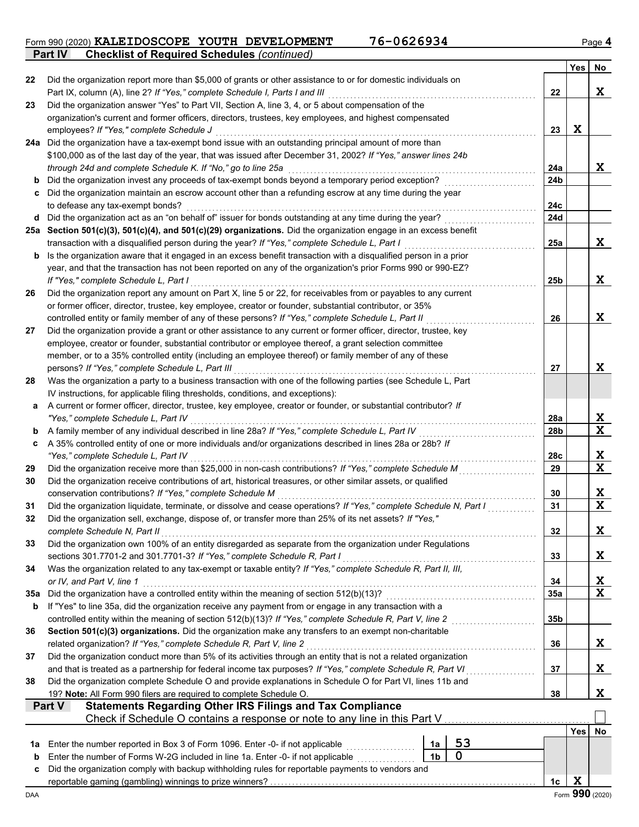Form 990 (2020) **KALEIDOSCOPE YOUTH DEVELOPMENT** 76-0626934 Page 4 **KALEIDOSCOPE YOUTH DEVELOPMENT 76-0626934**

**Part IV Checklist of Required Schedules** *(continued)*

|     |                                                                                                                                                                                             |                 | <b>Yes</b> | No          |
|-----|---------------------------------------------------------------------------------------------------------------------------------------------------------------------------------------------|-----------------|------------|-------------|
| 22  | Did the organization report more than \$5,000 of grants or other assistance to or for domestic individuals on                                                                               |                 |            |             |
|     | Part IX, column (A), line 2? If "Yes," complete Schedule I, Parts I and III                                                                                                                 | 22              |            | $\mathbf x$ |
| 23  | Did the organization answer "Yes" to Part VII, Section A, line 3, 4, or 5 about compensation of the                                                                                         |                 |            |             |
|     | organization's current and former officers, directors, trustees, key employees, and highest compensated                                                                                     |                 |            |             |
|     | employees? If "Yes," complete Schedule J                                                                                                                                                    | 23              | X          |             |
|     | 24a Did the organization have a tax-exempt bond issue with an outstanding principal amount of more than                                                                                     |                 |            |             |
|     | \$100,000 as of the last day of the year, that was issued after December 31, 2002? If "Yes," answer lines 24b                                                                               |                 |            |             |
|     | through 24d and complete Schedule K. If "No," go to line 25a                                                                                                                                | 24a             |            | X           |
| b   | Did the organization invest any proceeds of tax-exempt bonds beyond a temporary period exception?                                                                                           | 24b             |            |             |
| c   | Did the organization maintain an escrow account other than a refunding escrow at any time during the year                                                                                   | 24c             |            |             |
|     | to defease any tax-exempt bonds?<br>d Did the organization act as an "on behalf of" issuer for bonds outstanding at any time during the year?                                               | 24d             |            |             |
|     | 25a Section 501(c)(3), 501(c)(4), and 501(c)(29) organizations. Did the organization engage in an excess benefit                                                                            |                 |            |             |
|     | transaction with a disqualified person during the year? If "Yes," complete Schedule L, Part I                                                                                               | 25a             |            | X           |
|     | <b>b</b> Is the organization aware that it engaged in an excess benefit transaction with a disqualified person in a prior                                                                   |                 |            |             |
|     | year, and that the transaction has not been reported on any of the organization's prior Forms 990 or 990-EZ?                                                                                |                 |            |             |
|     | If "Yes." complete Schedule L. Part I                                                                                                                                                       | 25 <sub>b</sub> |            | X           |
| 26  | Did the organization report any amount on Part X, line 5 or 22, for receivables from or payables to any current                                                                             |                 |            |             |
|     | or former officer, director, trustee, key employee, creator or founder, substantial contributor, or 35%                                                                                     |                 |            |             |
|     | controlled entity or family member of any of these persons? If "Yes," complete Schedule L, Part II                                                                                          | 26              |            | X           |
| 27  | Did the organization provide a grant or other assistance to any current or former officer, director, trustee, key                                                                           |                 |            |             |
|     | employee, creator or founder, substantial contributor or employee thereof, a grant selection committee                                                                                      |                 |            |             |
|     | member, or to a 35% controlled entity (including an employee thereof) or family member of any of these                                                                                      |                 |            |             |
|     | persons? If "Yes," complete Schedule L, Part III                                                                                                                                            | 27              |            | X           |
| 28  | Was the organization a party to a business transaction with one of the following parties (see Schedule L, Part                                                                              |                 |            |             |
|     | IV instructions, for applicable filing thresholds, conditions, and exceptions):                                                                                                             |                 |            |             |
| a   | A current or former officer, director, trustee, key employee, creator or founder, or substantial contributor? If                                                                            |                 |            |             |
|     | "Yes," complete Schedule L, Part IV                                                                                                                                                         | 28a             |            | X           |
| b   | A family member of any individual described in line 28a? If "Yes," complete Schedule L, Part IV                                                                                             | 28 <sub>b</sub> |            | X           |
| c   | A 35% controlled entity of one or more individuals and/or organizations described in lines 28a or 28b? If                                                                                   |                 |            |             |
|     | "Yes," complete Schedule L, Part IV                                                                                                                                                         | 28c             |            | X           |
| 29  | Did the organization receive more than \$25,000 in non-cash contributions? If "Yes," complete Schedule M                                                                                    | 29              |            | $\mathbf x$ |
| 30  | Did the organization receive contributions of art, historical treasures, or other similar assets, or qualified                                                                              |                 |            |             |
|     | conservation contributions? If "Yes," complete Schedule M                                                                                                                                   | 30              |            | X           |
| 31  | Did the organization liquidate, terminate, or dissolve and cease operations? If "Yes," complete Schedule N, Part I                                                                          | 31              |            | $\mathbf x$ |
| 32  | Did the organization sell, exchange, dispose of, or transfer more than 25% of its net assets? If "Yes,"                                                                                     |                 |            |             |
|     | complete Schedule N, Part II                                                                                                                                                                | 32              |            | X           |
| 33  | Did the organization own 100% of an entity disregarded as separate from the organization under Regulations                                                                                  |                 |            | X           |
| 34  | sections 301.7701-2 and 301.7701-3? If "Yes," complete Schedule R, Part I<br>Was the organization related to any tax-exempt or taxable entity? If "Yes," complete Schedule R, Part II, III, | 33              |            |             |
|     | or IV, and Part V, line 1                                                                                                                                                                   | 34              |            | X           |
| 35a | Did the organization have a controlled entity within the meaning of section 512(b)(13)?                                                                                                     | 35a             |            | X           |
| b   | If "Yes" to line 35a, did the organization receive any payment from or engage in any transaction with a                                                                                     |                 |            |             |
|     |                                                                                                                                                                                             | 35b             |            |             |
| 36  | Section 501(c)(3) organizations. Did the organization make any transfers to an exempt non-charitable                                                                                        |                 |            |             |
|     | related organization? If "Yes," complete Schedule R, Part V, line 2                                                                                                                         | 36              |            | Χ           |
| 37  | Did the organization conduct more than 5% of its activities through an entity that is not a related organization                                                                            |                 |            |             |
|     | and that is treated as a partnership for federal income tax purposes? If "Yes," complete Schedule R, Part VI                                                                                | 37              |            | Χ           |
| 38  | Did the organization complete Schedule O and provide explanations in Schedule O for Part VI, lines 11b and                                                                                  |                 |            |             |
|     | 19? Note: All Form 990 filers are required to complete Schedule O.                                                                                                                          | 38              |            | X           |
|     | <b>Statements Regarding Other IRS Filings and Tax Compliance</b><br>Part V                                                                                                                  |                 |            |             |
|     | Check if Schedule O contains a response or note to any line in this Part V                                                                                                                  |                 |            |             |
|     |                                                                                                                                                                                             |                 | Yes        | No          |
| 1а  | 53<br>Enter the number reported in Box 3 of Form 1096. Enter -0- if not applicable<br>1a                                                                                                    |                 |            |             |
| b   | 0<br>1 <sub>b</sub><br>Enter the number of Forms W-2G included in line 1a. Enter -0- if not applicable                                                                                      |                 |            |             |
| c   | Did the organization comply with backup withholding rules for reportable payments to vendors and                                                                                            |                 |            |             |
|     |                                                                                                                                                                                             | 1 <sub>c</sub>  | X          |             |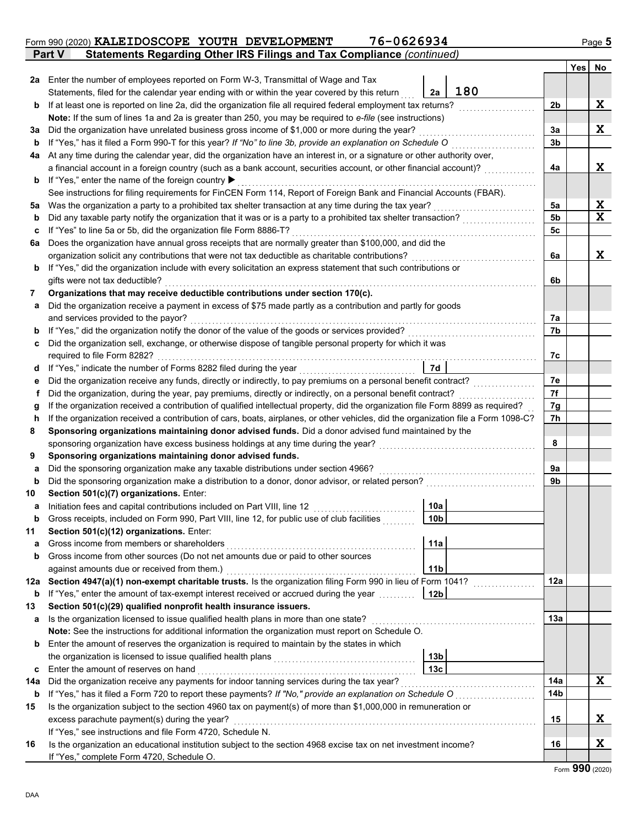|        |                                                                                                                                                                                         |                 |     |                | <b>Yes</b> | No          |
|--------|-----------------------------------------------------------------------------------------------------------------------------------------------------------------------------------------|-----------------|-----|----------------|------------|-------------|
| 2a     | Enter the number of employees reported on Form W-3, Transmittal of Wage and Tax                                                                                                         |                 |     |                |            |             |
|        | Statements, filed for the calendar year ending with or within the year covered by this return                                                                                           | 2a              | 180 |                |            |             |
| b      | If at least one is reported on line 2a, did the organization file all required federal employment tax returns?                                                                          |                 |     | 2b             |            | X           |
|        | Note: If the sum of lines 1a and 2a is greater than 250, you may be required to e-file (see instructions)                                                                               |                 |     |                |            |             |
| За     | Did the organization have unrelated business gross income of \$1,000 or more during the year?                                                                                           |                 |     | 3a             |            | X           |
| b      | If "Yes," has it filed a Form 990-T for this year? If "No" to line 3b, provide an explanation on Schedule O                                                                             |                 |     | 3 <sub>b</sub> |            |             |
| 4a     | At any time during the calendar year, did the organization have an interest in, or a signature or other authority over,                                                                 |                 |     |                |            |             |
|        | a financial account in a foreign country (such as a bank account, securities account, or other financial account)?                                                                      |                 |     | 4a             |            | X           |
|        | <b>b</b> If "Yes," enter the name of the foreign country <b><math>\blacktriangleright</math></b>                                                                                        |                 |     |                |            |             |
|        | See instructions for filing requirements for FinCEN Form 114, Report of Foreign Bank and Financial Accounts (FBAR).                                                                     |                 |     |                |            |             |
| 5a     | Was the organization a party to a prohibited tax shelter transaction at any time during the tax year?                                                                                   |                 |     | 5a             |            | X           |
| b      | Did any taxable party notify the organization that it was or is a party to a prohibited tax shelter transaction?                                                                        |                 |     | 5 <sub>b</sub> |            | $\mathbf x$ |
| c      | If "Yes" to line 5a or 5b, did the organization file Form 8886-T?                                                                                                                       |                 |     | 5c             |            |             |
| 6a     | Does the organization have annual gross receipts that are normally greater than \$100,000, and did the                                                                                  |                 |     |                |            |             |
|        | organization solicit any contributions that were not tax deductible as charitable contributions?                                                                                        |                 |     | 6a             |            | X           |
|        | <b>b</b> If "Yes," did the organization include with every solicitation an express statement that such contributions or                                                                 |                 |     |                |            |             |
|        | gifts were not tax deductible?                                                                                                                                                          |                 |     | 6b             |            |             |
| 7      | Organizations that may receive deductible contributions under section 170(c).                                                                                                           |                 |     |                |            |             |
| a      | Did the organization receive a payment in excess of \$75 made partly as a contribution and partly for goods                                                                             |                 |     |                |            |             |
|        | and services provided to the payor?                                                                                                                                                     |                 |     | 7а             |            |             |
| b      | If "Yes," did the organization notify the donor of the value of the goods or services provided?                                                                                         |                 |     | 7b             |            |             |
| c      | Did the organization sell, exchange, or otherwise dispose of tangible personal property for which it was                                                                                |                 |     |                |            |             |
|        | required to file Form 8282?                                                                                                                                                             |                 |     | 7с             |            |             |
| d      | If "Yes," indicate the number of Forms 8282 filed during the year                                                                                                                       | 7d              |     |                |            |             |
| е      | Did the organization receive any funds, directly or indirectly, to pay premiums on a personal benefit contract?                                                                         |                 |     | 7e             |            |             |
| f      | Did the organization, during the year, pay premiums, directly or indirectly, on a personal benefit contract?                                                                            |                 |     | 7f             |            |             |
| g      | If the organization received a contribution of qualified intellectual property, did the organization file Form 8899 as required?                                                        |                 |     | 7g             |            |             |
| h      | If the organization received a contribution of cars, boats, airplanes, or other vehicles, did the organization file a Form 1098-C?                                                      |                 |     | 7h             |            |             |
| 8      | Sponsoring organizations maintaining donor advised funds. Did a donor advised fund maintained by the                                                                                    |                 |     |                |            |             |
| 9      | sponsoring organization have excess business holdings at any time during the year?                                                                                                      |                 |     | 8              |            |             |
|        | Sponsoring organizations maintaining donor advised funds.                                                                                                                               |                 |     | 9a             |            |             |
| a<br>b | Did the sponsoring organization make any taxable distributions under section 4966?<br>Did the sponsoring organization make a distribution to a donor, donor advisor, or related person? |                 |     | 9b             |            |             |
| 10     | Section 501(c)(7) organizations. Enter:                                                                                                                                                 |                 |     |                |            |             |
| а      | Initiation fees and capital contributions included on Part VIII, line 12                                                                                                                | 10a             |     |                |            |             |
| b      | Gross receipts, included on Form 990, Part VIII, line 12, for public use of club facilities                                                                                             | 10 <sub>b</sub> |     |                |            |             |
| 11     | Section 501(c)(12) organizations. Enter:                                                                                                                                                |                 |     |                |            |             |
| a      | Gross income from members or shareholders                                                                                                                                               | 11a             |     |                |            |             |
| b      | Gross income from other sources (Do not net amounts due or paid to other sources                                                                                                        |                 |     |                |            |             |
|        | against amounts due or received from them.)                                                                                                                                             | 11 <sub>b</sub> |     |                |            |             |
| 12a    | Section 4947(a)(1) non-exempt charitable trusts. Is the organization filing Form 990 in lieu of Form 1041?                                                                              |                 |     | 12a            |            |             |
| b      | If "Yes," enter the amount of tax-exempt interest received or accrued during the year [[[[[[[[[[[[[[[[]]]]]]]                                                                           | 12 <sub>b</sub> |     |                |            |             |
| 13     | Section 501(c)(29) qualified nonprofit health insurance issuers.                                                                                                                        |                 |     |                |            |             |
| а      | Is the organization licensed to issue qualified health plans in more than one state?                                                                                                    |                 |     | 13а            |            |             |
|        | Note: See the instructions for additional information the organization must report on Schedule O.                                                                                       |                 |     |                |            |             |
| b      | Enter the amount of reserves the organization is required to maintain by the states in which                                                                                            |                 |     |                |            |             |
|        |                                                                                                                                                                                         | 13 <sub>b</sub> |     |                |            |             |
| c      | Enter the amount of reserves on hand                                                                                                                                                    | 13 <sub>c</sub> |     |                |            |             |
| 14a    | Did the organization receive any payments for indoor tanning services during the tax year?                                                                                              |                 |     | 14a            |            | X           |
| b      |                                                                                                                                                                                         |                 |     | 14b            |            |             |
| 15     | Is the organization subject to the section 4960 tax on payment(s) of more than \$1,000,000 in remuneration or                                                                           |                 |     |                |            |             |
|        | excess parachute payment(s) during the year?                                                                                                                                            |                 |     | 15             |            | X           |
|        | If "Yes," see instructions and file Form 4720, Schedule N.                                                                                                                              |                 |     |                |            |             |
| 16     | Is the organization an educational institution subject to the section 4968 excise tax on net investment income?                                                                         |                 |     | 16             |            | X           |
|        | If "Yes," complete Form 4720, Schedule O.                                                                                                                                               |                 |     |                |            |             |

#### **Part V Statements Regarding Other IRS Filings and Tax Compliance** *(continued)* Form 990 (2020) **KALEIDOSCOPE YOUTH DEVELOPMENT** 76-0626934 Page 5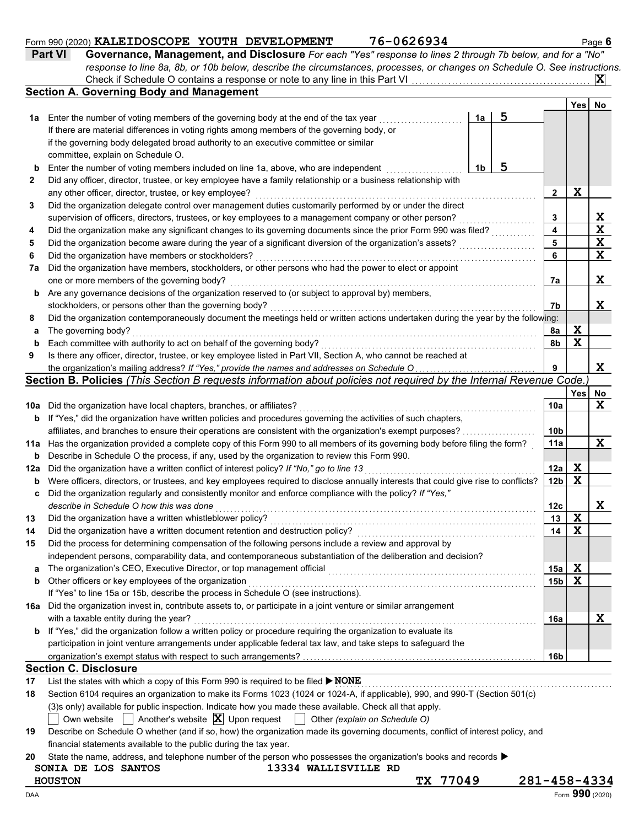|  | 76-0626934 |  |  |
|--|------------|--|--|

|    | 76-0626934<br>Form 990 (2020) KALEIDOSCOPE YOUTH DEVELOPMENT                                                                 |     |      | Page 6 |
|----|------------------------------------------------------------------------------------------------------------------------------|-----|------|--------|
|    | Governance, Management, and Disclosure For each "Yes" response to lines 2 through 7b below, and for a "No"<br><b>Part VI</b> |     |      |        |
|    | response to line 8a, 8b, or 10b below, describe the circumstances, processes, or changes on Schedule O. See instructions.    |     |      |        |
|    |                                                                                                                              |     |      |        |
|    | <b>Section A. Governing Body and Management</b>                                                                              |     |      |        |
|    |                                                                                                                              |     | Yes⊺ | No     |
| 1a | Enter the number of voting members of the governing body at the end of the tax year                                          | 1a  |      |        |
|    | If there are material differences in voting rights among members of the governing body, or                                   |     |      |        |
|    | if the governing body delegated broad authority to an executive committee or similar                                         |     |      |        |
|    | committee, explain on Schedule O.                                                                                            |     |      |        |
| b  | Enter the number of voting members included on line 1a, above, who are independent                                           | 1b. |      |        |
|    | Did any officer, director, trustee, or key employee have a family relationship or a business relationship with               |     |      |        |

|    | any other officer, director, trustee, or key employee?                                                                            |    | X    |    |
|----|-----------------------------------------------------------------------------------------------------------------------------------|----|------|----|
| 3  | Did the organization delegate control over management duties customarily performed by or under the direct                         |    |      |    |
|    | supervision of officers, directors, trustees, or key employees to a management company or other person?                           | 3  |      | x  |
| 4  | Did the organization make any significant changes to its governing documents since the prior Form 990 was filed?                  | 4  |      | X  |
| 5  | Did the organization become aware during the year of a significant diversion of the organization's assets?                        | 5  |      | x  |
| 6  | Did the organization have members or stockholders?                                                                                | 6  |      | X  |
| 7a | Did the organization have members, stockholders, or other persons who had the power to elect or appoint                           |    |      |    |
|    | one or more members of the governing body?                                                                                        | 7a |      | x  |
| b  | Are any governance decisions of the organization reserved to (or subject to approval by) members,                                 |    |      |    |
|    | stockholders, or persons other than the governing body?                                                                           | 7b |      | x  |
| 8  | Did the organization contemporaneously document the meetings held or written actions undertaken during the year by the following: |    |      |    |
| a  | The governing body?                                                                                                               | 8a | X    |    |
| b  | Each committee with authority to act on behalf of the governing body?                                                             | 8b | X    |    |
| 9  | Is there any officer, director, trustee, or key employee listed in Part VII, Section A, who cannot be reached at                  |    |      |    |
|    | the organization's mailing address? If "Yes," provide the names and addresses on Schedule O                                       | 9  |      | x  |
|    | Section B. Policies (This Section B requests information about policies not required by the Internal Revenue Code.                |    |      |    |
|    |                                                                                                                                   |    | Yesl | No |

| 10a | Did the organization have local chapters, branches, or affiliates?                                                                  | 10a             |   | X |
|-----|-------------------------------------------------------------------------------------------------------------------------------------|-----------------|---|---|
| b   | If "Yes," did the organization have written policies and procedures governing the activities of such chapters,                      |                 |   |   |
|     | affiliates, and branches to ensure their operations are consistent with the organization's exempt purposes?                         | 10 <sub>b</sub> |   |   |
| 11a | Has the organization provided a complete copy of this Form 990 to all members of its governing body before filing the form?         | 11a             |   | X |
| b   | Describe in Schedule O the process, if any, used by the organization to review this Form 990.                                       |                 |   |   |
| 12a | Did the organization have a written conflict of interest policy? If "No," go to line 13                                             | 12a             | X |   |
| b   | Were officers, directors, or trustees, and key employees required to disclose annually interests that could give rise to conflicts? | 12 <sub>b</sub> | X |   |
| c   | Did the organization regularly and consistently monitor and enforce compliance with the policy? If "Yes,"                           |                 |   |   |
|     | describe in Schedule O how this was done                                                                                            | 12c             |   | X |
| 13  | Did the organization have a written whistleblower policy?                                                                           | 13              | X |   |
| 14  | Did the organization have a written document retention and destruction policy?                                                      | 14              | X |   |
| 15  | Did the process for determining compensation of the following persons include a review and approval by                              |                 |   |   |
|     | independent persons, comparability data, and contemporaneous substantiation of the deliberation and decision?                       |                 |   |   |
| a   | The organization's CEO, Executive Director, or top management official                                                              | 15a             | x |   |
| b   | Other officers or key employees of the organization                                                                                 | 15 <sub>b</sub> | x |   |
|     | If "Yes" to line 15a or 15b, describe the process in Schedule O (see instructions).                                                 |                 |   |   |
| 16a | Did the organization invest in, contribute assets to, or participate in a joint venture or similar arrangement                      |                 |   |   |
|     | with a taxable entity during the year?                                                                                              | 16a             |   | x |
| b.  | If "Yes," did the organization follow a written policy or procedure requiring the organization to evaluate its                      |                 |   |   |
|     | participation in joint venture arrangements under applicable federal tax law, and take steps to safeguard the                       |                 |   |   |
|     | organization's exempt status with respect to such arrangements?                                                                     | 16b             |   |   |
|     | Caatian C. Diaalaauwa                                                                                                               |                 |   |   |

## **Section C. Disclosure**

| 17 | List the states with which a copy of this Form 990 is required to be filed $\triangleright$ <b>NONE</b>                         |  |  |  |  |  |  |  |  |
|----|---------------------------------------------------------------------------------------------------------------------------------|--|--|--|--|--|--|--|--|
| 18 | Section 6104 requires an organization to make its Forms 1023 (1024 or 1024-A, if applicable), 990, and 990-T (Section 501(c)    |  |  |  |  |  |  |  |  |
|    | (3) sonly) available for public inspection. Indicate how you made these available. Check all that apply.                        |  |  |  |  |  |  |  |  |
|    | Own website $\Box$ Another's website $\Box$ Upon request $\Box$ Other (explain on Schedule O)                                   |  |  |  |  |  |  |  |  |
| 19 | Describe on Schedule O whether (and if so, how) the organization made its governing documents, conflict of interest policy, and |  |  |  |  |  |  |  |  |
|    | financial statements available to the public during the tax year.                                                               |  |  |  |  |  |  |  |  |
| 20 | State the name, address, and telephone number of the person who possesses the organization's books and records                  |  |  |  |  |  |  |  |  |

# **SONIA DE LOS SANTOS 13334 WALLISVILLE RD HOUSTON TX 77049 281-458-4334**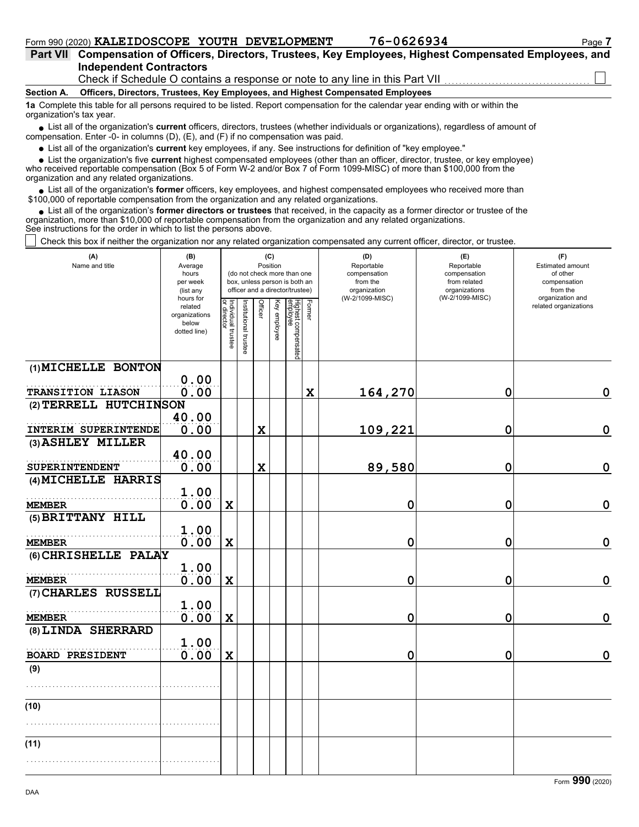|                    | Part VII Compensation of Officers, Directors, Trustees, Key Employees, Highest Compensated Employees, and |
|--------------------|-----------------------------------------------------------------------------------------------------------|
|                    | <b>Independent Contractors</b>                                                                            |
|                    | Check if Schedule O contains a response or note to any line in this Part VII                              |
| $C_{\text{non-1}}$ | Officers, Directors, Trustees, Key Employees, and Highest Companented Employees.                          |

**Section A. Officers, Directors, Trustees, Key Employees, and Highest Compensated Employees**

**1a** Complete this table for all persons required to be listed. Report compensation for the calendar year ending with or within the organization's tax year.

■ List all of the organization's **current** officers, directors, trustees (whether individuals or organizations), regardless of amount of compensation. Enter -0- in columns (D), (E), and (F) if no compensation was paid.

List all of the organization's **current** key employees, if any. See instructions for definition of "key employee."

■ List all of the organization's **current** key employees, if any. See instructions for definition of "key employee."<br>■ List the organization's five **current** highest compensated employees (other than an officer, director,

who received reportable compensation (Box 5 of Form W-2 and/or Box 7 of Form 1099-MISC) of more than \$100,000 from the organization and any related organizations.

• List all of the organization's **former** officers, key employees, and highest compensated employees who received more than<br>00,000 of reportable compensation from the organization and any related erganizations. \$100,000 of reportable compensation from the organization and any related organizations.

• List all of the organization's **former directors or trustees** that received, in the capacity as a former director or trustee of the anization more than \$10,000 of reportable compensation from the organization and any rel organization, more than \$10,000 of reportable compensation from the organization and any related organizations. See instructions for the order in which to list the persons above.

Check this box if neither the organization nor any related organization compensated any current officer, director, or trustee.

| (A)<br>Name and title                | (B)<br>Average<br>hours<br>per week<br>(list any<br>hours for | (C)<br>Position<br>(do not check more than one<br>box, unless person is both an<br>officer and a director/trustee)                 |  |             |                       |  |   | (D)<br>Reportable<br>compensation<br>from the<br>organization<br>(W-2/1099-MISC) | (E)<br>Reportable<br>compensation<br>from related<br>organizations<br>(W-2/1099-MISC) | (F)<br>Estimated amount<br>of other<br>compensation<br>from the<br>organization and |
|--------------------------------------|---------------------------------------------------------------|------------------------------------------------------------------------------------------------------------------------------------|--|-------------|-----------------------|--|---|----------------------------------------------------------------------------------|---------------------------------------------------------------------------------------|-------------------------------------------------------------------------------------|
|                                      | related<br>organizations<br>below<br>dotted line)             | Individual trustee<br>or director<br>Highest compensated<br>employee<br>Former<br>Officer<br>Key employee<br>Institutional trustee |  |             | related organizations |  |   |                                                                                  |                                                                                       |                                                                                     |
| (1) MICHELLE BONTON                  |                                                               |                                                                                                                                    |  |             |                       |  |   |                                                                                  |                                                                                       |                                                                                     |
| TRANSITION LIASON                    | 0.00<br>0.00                                                  |                                                                                                                                    |  |             |                       |  | X | 164,270                                                                          | 0                                                                                     | $\mathbf 0$                                                                         |
| (2) TERRELL HUTCHINSON               |                                                               |                                                                                                                                    |  |             |                       |  |   |                                                                                  |                                                                                       |                                                                                     |
|                                      | 40.00                                                         |                                                                                                                                    |  |             |                       |  |   |                                                                                  |                                                                                       |                                                                                     |
| INTERIM SUPERINTENDE                 | 0.00                                                          |                                                                                                                                    |  | $\mathbf x$ |                       |  |   | 109,221                                                                          | 0                                                                                     | $\mathbf 0$                                                                         |
| (3) ASHLEY MILLER                    |                                                               |                                                                                                                                    |  |             |                       |  |   |                                                                                  |                                                                                       |                                                                                     |
| SUPERINTENDENT                       | 40.00<br>0.00                                                 |                                                                                                                                    |  | X           |                       |  |   | 89,580                                                                           | 0                                                                                     | $\mathbf 0$                                                                         |
| (4) MICHELLE HARRIS                  |                                                               |                                                                                                                                    |  |             |                       |  |   |                                                                                  |                                                                                       |                                                                                     |
|                                      | 1.00                                                          |                                                                                                                                    |  |             |                       |  |   |                                                                                  |                                                                                       |                                                                                     |
| <b>MEMBER</b>                        | 0.00                                                          | $\mathbf x$                                                                                                                        |  |             |                       |  |   | 0                                                                                | 0                                                                                     | $\mathbf 0$                                                                         |
| (5) BRITTANY HILL                    | 1.00                                                          |                                                                                                                                    |  |             |                       |  |   |                                                                                  |                                                                                       |                                                                                     |
| <b>MEMBER</b>                        | 0.00                                                          | X                                                                                                                                  |  |             |                       |  |   | 0                                                                                | 0                                                                                     | $\mathbf 0$                                                                         |
| (6) CHRISHELLE PALAY                 |                                                               |                                                                                                                                    |  |             |                       |  |   |                                                                                  |                                                                                       |                                                                                     |
|                                      | 1.00                                                          |                                                                                                                                    |  |             |                       |  |   |                                                                                  |                                                                                       |                                                                                     |
| <b>MEMBER</b><br>(7) CHARLES RUSSELL | 0.00                                                          | $\mathbf x$                                                                                                                        |  |             |                       |  |   | 0                                                                                | 0                                                                                     | $\mathbf 0$                                                                         |
|                                      | 1.00                                                          |                                                                                                                                    |  |             |                       |  |   |                                                                                  |                                                                                       |                                                                                     |
| <b>MEMBER</b>                        | 0.00                                                          | $\mathbf x$                                                                                                                        |  |             |                       |  |   | 0                                                                                | 0                                                                                     | $\mathbf 0$                                                                         |
| (8) LINDA SHERRARD                   |                                                               |                                                                                                                                    |  |             |                       |  |   |                                                                                  |                                                                                       |                                                                                     |
|                                      | 1.00                                                          |                                                                                                                                    |  |             |                       |  |   |                                                                                  |                                                                                       |                                                                                     |
| <b>BOARD PRESIDENT</b>               | 0.00                                                          | X                                                                                                                                  |  |             |                       |  |   | 0                                                                                | 0                                                                                     | $\mathbf 0$                                                                         |
| (9)                                  |                                                               |                                                                                                                                    |  |             |                       |  |   |                                                                                  |                                                                                       |                                                                                     |
|                                      |                                                               |                                                                                                                                    |  |             |                       |  |   |                                                                                  |                                                                                       |                                                                                     |
| (10)                                 |                                                               |                                                                                                                                    |  |             |                       |  |   |                                                                                  |                                                                                       |                                                                                     |
|                                      |                                                               |                                                                                                                                    |  |             |                       |  |   |                                                                                  |                                                                                       |                                                                                     |
| (11)                                 |                                                               |                                                                                                                                    |  |             |                       |  |   |                                                                                  |                                                                                       |                                                                                     |
|                                      |                                                               |                                                                                                                                    |  |             |                       |  |   |                                                                                  |                                                                                       |                                                                                     |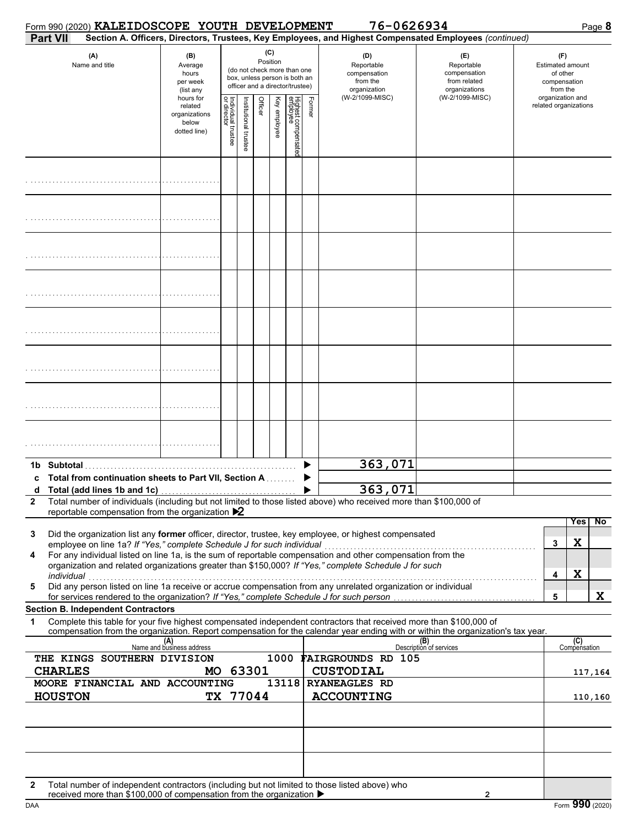|              | Form 990 (2020) KALEIDOSCOPE YOUTH DEVELOPMENT                                                                                                                                                                                                                                                                                                                           |                                                                |                                   |                       |          |                                                                                                 |                                                               |        | 76-0626934                                                                                             |                                |                                                                        |                  |                     | Page 8  |
|--------------|--------------------------------------------------------------------------------------------------------------------------------------------------------------------------------------------------------------------------------------------------------------------------------------------------------------------------------------------------------------------------|----------------------------------------------------------------|-----------------------------------|-----------------------|----------|-------------------------------------------------------------------------------------------------|---------------------------------------------------------------|--------|--------------------------------------------------------------------------------------------------------|--------------------------------|------------------------------------------------------------------------|------------------|---------------------|---------|
|              | <b>Part VII</b>                                                                                                                                                                                                                                                                                                                                                          |                                                                |                                   |                       |          |                                                                                                 |                                                               |        | Section A. Officers, Directors, Trustees, Key Employees, and Highest Compensated Employees (continued) |                                |                                                                        |                  |                     |         |
|              | (A)<br>Name and title                                                                                                                                                                                                                                                                                                                                                    | (B)<br>Average<br>hours<br>per week<br>(list any               |                                   | (C)<br>Position       |          | (do not check more than one<br>box, unless person is both an<br>officer and a director/trustee) | (D)<br>Reportable<br>compensation<br>from the<br>organization |        | (E)<br>Reportable<br>compensation<br>from related<br>organizations                                     |                                | (F)<br><b>Estimated amount</b><br>of other<br>compensation<br>from the |                  |                     |         |
|              |                                                                                                                                                                                                                                                                                                                                                                          | hours for<br>related<br>organizations<br>below<br>dotted line) | Individual trustee<br>or director | institutional trustee | Officer  | Key employee                                                                                    | Highest compensate<br>employee                                | Former | (W-2/1099-MISC)                                                                                        | (W-2/1099-MISC)                | related organizations                                                  | organization and |                     |         |
|              |                                                                                                                                                                                                                                                                                                                                                                          |                                                                |                                   |                       |          |                                                                                                 |                                                               |        |                                                                                                        |                                |                                                                        |                  |                     |         |
|              |                                                                                                                                                                                                                                                                                                                                                                          |                                                                |                                   |                       |          |                                                                                                 |                                                               |        |                                                                                                        |                                |                                                                        |                  |                     |         |
|              |                                                                                                                                                                                                                                                                                                                                                                          |                                                                |                                   |                       |          |                                                                                                 |                                                               |        |                                                                                                        |                                |                                                                        |                  |                     |         |
|              |                                                                                                                                                                                                                                                                                                                                                                          |                                                                |                                   |                       |          |                                                                                                 |                                                               |        |                                                                                                        |                                |                                                                        |                  |                     |         |
|              |                                                                                                                                                                                                                                                                                                                                                                          |                                                                |                                   |                       |          |                                                                                                 |                                                               |        |                                                                                                        |                                |                                                                        |                  |                     |         |
|              |                                                                                                                                                                                                                                                                                                                                                                          |                                                                |                                   |                       |          |                                                                                                 |                                                               |        |                                                                                                        |                                |                                                                        |                  |                     |         |
|              |                                                                                                                                                                                                                                                                                                                                                                          |                                                                |                                   |                       |          |                                                                                                 |                                                               |        |                                                                                                        |                                |                                                                        |                  |                     |         |
|              |                                                                                                                                                                                                                                                                                                                                                                          |                                                                |                                   |                       |          |                                                                                                 |                                                               |        |                                                                                                        |                                |                                                                        |                  |                     |         |
|              | <b>Total from continuation sheets to Part VII, Section A Conservation</b>                                                                                                                                                                                                                                                                                                |                                                                |                                   |                       |          |                                                                                                 |                                                               |        | 363,071<br>363,071                                                                                     |                                |                                                                        |                  |                     |         |
| $\mathbf{2}$ | Total number of individuals (including but not limited to those listed above) who received more than \$100,000 of<br>reportable compensation from the organization $\blacktriangleright$ 2                                                                                                                                                                               |                                                                |                                   |                       |          |                                                                                                 |                                                               |        |                                                                                                        |                                |                                                                        |                  |                     |         |
|              |                                                                                                                                                                                                                                                                                                                                                                          |                                                                |                                   |                       |          |                                                                                                 |                                                               |        |                                                                                                        |                                |                                                                        |                  | <b>Yes</b>          | No      |
| 3            | Did the organization list any former officer, director, trustee, key employee, or highest compensated<br>employee on line 1a? If "Yes," complete Schedule J for such individual<br>employee on line 1a? If "Yes," complete Schedule J for such individual<br>For any individual listed on line 1a, is the sum of reportable compensation and other compensation from the |                                                                |                                   |                       |          |                                                                                                 |                                                               |        |                                                                                                        |                                | 3                                                                      |                  | X                   |         |
| 4            | organization and related organizations greater than \$150,000? If "Yes," complete Schedule J for such<br>individual                                                                                                                                                                                                                                                      |                                                                |                                   |                       |          |                                                                                                 |                                                               |        |                                                                                                        |                                | 4                                                                      |                  | X                   |         |
| 5            | marviauar<br>Did any person listed on line 1a receive or accrue compensation from any unrelated organization or individual<br>for services rendered to the organization? If "Yes," complete Schedule J for such person                                                                                                                                                   |                                                                |                                   |                       |          |                                                                                                 |                                                               |        |                                                                                                        |                                | 5                                                                      |                  |                     | X       |
|              | <b>Section B. Independent Contractors</b>                                                                                                                                                                                                                                                                                                                                |                                                                |                                   |                       |          |                                                                                                 |                                                               |        |                                                                                                        |                                |                                                                        |                  |                     |         |
| 1            | Complete this table for your five highest compensated independent contractors that received more than \$100,000 of<br>compensation from the organization. Report compensation for the calendar year ending with or within the organization's tax year.                                                                                                                   |                                                                |                                   |                       |          |                                                                                                 |                                                               |        |                                                                                                        |                                |                                                                        |                  |                     |         |
|              |                                                                                                                                                                                                                                                                                                                                                                          | (A)<br>Name and business address                               |                                   |                       |          |                                                                                                 |                                                               |        |                                                                                                        | (B)<br>Description of services |                                                                        |                  | (C)<br>Compensation |         |
|              | THE KINGS SOUTHERN DIVISION<br><b>CHARLES</b>                                                                                                                                                                                                                                                                                                                            | MO 63301                                                       |                                   |                       |          | 1000                                                                                            |                                                               |        | <b>FAIRGROUNDS RD 105</b><br><b>CUSTODIAL</b>                                                          |                                |                                                                        |                  |                     |         |
|              | MOORE FINANCIAL AND ACCOUNTING                                                                                                                                                                                                                                                                                                                                           |                                                                |                                   |                       |          |                                                                                                 |                                                               |        | 13118 RYANEAGLES RD                                                                                    |                                |                                                                        |                  |                     | 117,164 |
|              | <b>HOUSTON</b>                                                                                                                                                                                                                                                                                                                                                           |                                                                |                                   |                       | TX 77044 |                                                                                                 |                                                               |        | <b>ACCOUNTING</b>                                                                                      |                                |                                                                        |                  |                     | 110,160 |
|              |                                                                                                                                                                                                                                                                                                                                                                          |                                                                |                                   |                       |          |                                                                                                 |                                                               |        |                                                                                                        |                                |                                                                        |                  |                     |         |
|              |                                                                                                                                                                                                                                                                                                                                                                          |                                                                |                                   |                       |          |                                                                                                 |                                                               |        |                                                                                                        |                                |                                                                        |                  |                     |         |
| $\mathbf{2}$ | Total number of independent contractors (including but not limited to those listed above) who<br>received more than \$100,000 of compensation from the organization ▶                                                                                                                                                                                                    |                                                                |                                   |                       |          |                                                                                                 |                                                               |        |                                                                                                        | 2                              |                                                                        |                  |                     |         |

| received more than \$100,000 of compensation from the organization $\blacktriangleright$ |  |
|------------------------------------------------------------------------------------------|--|
|                                                                                          |  |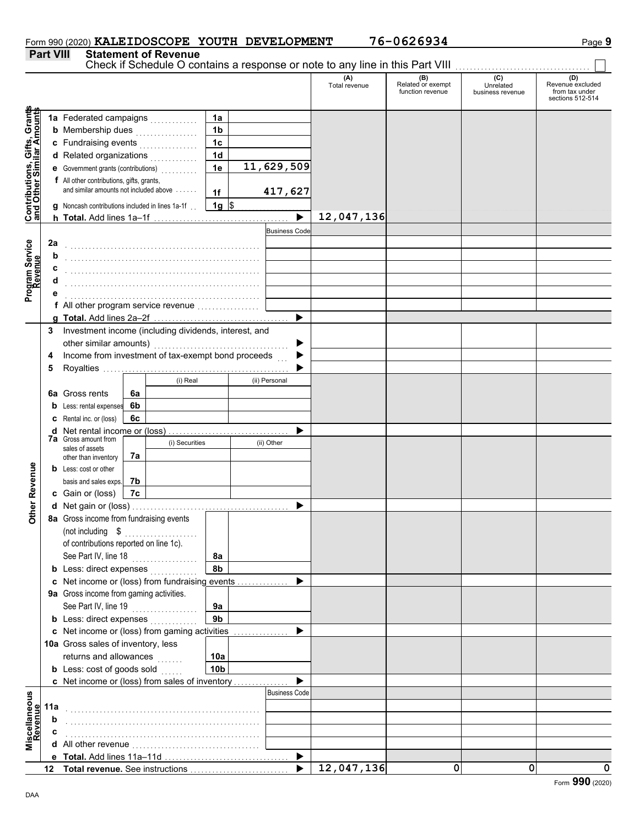|                  | Form 990 (2020) KALEIDOSCOPE YOUTH DEVELOPMENT |  | 76-0626934                                                                            | Paqe 9 |
|------------------|------------------------------------------------|--|---------------------------------------------------------------------------------------|--------|
| <b>Part VIII</b> | <b>Statement of Revenue</b>                    |  |                                                                                       |        |
|                  |                                                |  | Check if Schoolule $\Omega$ contains a response ar note to any line in this Part VIII |        |

|                                                                  | r ant vill |                                                       |    | <u>einenr of izeaenae</u> |                 |                          | Check if Schedule O contains a response or note to any line in this Part VIII [11] [11] [11] [11] [11] [11] [1 |                                              |                                      |                                                               |
|------------------------------------------------------------------|------------|-------------------------------------------------------|----|---------------------------|-----------------|--------------------------|----------------------------------------------------------------------------------------------------------------|----------------------------------------------|--------------------------------------|---------------------------------------------------------------|
|                                                                  |            |                                                       |    |                           |                 |                          | (A)<br>Total revenue                                                                                           | (B)<br>Related or exempt<br>function revenue | (C)<br>Unrelated<br>business revenue | (D)<br>Revenue excluded<br>from tax under<br>sections 512-514 |
|                                                                  |            | 1a Federated campaigns                                |    |                           | 1a              |                          |                                                                                                                |                                              |                                      |                                                               |
| <b>Contributions, Gifts, Grants</b><br>and Other Similar Amounts |            | <b>b</b> Membership dues                              |    | .                         | 1 <sub>b</sub>  |                          |                                                                                                                |                                              |                                      |                                                               |
|                                                                  |            | c Fundraising events                                  |    | .                         | 1 <sub>c</sub>  |                          |                                                                                                                |                                              |                                      |                                                               |
|                                                                  |            | d Related organizations                               |    |                           | 1d              |                          |                                                                                                                |                                              |                                      |                                                               |
|                                                                  |            | e Government grants (contributions)                   |    |                           | 1e              | 11,629,509               |                                                                                                                |                                              |                                      |                                                               |
|                                                                  |            | f All other contributions, gifts, grants,             |    |                           |                 |                          |                                                                                                                |                                              |                                      |                                                               |
|                                                                  |            | and similar amounts not included above                |    |                           | 1f              | 417,627                  |                                                                                                                |                                              |                                      |                                                               |
|                                                                  |            | g Noncash contributions included in lines 1a-1f.      |    |                           | $1g \,$ \$      |                          |                                                                                                                |                                              |                                      |                                                               |
|                                                                  |            |                                                       |    |                           |                 | $\overline{\phantom{a}}$ | 12,047,136                                                                                                     |                                              |                                      |                                                               |
|                                                                  |            |                                                       |    |                           |                 | <b>Business Code</b>     |                                                                                                                |                                              |                                      |                                                               |
|                                                                  | 2a         |                                                       |    |                           |                 |                          |                                                                                                                |                                              |                                      |                                                               |
|                                                                  | b          |                                                       |    |                           |                 |                          |                                                                                                                |                                              |                                      |                                                               |
| Program Service<br>Revenue                                       | c          |                                                       |    |                           |                 |                          |                                                                                                                |                                              |                                      |                                                               |
|                                                                  |            |                                                       |    |                           |                 |                          |                                                                                                                |                                              |                                      |                                                               |
|                                                                  |            |                                                       |    |                           |                 |                          |                                                                                                                |                                              |                                      |                                                               |
|                                                                  |            | f All other program service revenue                   |    |                           |                 |                          |                                                                                                                |                                              |                                      |                                                               |
|                                                                  |            |                                                       |    |                           |                 |                          |                                                                                                                |                                              |                                      |                                                               |
|                                                                  | 3          | Investment income (including dividends, interest, and |    |                           |                 |                          |                                                                                                                |                                              |                                      |                                                               |
|                                                                  |            | other similar amounts)                                |    |                           |                 |                          |                                                                                                                |                                              |                                      |                                                               |
|                                                                  | 4          | Income from investment of tax-exempt bond proceeds    |    |                           |                 |                          |                                                                                                                |                                              |                                      |                                                               |
|                                                                  | 5          |                                                       |    |                           |                 |                          |                                                                                                                |                                              |                                      |                                                               |
|                                                                  |            |                                                       |    | (i) Real                  |                 | (ii) Personal            |                                                                                                                |                                              |                                      |                                                               |
|                                                                  |            | 6a Gross rents                                        | 6a |                           |                 |                          |                                                                                                                |                                              |                                      |                                                               |
|                                                                  |            | <b>b</b> Less: rental expenses                        | 6b |                           |                 |                          |                                                                                                                |                                              |                                      |                                                               |
|                                                                  |            | C Rental inc. or (loss)                               | 6c |                           |                 |                          |                                                                                                                |                                              |                                      |                                                               |
|                                                                  |            | <b>7a</b> Gross amount from                           |    |                           |                 |                          |                                                                                                                |                                              |                                      |                                                               |
|                                                                  |            | sales of assets                                       |    | (i) Securities            |                 | (ii) Other               |                                                                                                                |                                              |                                      |                                                               |
|                                                                  |            | other than inventory                                  | 7а |                           |                 |                          |                                                                                                                |                                              |                                      |                                                               |
|                                                                  |            | <b>b</b> Less: cost or other                          |    |                           |                 |                          |                                                                                                                |                                              |                                      |                                                               |
|                                                                  |            | basis and sales exps.                                 | 7b |                           |                 |                          |                                                                                                                |                                              |                                      |                                                               |
| <b>Other Revenue</b>                                             |            | c Gain or (loss)                                      | 7c |                           |                 |                          |                                                                                                                |                                              |                                      |                                                               |
|                                                                  |            | 8a Gross income from fundraising events               |    |                           |                 |                          |                                                                                                                |                                              |                                      |                                                               |
|                                                                  |            | (not including \$                                     |    |                           |                 |                          |                                                                                                                |                                              |                                      |                                                               |
|                                                                  |            | of contributions reported on line 1c).                |    |                           |                 |                          |                                                                                                                |                                              |                                      |                                                               |
|                                                                  |            | See Part IV, line 18                                  |    |                           | 8a              |                          |                                                                                                                |                                              |                                      |                                                               |
|                                                                  |            | <b>b</b> Less: direct expenses                        |    | .                         | 8b              |                          |                                                                                                                |                                              |                                      |                                                               |
|                                                                  |            | c Net income or (loss) from fundraising events        |    |                           |                 |                          |                                                                                                                |                                              |                                      |                                                               |
|                                                                  |            | 9a Gross income from gaming activities.               |    |                           |                 |                          |                                                                                                                |                                              |                                      |                                                               |
|                                                                  |            | See Part IV, line 19                                  |    | .                         | 9a              |                          |                                                                                                                |                                              |                                      |                                                               |
|                                                                  |            | <b>b</b> Less: direct expenses                        |    |                           | 9 <sub>b</sub>  |                          |                                                                                                                |                                              |                                      |                                                               |
|                                                                  |            | c Net income or (loss) from gaming activities         |    |                           |                 |                          |                                                                                                                |                                              |                                      |                                                               |
|                                                                  |            | 10a Gross sales of inventory, less                    |    |                           |                 |                          |                                                                                                                |                                              |                                      |                                                               |
|                                                                  |            | returns and allowances                                |    |                           | 10a             |                          |                                                                                                                |                                              |                                      |                                                               |
|                                                                  |            | <b>b</b> Less: cost of goods sold                     |    |                           | 10 <sub>b</sub> |                          |                                                                                                                |                                              |                                      |                                                               |
|                                                                  |            | c Net income or (loss) from sales of inventory        |    |                           |                 |                          |                                                                                                                |                                              |                                      |                                                               |
|                                                                  |            |                                                       |    |                           |                 | <b>Business Code</b>     |                                                                                                                |                                              |                                      |                                                               |
| Miscellaneous<br>Revenue                                         | 11a        |                                                       |    |                           |                 |                          |                                                                                                                |                                              |                                      |                                                               |
|                                                                  | b          |                                                       |    |                           |                 |                          |                                                                                                                |                                              |                                      |                                                               |
|                                                                  | c          |                                                       |    |                           |                 |                          |                                                                                                                |                                              |                                      |                                                               |
|                                                                  |            |                                                       |    |                           |                 |                          |                                                                                                                |                                              |                                      |                                                               |
|                                                                  |            |                                                       |    |                           |                 | ▶                        |                                                                                                                |                                              |                                      |                                                               |
|                                                                  |            |                                                       |    |                           |                 |                          | 12,047,136                                                                                                     | 0                                            | 0                                    | $\Omega$                                                      |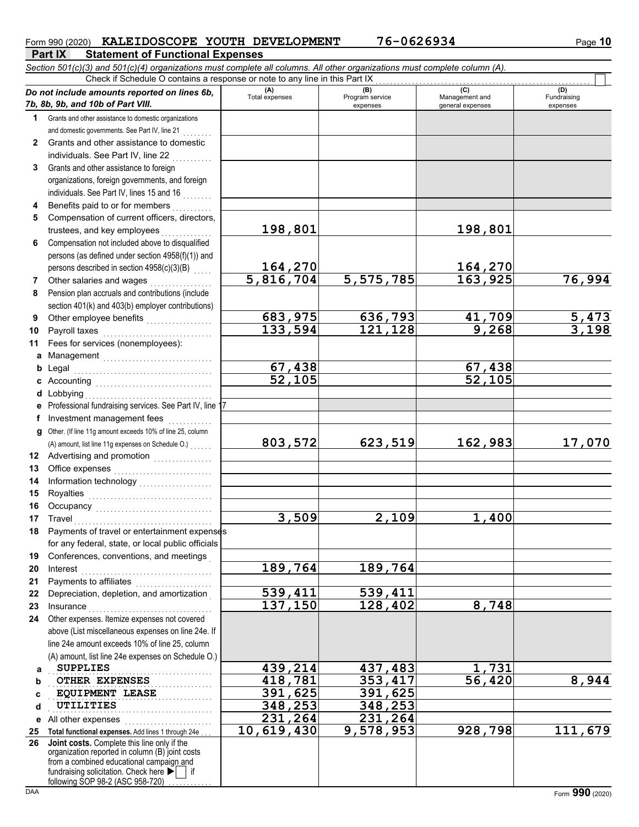#### Form 990 (2020) **KALEIDOSCOPE YOUTH DEVELOPMENT** 76-0626934 Page 10

**Part IX Statement of Functional Expenses** *Section 501(c)(3) and 501(c)(4) organizations must complete all columns. All other organizations must complete column (A).*

|              | Check if Schedule O contains a response or note to any line in this Part IX                           |                       |                                    |                                           |                                |  |  |  |  |  |  |  |
|--------------|-------------------------------------------------------------------------------------------------------|-----------------------|------------------------------------|-------------------------------------------|--------------------------------|--|--|--|--|--|--|--|
|              | Do not include amounts reported on lines 6b,<br>7b, 8b, 9b, and 10b of Part VIII.                     | (A)<br>Total expenses | (B)<br>Program service<br>expenses | (C)<br>Management and<br>general expenses | (D)<br>Fundraising<br>expenses |  |  |  |  |  |  |  |
| 1.           | Grants and other assistance to domestic organizations                                                 |                       |                                    |                                           |                                |  |  |  |  |  |  |  |
|              | and domestic governments. See Part IV, line 21                                                        |                       |                                    |                                           |                                |  |  |  |  |  |  |  |
| $\mathbf{2}$ | Grants and other assistance to domestic                                                               |                       |                                    |                                           |                                |  |  |  |  |  |  |  |
|              | individuals. See Part IV, line 22                                                                     |                       |                                    |                                           |                                |  |  |  |  |  |  |  |
| 3            | Grants and other assistance to foreign                                                                |                       |                                    |                                           |                                |  |  |  |  |  |  |  |
|              | organizations, foreign governments, and foreign                                                       |                       |                                    |                                           |                                |  |  |  |  |  |  |  |
|              | individuals. See Part IV, lines 15 and 16                                                             |                       |                                    |                                           |                                |  |  |  |  |  |  |  |
| 4            | Benefits paid to or for members                                                                       |                       |                                    |                                           |                                |  |  |  |  |  |  |  |
| 5            | Compensation of current officers, directors,                                                          |                       |                                    |                                           |                                |  |  |  |  |  |  |  |
|              | trustees, and key employees                                                                           | 198,801               |                                    | 198,801                                   |                                |  |  |  |  |  |  |  |
| 6            | Compensation not included above to disqualified                                                       |                       |                                    |                                           |                                |  |  |  |  |  |  |  |
|              | persons (as defined under section 4958(f)(1)) and                                                     |                       |                                    |                                           |                                |  |  |  |  |  |  |  |
|              |                                                                                                       |                       |                                    |                                           |                                |  |  |  |  |  |  |  |
|              | persons described in section 4958(c)(3)(B)                                                            | 164,270<br>5,816,704  |                                    | 164,270<br>163,925                        |                                |  |  |  |  |  |  |  |
| 7            | Other salaries and wages                                                                              |                       | $\overline{5,575,785}$             |                                           | 76,994                         |  |  |  |  |  |  |  |
| 8            | Pension plan accruals and contributions (include<br>section 401(k) and 403(b) employer contributions) |                       |                                    |                                           |                                |  |  |  |  |  |  |  |
| 9            | Other employee benefits                                                                               | 683,975               |                                    |                                           | $\frac{5,473}{3,198}$          |  |  |  |  |  |  |  |
| 10           | Payroll taxes                                                                                         | 133,594               | $\frac{636,793}{121,128}$          | $\frac{41,709}{9,268}$                    |                                |  |  |  |  |  |  |  |
| 11           | Fees for services (nonemployees):                                                                     |                       |                                    |                                           |                                |  |  |  |  |  |  |  |
| a            | Management                                                                                            |                       |                                    |                                           |                                |  |  |  |  |  |  |  |
| b            | Legal                                                                                                 | 67,438                |                                    | 67,438                                    |                                |  |  |  |  |  |  |  |
|              |                                                                                                       | $\frac{2}{52}$ , 105  |                                    | $\overline{52,105}$                       |                                |  |  |  |  |  |  |  |
| d            | Lobbying                                                                                              |                       |                                    |                                           |                                |  |  |  |  |  |  |  |
|              | e Professional fundraising services. See Part IV, line 1                                              |                       |                                    |                                           |                                |  |  |  |  |  |  |  |
| f            | Investment management fees                                                                            |                       |                                    |                                           |                                |  |  |  |  |  |  |  |
| g            | Other. (If line 11g amount exceeds 10% of line 25, column                                             |                       |                                    |                                           |                                |  |  |  |  |  |  |  |
|              | (A) amount, list line 11g expenses on Schedule O.)                                                    | 803,572               | 623,519                            | 162,983                                   | 17,070                         |  |  |  |  |  |  |  |
| 12           | Advertising and promotion [1] [1] [1] Advertising and promotion                                       |                       |                                    |                                           |                                |  |  |  |  |  |  |  |
| 13           |                                                                                                       |                       |                                    |                                           |                                |  |  |  |  |  |  |  |
| 14           |                                                                                                       |                       |                                    |                                           |                                |  |  |  |  |  |  |  |
| 15           |                                                                                                       |                       |                                    |                                           |                                |  |  |  |  |  |  |  |
| 16           |                                                                                                       |                       |                                    |                                           |                                |  |  |  |  |  |  |  |
| 17           | Travel                                                                                                | 3,509                 | 2,109                              | 1,400                                     |                                |  |  |  |  |  |  |  |
| 18           | Payments of travel or entertainment expenses                                                          |                       |                                    |                                           |                                |  |  |  |  |  |  |  |
|              | for any federal, state, or local public officials                                                     |                       |                                    |                                           |                                |  |  |  |  |  |  |  |
| 19           | Conferences, conventions, and meetings                                                                |                       |                                    |                                           |                                |  |  |  |  |  |  |  |
| 20           | Interest                                                                                              | 189,764               | 189,764                            |                                           |                                |  |  |  |  |  |  |  |
| 21           | Payments to affiliates                                                                                |                       |                                    |                                           |                                |  |  |  |  |  |  |  |
| 22           | Depreciation, depletion, and amortization                                                             | 539,411               | 539,411                            |                                           |                                |  |  |  |  |  |  |  |
| 23           | Insurance                                                                                             | 137,150               | 128,402                            | 8,748                                     |                                |  |  |  |  |  |  |  |
| 24           | Other expenses. Itemize expenses not covered                                                          |                       |                                    |                                           |                                |  |  |  |  |  |  |  |
|              | above (List miscellaneous expenses on line 24e. If                                                    |                       |                                    |                                           |                                |  |  |  |  |  |  |  |
|              | line 24e amount exceeds 10% of line 25, column                                                        |                       |                                    |                                           |                                |  |  |  |  |  |  |  |
|              | (A) amount, list line 24e expenses on Schedule O.)                                                    |                       |                                    |                                           |                                |  |  |  |  |  |  |  |
| a            | <b>SUPPLIES</b>                                                                                       | 439,214               | 437,483                            | 1,731                                     |                                |  |  |  |  |  |  |  |
| b            | <b>OTHER EXPENSES</b>                                                                                 | 418,781               | 353,417                            | $\overline{56, 420}$                      | 8,944                          |  |  |  |  |  |  |  |
| c            | <b>EQUIPMENT LEASE</b>                                                                                | 391,625               | 391,625                            |                                           |                                |  |  |  |  |  |  |  |
| d            | UTILITIES                                                                                             | 348,253               | 348,253                            |                                           |                                |  |  |  |  |  |  |  |
|              | All other expenses                                                                                    | 231,264               | 231,264                            |                                           |                                |  |  |  |  |  |  |  |
| е            | Total functional expenses. Add lines 1 through 24e                                                    | 10,619,430            | 9,578,953                          | 928,798                                   | 111,679                        |  |  |  |  |  |  |  |
| 25           | 26 Joint costs. Complete this line only if the                                                        |                       |                                    |                                           |                                |  |  |  |  |  |  |  |
|              | organization reported in column (B) joint costs                                                       |                       |                                    |                                           |                                |  |  |  |  |  |  |  |
|              | from a combined educational campaign and                                                              |                       |                                    |                                           |                                |  |  |  |  |  |  |  |
|              | fundraising solicitation. Check here                                                                  |                       |                                    |                                           |                                |  |  |  |  |  |  |  |
| DAA          | following SOP 98-2 (ASC 958-720)                                                                      |                       |                                    |                                           | Form 990 (2020)                |  |  |  |  |  |  |  |
|              |                                                                                                       |                       |                                    |                                           |                                |  |  |  |  |  |  |  |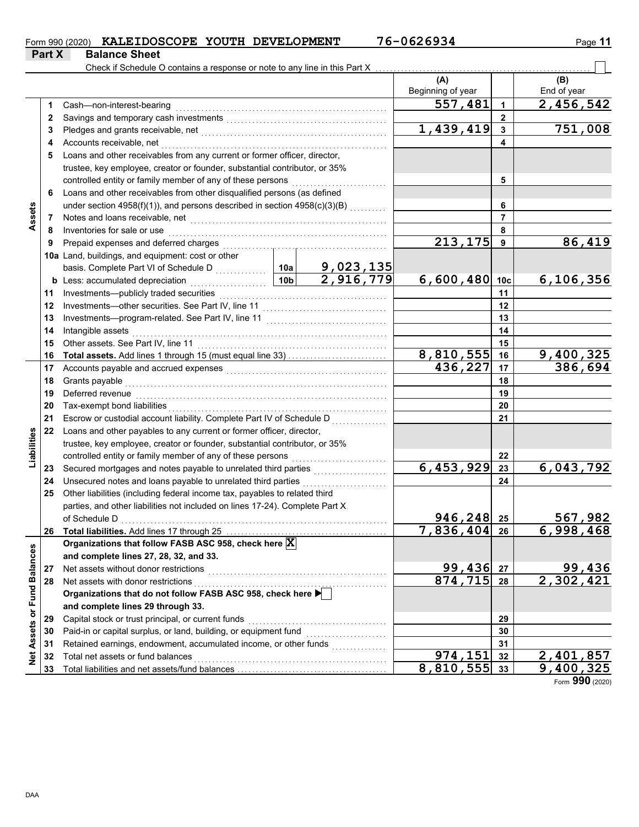| Form 990 (2020) KALEIDOSCOPE YOUTH DEVELOPMENT |  | 76-0626934 | Page 11 |
|------------------------------------------------|--|------------|---------|
|                                                |  |            |         |

|                             | Part X | <b>Balance Sheet</b>                                                                                                                                                                                                           |                 |                               |                   |                |                            |
|-----------------------------|--------|--------------------------------------------------------------------------------------------------------------------------------------------------------------------------------------------------------------------------------|-----------------|-------------------------------|-------------------|----------------|----------------------------|
|                             |        | Check if Schedule O contains a response or note to any line in this Part X                                                                                                                                                     |                 |                               |                   |                |                            |
|                             |        |                                                                                                                                                                                                                                |                 |                               | (A)               |                | (B)                        |
|                             |        |                                                                                                                                                                                                                                |                 |                               | Beginning of year |                | End of year                |
|                             | 1      | Cash-non-interest-bearing                                                                                                                                                                                                      |                 |                               | 557,481           | 1              | 2,456,542                  |
|                             | 2      |                                                                                                                                                                                                                                |                 |                               |                   | 2              |                            |
|                             | 3      |                                                                                                                                                                                                                                |                 |                               | 1,439,419         | $\mathbf{3}$   | 751,008                    |
|                             | 4      | Accounts receivable, net                                                                                                                                                                                                       |                 |                               |                   |                |                            |
|                             | 5      | Loans and other receivables from any current or former officer, director,                                                                                                                                                      |                 |                               |                   |                |                            |
|                             |        | trustee, key employee, creator or founder, substantial contributor, or 35%                                                                                                                                                     |                 |                               |                   |                |                            |
|                             |        | controlled entity or family member of any of these persons                                                                                                                                                                     |                 |                               |                   | 5              |                            |
|                             | 6      | Loans and other receivables from other disqualified persons (as defined                                                                                                                                                        |                 |                               |                   |                |                            |
|                             |        | under section 4958(f)(1)), and persons described in section 4958(c)(3)(B)                                                                                                                                                      |                 |                               | 6                 |                |                            |
| Assets                      | 7      | Notes and loans receivable, net                                                                                                                                                                                                |                 |                               |                   | $\overline{7}$ |                            |
|                             | 8      | Inventories for sale or use                                                                                                                                                                                                    |                 |                               | 8                 |                |                            |
|                             | 9      | Prepaid expenses and deferred charges                                                                                                                                                                                          |                 | 213,175                       | 9                 | 86, 419        |                            |
|                             |        | 10a Land, buildings, and equipment: cost or other                                                                                                                                                                              |                 |                               |                   |                |                            |
|                             |        | basis. Complete Part VI of Schedule D                                                                                                                                                                                          | 10a             | $\frac{9,023,135}{2,916,779}$ |                   |                |                            |
|                             |        | <b>b</b> Less: accumulated depreciation<br>.                                                                                                                                                                                   | 10 <sub>b</sub> |                               | б, 600, 480 10с   |                | 6,106,356                  |
|                             | 11     | Investments-publicly traded securities                                                                                                                                                                                         |                 |                               |                   | 11             |                            |
|                             | 12     | Investments-other securities. See Part IV, line 11                                                                                                                                                                             |                 |                               | 12                |                |                            |
|                             | 13     | Investments-program-related. See Part IV, line 11                                                                                                                                                                              |                 |                               | 13                |                |                            |
|                             | 14     | Intangible assets                                                                                                                                                                                                              |                 |                               | 14                |                |                            |
|                             | 15     | Other assets. See Part IV, line 11                                                                                                                                                                                             |                 |                               |                   | 15             |                            |
|                             | 16     | Total assets. Add lines 1 through 15 (must equal line 33)                                                                                                                                                                      |                 | 8,810,555                     | 16                | 9,400,325      |                            |
|                             | 17     | Accounts payable and accrued expenses [[11] [11] Accounts payable and accrued expenses [[11] [11] Accounts are not accredited a contract and accrued a contract a contract a contract and accrued a contract a contract a cont |                 | 436,227                       | 17                | 386,694        |                            |
|                             | 18     | Grants payable                                                                                                                                                                                                                 |                 |                               | 18                |                |                            |
|                             | 19     | Deferred revenue                                                                                                                                                                                                               |                 |                               | 19                |                |                            |
|                             | 20     | Tax-exempt bond liabilities                                                                                                                                                                                                    |                 |                               |                   | 20             |                            |
|                             | 21     | Escrow or custodial account liability. Complete Part IV of Schedule D                                                                                                                                                          |                 |                               |                   | 21             |                            |
| Liabilities                 | 22     | Loans and other payables to any current or former officer, director,                                                                                                                                                           |                 |                               |                   |                |                            |
|                             |        | trustee, key employee, creator or founder, substantial contributor, or 35%                                                                                                                                                     |                 |                               |                   |                |                            |
|                             |        | controlled entity or family member of any of these persons                                                                                                                                                                     |                 |                               |                   | 22             |                            |
|                             | 23     | Secured mortgages and notes payable to unrelated third parties                                                                                                                                                                 |                 |                               | 6,453,929         | 23             | 6,043,792                  |
|                             | 24     | Unsecured notes and loans payable to unrelated third parties                                                                                                                                                                   |                 | .                             |                   | 24             |                            |
|                             | 25     | Other liabilities (including federal income tax, payables to related third<br>parties, and other liabilities not included on lines 17-24). Complete Part X                                                                     |                 |                               |                   |                |                            |
|                             |        | of Schedule D                                                                                                                                                                                                                  |                 |                               | 946,248           |                |                            |
|                             | 26     |                                                                                                                                                                                                                                |                 |                               | 7,836,404         | 25<br>26       | 567,982<br>6,998,468       |
|                             |        | Organizations that follow FASB ASC 958, check here $\vert \overline{\mathbf{X}} \vert$                                                                                                                                         |                 |                               |                   |                |                            |
|                             |        | and complete lines 27, 28, 32, and 33.                                                                                                                                                                                         |                 |                               |                   |                |                            |
|                             | 27     | Net assets without donor restrictions                                                                                                                                                                                          |                 |                               | 99,436            | 27             |                            |
|                             | 28     | Net assets with donor restrictions                                                                                                                                                                                             |                 |                               | 874, 715          | 28             | $\frac{99,436}{2,302,421}$ |
|                             |        | Organizations that do not follow FASB ASC 958, check here                                                                                                                                                                      |                 |                               |                   |                |                            |
|                             |        | and complete lines 29 through 33.                                                                                                                                                                                              |                 |                               |                   |                |                            |
|                             | 29     | Capital stock or trust principal, or current funds                                                                                                                                                                             |                 |                               |                   | 29             |                            |
|                             | 30     | Paid-in or capital surplus, or land, building, or equipment fund                                                                                                                                                               |                 |                               |                   | 30             |                            |
|                             | 31     | Retained earnings, endowment, accumulated income, or other funds                                                                                                                                                               |                 |                               |                   | 31             |                            |
| Net Assets or Fund Balances | 32     | Total net assets or fund balances                                                                                                                                                                                              |                 |                               | 974,151           | 32             |                            |
|                             | 33     |                                                                                                                                                                                                                                |                 |                               | 8,810,555         | 33             | 2,401,857<br>9,400,325     |

Form **990** (2020)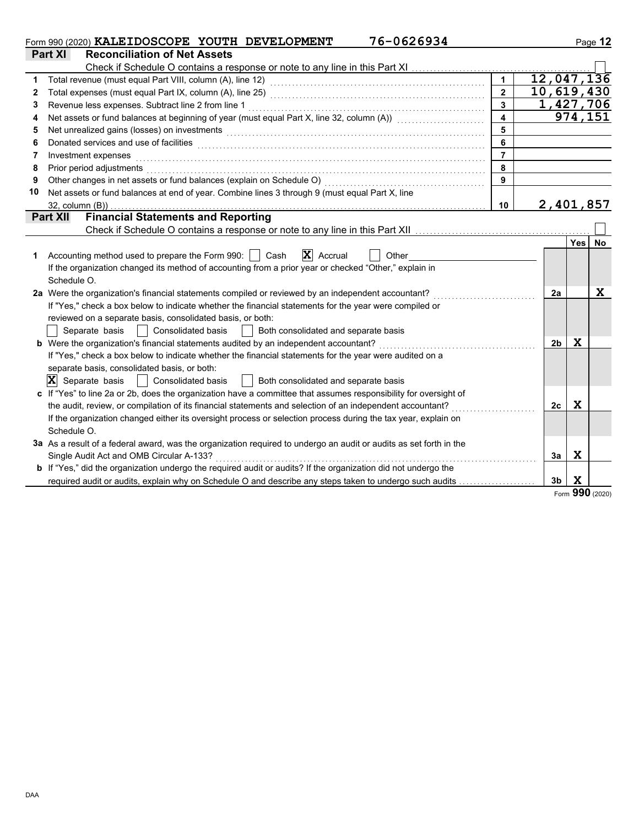|    | 76-0626934<br>Form 990 (2020) KALEIDOSCOPE YOUTH DEVELOPMENT                                                                                                                                                                   |                         |                |             | Page 12     |
|----|--------------------------------------------------------------------------------------------------------------------------------------------------------------------------------------------------------------------------------|-------------------------|----------------|-------------|-------------|
|    | Part XI<br><b>Reconciliation of Net Assets</b>                                                                                                                                                                                 |                         |                |             |             |
|    | Check if Schedule O contains a response or note to any line in this Part XI                                                                                                                                                    |                         |                |             |             |
| 1  |                                                                                                                                                                                                                                | $\mathbf{1}$            |                |             | 12,047,136  |
| 2  |                                                                                                                                                                                                                                | $\overline{2}$          |                |             | 10,619,430  |
| 3  | Revenue less expenses. Subtract line 2 from line 1                                                                                                                                                                             | $\overline{\mathbf{3}}$ |                |             | 1,427,706   |
| 4  | Net assets or fund balances at beginning of year (must equal Part X, line 32, column (A)) [[[[[[[[[[[[[[[[[[[                                                                                                                  | $\overline{\mathbf{A}}$ |                |             | 974,151     |
| 5  | Net unrealized gains (losses) on investments [11] with the content of the content of the content of the content of the content of the content of the content of the content of the content of the content of the content of th | 5                       |                |             |             |
| 6  | Donated services and use of facilities <b>constructs</b> and the construction of the service of facilities <b>constructs</b>                                                                                                   | 6                       |                |             |             |
| 7  | Investment expenses                                                                                                                                                                                                            | $\overline{7}$          |                |             |             |
| 8  | Prior period adjustments                                                                                                                                                                                                       | 8                       |                |             |             |
| 9  | Other changes in net assets or fund balances (explain on Schedule O)                                                                                                                                                           | 9                       |                |             |             |
| 10 | Net assets or fund balances at end of year. Combine lines 3 through 9 (must equal Part X, line                                                                                                                                 |                         |                |             |             |
|    | $32$ , column $(B)$ )                                                                                                                                                                                                          | 10                      |                |             | 2,401,857   |
|    | <b>Financial Statements and Reporting</b><br><b>Part XII</b>                                                                                                                                                                   |                         |                |             |             |
|    |                                                                                                                                                                                                                                |                         |                |             |             |
|    |                                                                                                                                                                                                                                |                         |                | <b>Yes</b>  | No          |
| 1  | $\mathbf{X}$ Accrual<br>Accounting method used to prepare the Form 990:     Cash<br>Other                                                                                                                                      |                         |                |             |             |
|    | If the organization changed its method of accounting from a prior year or checked "Other," explain in                                                                                                                          |                         |                |             |             |
|    | Schedule O.                                                                                                                                                                                                                    |                         |                |             |             |
|    | 2a Were the organization's financial statements compiled or reviewed by an independent accountant?                                                                                                                             |                         | 2a             |             | $\mathbf x$ |
|    | If "Yes," check a box below to indicate whether the financial statements for the year were compiled or                                                                                                                         |                         |                |             |             |
|    | reviewed on a separate basis, consolidated basis, or both:                                                                                                                                                                     |                         |                |             |             |
|    | Both consolidated and separate basis<br>Separate basis<br>Consolidated basis                                                                                                                                                   |                         |                |             |             |
|    | b Were the organization's financial statements audited by an independent accountant?                                                                                                                                           |                         | 2 <sub>b</sub> | X           |             |
|    | If "Yes," check a box below to indicate whether the financial statements for the year were audited on a                                                                                                                        |                         |                |             |             |
|    | separate basis, consolidated basis, or both:                                                                                                                                                                                   |                         |                |             |             |
|    | $ \mathbf{X} $ Separate basis<br>Consolidated basis<br>Both consolidated and separate basis                                                                                                                                    |                         |                |             |             |
|    | c If "Yes" to line 2a or 2b, does the organization have a committee that assumes responsibility for oversight of                                                                                                               |                         |                |             |             |
|    | the audit, review, or compilation of its financial statements and selection of an independent accountant?                                                                                                                      |                         | 2 <sub>c</sub> | $\mathbf x$ |             |
|    | If the organization changed either its oversight process or selection process during the tax year, explain on                                                                                                                  |                         |                |             |             |
|    | Schedule O.                                                                                                                                                                                                                    |                         |                |             |             |
|    | 3a As a result of a federal award, was the organization required to undergo an audit or audits as set forth in the                                                                                                             |                         |                |             |             |
|    | Single Audit Act and OMB Circular A-133?                                                                                                                                                                                       |                         | За             | $\mathbf x$ |             |
|    | <b>b</b> If "Yes," did the organization undergo the required audit or audits? If the organization did not undergo the                                                                                                          |                         |                |             |             |
|    | required audit or audits, explain why on Schedule O and describe any steps taken to undergo such audits                                                                                                                        |                         | 3 <sub>b</sub> | X           |             |
|    |                                                                                                                                                                                                                                |                         |                |             |             |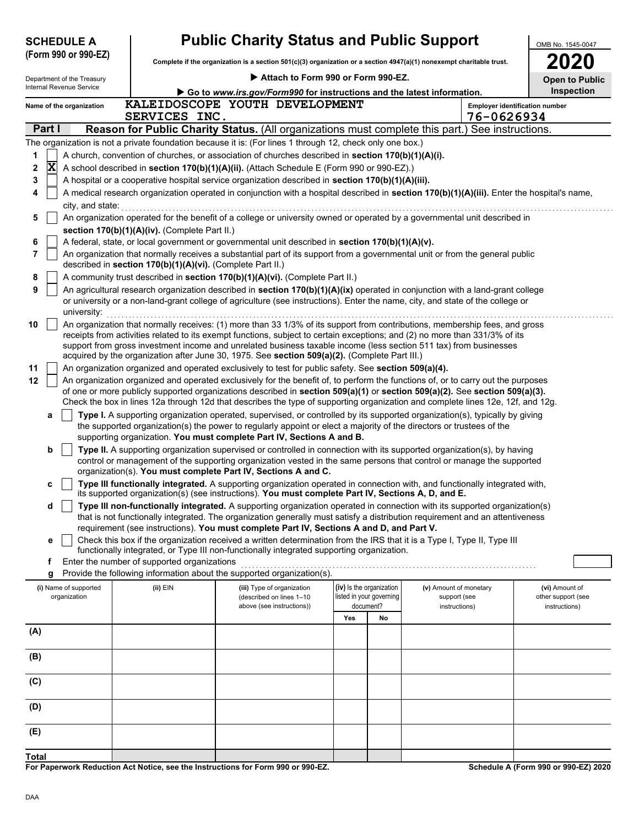| <b>SCHEDULE A</b> |                                       |                                                                                                                                                                                                 | <b>Public Charity Status and Public Support</b>            | OMB No. 1545-0047                                                                                                                                                                                     |     |                                                      |                                                                                                                                                                                                                                                                 |                                      |  |
|-------------------|---------------------------------------|-------------------------------------------------------------------------------------------------------------------------------------------------------------------------------------------------|------------------------------------------------------------|-------------------------------------------------------------------------------------------------------------------------------------------------------------------------------------------------------|-----|------------------------------------------------------|-----------------------------------------------------------------------------------------------------------------------------------------------------------------------------------------------------------------------------------------------------------------|--------------------------------------|--|
|                   | (Form 990 or 990-EZ)                  |                                                                                                                                                                                                 |                                                            | Complete if the organization is a section $501(c)(3)$ organization or a section $4947(a)(1)$ nonexempt charitable trust.                                                                              |     |                                                      |                                                                                                                                                                                                                                                                 |                                      |  |
|                   | Department of the Treasury            |                                                                                                                                                                                                 |                                                            | Attach to Form 990 or Form 990-EZ.                                                                                                                                                                    |     |                                                      |                                                                                                                                                                                                                                                                 | <b>Open to Public</b>                |  |
|                   | Internal Revenue Service              |                                                                                                                                                                                                 |                                                            | Go to www.irs.gov/Form990 for instructions and the latest information.                                                                                                                                |     |                                                      |                                                                                                                                                                                                                                                                 | Inspection                           |  |
|                   | Name of the organization              |                                                                                                                                                                                                 | SERVICES INC.                                              | KALEIDOSCOPE YOUTH DEVELOPMENT                                                                                                                                                                        |     |                                                      | 76-0626934                                                                                                                                                                                                                                                      | Employer identification number       |  |
|                   | Part I                                |                                                                                                                                                                                                 |                                                            |                                                                                                                                                                                                       |     |                                                      | Reason for Public Charity Status. (All organizations must complete this part.) See instructions.                                                                                                                                                                |                                      |  |
|                   |                                       |                                                                                                                                                                                                 |                                                            | The organization is not a private foundation because it is: (For lines 1 through 12, check only one box.)                                                                                             |     |                                                      |                                                                                                                                                                                                                                                                 |                                      |  |
| 1                 |                                       |                                                                                                                                                                                                 |                                                            |                                                                                                                                                                                                       |     |                                                      |                                                                                                                                                                                                                                                                 |                                      |  |
| 2                 | $\mathbf x$                           | A church, convention of churches, or association of churches described in section 170(b)(1)(A)(i).<br>A school described in section 170(b)(1)(A)(ii). (Attach Schedule E (Form 990 or 990-EZ).) |                                                            |                                                                                                                                                                                                       |     |                                                      |                                                                                                                                                                                                                                                                 |                                      |  |
| 3                 |                                       |                                                                                                                                                                                                 |                                                            | A hospital or a cooperative hospital service organization described in section 170(b)(1)(A)(iii).                                                                                                     |     |                                                      |                                                                                                                                                                                                                                                                 |                                      |  |
| 4                 |                                       |                                                                                                                                                                                                 |                                                            |                                                                                                                                                                                                       |     |                                                      | A medical research organization operated in conjunction with a hospital described in section 170(b)(1)(A)(iii). Enter the hospital's name,                                                                                                                      |                                      |  |
|                   | city, and state:                      |                                                                                                                                                                                                 |                                                            |                                                                                                                                                                                                       |     |                                                      |                                                                                                                                                                                                                                                                 |                                      |  |
| 5                 |                                       |                                                                                                                                                                                                 |                                                            |                                                                                                                                                                                                       |     |                                                      | An organization operated for the benefit of a college or university owned or operated by a governmental unit described in                                                                                                                                       |                                      |  |
| 6                 |                                       |                                                                                                                                                                                                 | section 170(b)(1)(A)(iv). (Complete Part II.)              | A federal, state, or local government or governmental unit described in section 170(b)(1)(A)(v).                                                                                                      |     |                                                      |                                                                                                                                                                                                                                                                 |                                      |  |
| 7                 |                                       |                                                                                                                                                                                                 |                                                            |                                                                                                                                                                                                       |     |                                                      | An organization that normally receives a substantial part of its support from a governmental unit or from the general public                                                                                                                                    |                                      |  |
|                   |                                       |                                                                                                                                                                                                 | described in section 170(b)(1)(A)(vi). (Complete Part II.) |                                                                                                                                                                                                       |     |                                                      |                                                                                                                                                                                                                                                                 |                                      |  |
| 8                 |                                       |                                                                                                                                                                                                 |                                                            | A community trust described in section 170(b)(1)(A)(vi). (Complete Part II.)                                                                                                                          |     |                                                      |                                                                                                                                                                                                                                                                 |                                      |  |
| 9                 | university:                           |                                                                                                                                                                                                 |                                                            |                                                                                                                                                                                                       |     |                                                      | An agricultural research organization described in section 170(b)(1)(A)(ix) operated in conjunction with a land-grant college<br>or university or a non-land-grant college of agriculture (see instructions). Enter the name, city, and state of the college or |                                      |  |
| 10                |                                       |                                                                                                                                                                                                 |                                                            |                                                                                                                                                                                                       |     |                                                      | An organization that normally receives: (1) more than 33 1/3% of its support from contributions, membership fees, and gross                                                                                                                                     |                                      |  |
|                   |                                       |                                                                                                                                                                                                 |                                                            |                                                                                                                                                                                                       |     |                                                      | receipts from activities related to its exempt functions, subject to certain exceptions; and (2) no more than 331/3% of its                                                                                                                                     |                                      |  |
|                   |                                       |                                                                                                                                                                                                 |                                                            |                                                                                                                                                                                                       |     |                                                      | support from gross investment income and unrelated business taxable income (less section 511 tax) from businesses                                                                                                                                               |                                      |  |
| 11                |                                       |                                                                                                                                                                                                 |                                                            | acquired by the organization after June 30, 1975. See section 509(a)(2). (Complete Part III.)<br>An organization organized and operated exclusively to test for public safety. See section 509(a)(4). |     |                                                      |                                                                                                                                                                                                                                                                 |                                      |  |
| 12                |                                       |                                                                                                                                                                                                 |                                                            |                                                                                                                                                                                                       |     |                                                      | An organization organized and operated exclusively for the benefit of, to perform the functions of, or to carry out the purposes                                                                                                                                |                                      |  |
|                   |                                       |                                                                                                                                                                                                 |                                                            |                                                                                                                                                                                                       |     |                                                      | of one or more publicly supported organizations described in section 509(a)(1) or section 509(a)(2). See section 509(a)(3).                                                                                                                                     |                                      |  |
|                   |                                       |                                                                                                                                                                                                 |                                                            |                                                                                                                                                                                                       |     |                                                      | Check the box in lines 12a through 12d that describes the type of supporting organization and complete lines 12e, 12f, and 12g.                                                                                                                                 |                                      |  |
|                   | а                                     |                                                                                                                                                                                                 |                                                            | the supported organization(s) the power to regularly appoint or elect a majority of the directors or trustees of the<br>supporting organization. You must complete Part IV, Sections A and B.         |     |                                                      | Type I. A supporting organization operated, supervised, or controlled by its supported organization(s), typically by giving                                                                                                                                     |                                      |  |
|                   | b                                     |                                                                                                                                                                                                 |                                                            |                                                                                                                                                                                                       |     |                                                      | Type II. A supporting organization supervised or controlled in connection with its supported organization(s), by having                                                                                                                                         |                                      |  |
|                   |                                       |                                                                                                                                                                                                 |                                                            |                                                                                                                                                                                                       |     |                                                      | control or management of the supporting organization vested in the same persons that control or manage the supported                                                                                                                                            |                                      |  |
|                   |                                       |                                                                                                                                                                                                 |                                                            | organization(s). You must complete Part IV, Sections A and C.                                                                                                                                         |     |                                                      | Type III functionally integrated. A supporting organization operated in connection with, and functionally integrated with,                                                                                                                                      |                                      |  |
|                   | c                                     |                                                                                                                                                                                                 |                                                            | its supported organization(s) (see instructions). You must complete Part IV, Sections A, D, and E.                                                                                                    |     |                                                      |                                                                                                                                                                                                                                                                 |                                      |  |
|                   | d                                     |                                                                                                                                                                                                 |                                                            |                                                                                                                                                                                                       |     |                                                      | Type III non-functionally integrated. A supporting organization operated in connection with its supported organization(s)<br>that is not functionally integrated. The organization generally must satisfy a distribution requirement and an attentiveness       |                                      |  |
|                   | е                                     |                                                                                                                                                                                                 |                                                            | requirement (see instructions). You must complete Part IV, Sections A and D, and Part V.                                                                                                              |     |                                                      | Check this box if the organization received a written determination from the IRS that it is a Type I, Type II, Type III                                                                                                                                         |                                      |  |
|                   |                                       |                                                                                                                                                                                                 |                                                            | functionally integrated, or Type III non-functionally integrated supporting organization.                                                                                                             |     |                                                      |                                                                                                                                                                                                                                                                 |                                      |  |
|                   | f                                     |                                                                                                                                                                                                 | Enter the number of supported organizations                |                                                                                                                                                                                                       |     |                                                      |                                                                                                                                                                                                                                                                 |                                      |  |
|                   | g                                     |                                                                                                                                                                                                 |                                                            | Provide the following information about the supported organization(s).                                                                                                                                |     |                                                      |                                                                                                                                                                                                                                                                 |                                      |  |
|                   | (i) Name of supported<br>organization |                                                                                                                                                                                                 | (ii) EIN                                                   | (iii) Type of organization<br>(described on lines 1-10                                                                                                                                                |     | (iv) Is the organization<br>listed in your governing | (v) Amount of monetary<br>support (see                                                                                                                                                                                                                          | (vi) Amount of<br>other support (see |  |
|                   |                                       |                                                                                                                                                                                                 |                                                            | above (see instructions))                                                                                                                                                                             |     | document?                                            | instructions)                                                                                                                                                                                                                                                   | instructions)                        |  |
|                   |                                       |                                                                                                                                                                                                 |                                                            |                                                                                                                                                                                                       | Yes | No                                                   |                                                                                                                                                                                                                                                                 |                                      |  |
| (A)               |                                       |                                                                                                                                                                                                 |                                                            |                                                                                                                                                                                                       |     |                                                      |                                                                                                                                                                                                                                                                 |                                      |  |
|                   |                                       |                                                                                                                                                                                                 |                                                            |                                                                                                                                                                                                       |     |                                                      |                                                                                                                                                                                                                                                                 |                                      |  |
| (B)               |                                       |                                                                                                                                                                                                 |                                                            |                                                                                                                                                                                                       |     |                                                      |                                                                                                                                                                                                                                                                 |                                      |  |
| (C)               |                                       |                                                                                                                                                                                                 |                                                            |                                                                                                                                                                                                       |     |                                                      |                                                                                                                                                                                                                                                                 |                                      |  |
| (D)               |                                       |                                                                                                                                                                                                 |                                                            |                                                                                                                                                                                                       |     |                                                      |                                                                                                                                                                                                                                                                 |                                      |  |
|                   | (E)                                   |                                                                                                                                                                                                 |                                                            |                                                                                                                                                                                                       |     |                                                      |                                                                                                                                                                                                                                                                 |                                      |  |
| Total             |                                       |                                                                                                                                                                                                 |                                                            |                                                                                                                                                                                                       |     |                                                      |                                                                                                                                                                                                                                                                 |                                      |  |
|                   |                                       |                                                                                                                                                                                                 |                                                            |                                                                                                                                                                                                       |     |                                                      |                                                                                                                                                                                                                                                                 |                                      |  |

**For Paperwork Reduction Act Notice, see the Instructions for Form 990 or 990-EZ.**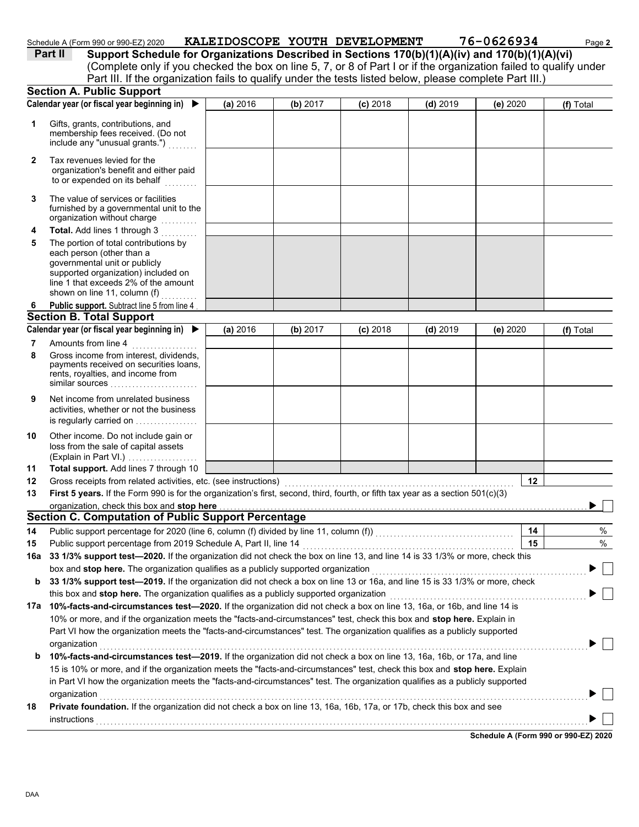| Schedule A (Form 990 or 990-EZ) 2020 |  |  |  |  |  | KALEIDOSCOPE YOUTH DEVELOPMENT |  | 76-0626934 | Page <b>2</b> |
|--------------------------------------|--|--|--|--|--|--------------------------------|--|------------|---------------|
|                                      |  |  |  |  |  |                                |  |            |               |

| Part II |  |  |
|---------|--|--|
|         |  |  |
|         |  |  |

**Part II Support Schedule for Organizations Described in Sections 170(b)(1)(A)(iv) and 170(b)(1)(A)(vi)**

(Complete only if you checked the box on line 5, 7, or 8 of Part I or if the organization failed to qualify under Part III. If the organization fails to qualify under the tests listed below, please complete Part III.)

|    | <b>Section A. Public Support</b>                                                                                                                                                                                       |          |          |            |            |          |            |      |
|----|------------------------------------------------------------------------------------------------------------------------------------------------------------------------------------------------------------------------|----------|----------|------------|------------|----------|------------|------|
|    | Calendar year (or fiscal year beginning in)<br>▶                                                                                                                                                                       | (a) 2016 | (b) 2017 | $(c)$ 2018 | $(d)$ 2019 | (e) 2020 | (f) Total  |      |
| 1  | Gifts, grants, contributions, and<br>membership fees received. (Do not<br>include any "unusual grants.")                                                                                                               |          |          |            |            |          |            |      |
| 2  | Tax revenues levied for the<br>organization's benefit and either paid<br>to or expended on its behalf                                                                                                                  |          |          |            |            |          |            |      |
| 3  | The value of services or facilities<br>furnished by a governmental unit to the<br>organization without charge                                                                                                          |          |          |            |            |          |            |      |
| 4  | Total. Add lines 1 through 3                                                                                                                                                                                           |          |          |            |            |          |            |      |
| 5  | The portion of total contributions by<br>each person (other than a<br>governmental unit or publicly<br>supported organization) included on<br>line 1 that exceeds 2% of the amount<br>shown on line 11, column (f)     |          |          |            |            |          |            |      |
| 6  | Public support. Subtract line 5 from line 4                                                                                                                                                                            |          |          |            |            |          |            |      |
|    | <b>Section B. Total Support</b>                                                                                                                                                                                        |          |          |            |            |          |            |      |
|    | Calendar year (or fiscal year beginning in) ▶                                                                                                                                                                          | (a) 2016 | (b) 2017 | $(c)$ 2018 | $(d)$ 2019 | (e) 2020 | (f) Total  |      |
| 7  | Amounts from line 4                                                                                                                                                                                                    |          |          |            |            |          |            |      |
| 8  | Gross income from interest, dividends,<br>payments received on securities loans,<br>rents, royalties, and income from<br>similar sources                                                                               |          |          |            |            |          |            |      |
| 9  | Net income from unrelated business<br>activities, whether or not the business<br>is regularly carried on                                                                                                               |          |          |            |            |          |            |      |
| 10 | Other income. Do not include gain or<br>loss from the sale of capital assets<br>(Explain in Part VI.)                                                                                                                  |          |          |            |            |          |            |      |
| 11 | Total support. Add lines 7 through 10                                                                                                                                                                                  |          |          |            |            |          |            |      |
| 12 | Gross receipts from related activities, etc. (see instructions)                                                                                                                                                        |          |          |            |            |          | 12         |      |
| 13 | First 5 years. If the Form 990 is for the organization's first, second, third, fourth, or fifth tax year as a section $501(c)(3)$                                                                                      |          |          |            |            |          |            |      |
|    | organization, check this box and stop here                                                                                                                                                                             |          |          |            |            |          |            |      |
|    | <b>Section C. Computation of Public Support Percentage</b>                                                                                                                                                             |          |          |            |            |          |            |      |
| 14 | Public support percentage for 2020 (line 6, column (f) divided by line 11, column (f)) [[[[[[[[[[[[[[[[[[[[[[                                                                                                          |          |          |            |            |          | 14         | %    |
| 15 | Public support percentage from 2019 Schedule A, Part II, line 14                                                                                                                                                       |          |          |            |            |          | 15         | $\%$ |
|    | 16a 33 1/3% support test-2020. If the organization did not check the box on line 13, and line 14 is 33 1/3% or more, check this                                                                                        |          |          |            |            |          |            |      |
|    | box and stop here. The organization qualifies as a publicly supported organization                                                                                                                                     |          |          |            |            |          |            |      |
| b  | 33 1/3% support test-2019. If the organization did not check a box on line 13 or 16a, and line 15 is 33 1/3% or more, check<br>this box and stop here. The organization qualifies as a publicly supported organization |          |          |            |            |          |            |      |
|    | 17a 10%-facts-and-circumstances test-2020. If the organization did not check a box on line 13, 16a, or 16b, and line 14 is                                                                                             |          |          |            |            |          |            |      |
|    | 10% or more, and if the organization meets the "facts-and-circumstances" test, check this box and stop here. Explain in                                                                                                |          |          |            |            |          |            |      |
|    | Part VI how the organization meets the "facts-and-circumstances" test. The organization qualifies as a publicly supported                                                                                              |          |          |            |            |          |            |      |
| b  | organization<br>10%-facts-and-circumstances test-2019. If the organization did not check a box on line 13, 16a, 16b, or 17a, and line                                                                                  |          |          |            |            |          |            |      |
|    | 15 is 10% or more, and if the organization meets the "facts-and-circumstances" test, check this box and stop here. Explain                                                                                             |          |          |            |            |          |            |      |
|    | in Part VI how the organization meets the "facts-and-circumstances" test. The organization qualifies as a publicly supported                                                                                           |          |          |            |            |          |            |      |
|    | organization                                                                                                                                                                                                           |          |          |            |            |          |            |      |
| 18 | Private foundation. If the organization did not check a box on line 13, 16a, 16b, 17a, or 17b, check this box and see                                                                                                  |          |          |            |            |          |            |      |
|    | instructions                                                                                                                                                                                                           |          |          |            |            |          |            |      |
|    |                                                                                                                                                                                                                        |          |          |            |            |          | 0.00E20000 |      |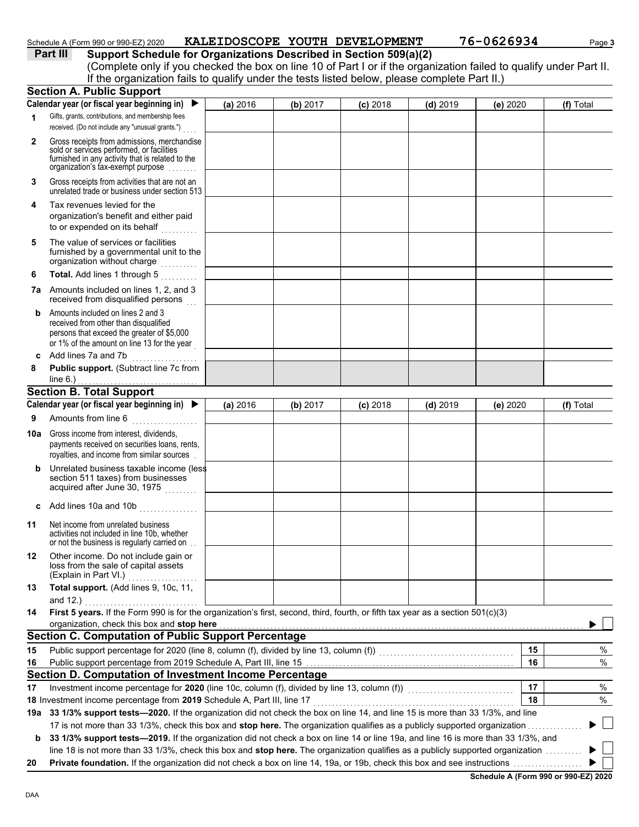#### Schedule A (Form 990 or 990-EZ) 2020 **KALEIDOSCOPE YOUTH DEVELOPMENT** 76-0626934 Page 3

| Part III | Support Schedule for Organizations Described in Section 509(a)(2)                                                  |
|----------|--------------------------------------------------------------------------------------------------------------------|
|          | (Complete only if you checked the box on line 10 of Part I or if the organization failed to qualify under Part II. |
|          | If the organization fails to qualify under the tests listed below, please complete Part II.)                       |

|     | <b>Section A. Public Support</b>                                                                                                                                                  |          |          |            |            |          |           |
|-----|-----------------------------------------------------------------------------------------------------------------------------------------------------------------------------------|----------|----------|------------|------------|----------|-----------|
|     | Calendar year (or fiscal year beginning in)<br>▶                                                                                                                                  | (a) 2016 | (b) 2017 | $(c)$ 2018 | $(d)$ 2019 | (e) 2020 | (f) Total |
| 1   | Gifts, grants, contributions, and membership fees<br>received. (Do not include any "unusual grants.")                                                                             |          |          |            |            |          |           |
| 2   | Gross receipts from admissions, merchandise<br>sold or services performed, or facilities<br>furnished in any activity that is related to the<br>organization's tax-exempt purpose |          |          |            |            |          |           |
| 3   | Gross receipts from activities that are not an<br>unrelated trade or business under section 513                                                                                   |          |          |            |            |          |           |
| 4   | Tax revenues levied for the<br>organization's benefit and either paid<br>to or expended on its behalf                                                                             |          |          |            |            |          |           |
| 5   | The value of services or facilities<br>furnished by a governmental unit to the<br>organization without charge<br>.                                                                |          |          |            |            |          |           |
| 6   | Total. Add lines 1 through 5                                                                                                                                                      |          |          |            |            |          |           |
|     | <b>7a</b> Amounts included on lines 1, 2, and 3<br>received from disqualified persons                                                                                             |          |          |            |            |          |           |
| b   | Amounts included on lines 2 and 3<br>received from other than disqualified<br>persons that exceed the greater of \$5,000<br>or 1% of the amount on line 13 for the year           |          |          |            |            |          |           |
| C   | Add lines 7a and 7b                                                                                                                                                               |          |          |            |            |          |           |
| 8   | Public support. (Subtract line 7c from                                                                                                                                            |          |          |            |            |          |           |
|     | line $6.$ )                                                                                                                                                                       |          |          |            |            |          |           |
|     | <b>Section B. Total Support</b><br>Calendar year (or fiscal year beginning in)                                                                                                    |          |          |            |            |          |           |
|     |                                                                                                                                                                                   | (a) 2016 | (b) 2017 | $(c)$ 2018 | $(d)$ 2019 | (e) 2020 | (f) Total |
| 9   | Amounts from line 6<br><u>.</u><br>1980 - Johann Land, amerikansk politiker                                                                                                       |          |          |            |            |          |           |
| 10a | Gross income from interest, dividends,<br>payments received on securities loans, rents,<br>royalties, and income from similar sources                                             |          |          |            |            |          |           |
| b   | Unrelated business taxable income (less<br>section 511 taxes) from businesses<br>acquired after June 30, 1975                                                                     |          |          |            |            |          |           |
| C   | Add lines 10a and 10b                                                                                                                                                             |          |          |            |            |          |           |
| 11  | Net income from unrelated business<br>activities not included in line 10b, whether<br>or not the business is regularly carried on                                                 |          |          |            |            |          |           |
| 12  | Other income. Do not include gain or<br>loss from the sale of capital assets<br>(Explain in Part VI.)                                                                             |          |          |            |            |          |           |
| 13  | Total support. (Add lines 9, 10c, 11,<br>and $12.$ )                                                                                                                              |          |          |            |            |          |           |
| 14  | First 5 years. If the Form 990 is for the organization's first, second, third, fourth, or fifth tax year as a section 501(c)(3)                                                   |          |          |            |            |          |           |
|     | organization, check this box and stop here                                                                                                                                        |          |          |            |            |          |           |
|     | <b>Section C. Computation of Public Support Percentage</b>                                                                                                                        |          |          |            |            |          |           |
| 15  | Public support percentage for 2020 (line 8, column (f), divided by line 13, column (f)) [[[[[[[[[[[[[[[[[[[[[                                                                     |          |          |            |            | 15       | %         |
| 16  |                                                                                                                                                                                   |          |          |            |            | 16       | %         |
|     | Section D. Computation of Investment Income Percentage                                                                                                                            |          |          |            |            |          |           |
| 17  |                                                                                                                                                                                   |          |          |            |            | 17       | %         |
|     | 18 Investment income percentage from 2019 Schedule A, Part III, line 17                                                                                                           |          |          |            |            | 18       | %         |
|     | 19a 33 1/3% support tests-2020. If the organization did not check the box on line 14, and line 15 is more than 33 1/3%, and line                                                  |          |          |            |            |          |           |
|     | 17 is not more than 33 1/3%, check this box and stop here. The organization qualifies as a publicly supported organization                                                        |          |          |            |            |          |           |
| b   | 33 1/3% support tests-2019. If the organization did not check a box on line 14 or line 19a, and line 16 is more than 33 1/3%, and                                                 |          |          |            |            |          |           |
|     | line 18 is not more than 33 1/3%, check this box and stop here. The organization qualifies as a publicly supported organization                                                   |          |          |            |            |          | $\perp$   |
| 20  | <b>Private foundation.</b> If the organization did not check a box on line 14, 19a, or 19b, check this box and see instructions <i>maniminia</i>                                  |          |          |            |            |          |           |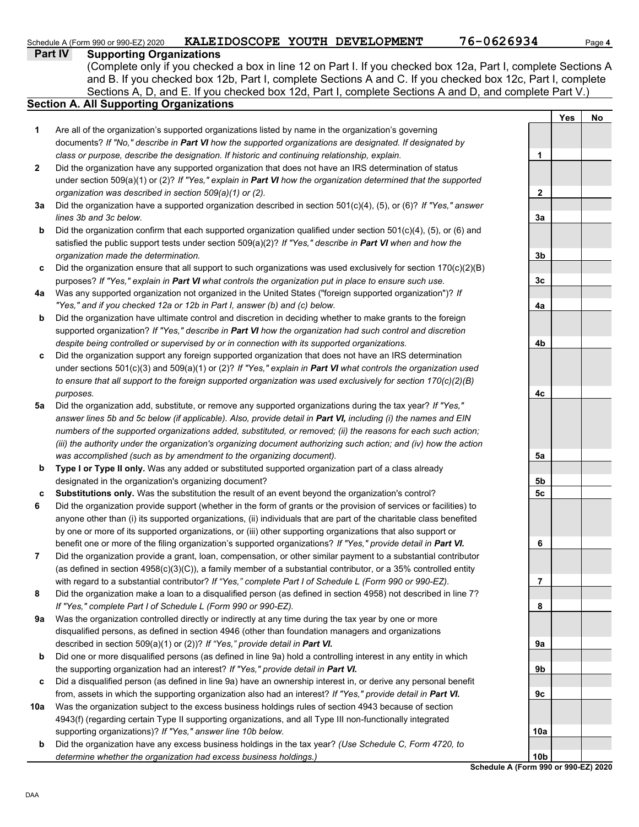### Schedule A (Form 990 or 990-EZ) 2020 **KALEIDOSCOPE YOUTH DEVELOPMENT 76-0626934** Page 4

**Part IV Supporting Organizations**

Sections A, D, and E. If you checked box 12d, Part I, complete Sections A and D, and complete Part V.) (Complete only if you checked a box in line 12 on Part I. If you checked box 12a, Part I, complete Sections A and B. If you checked box 12b, Part I, complete Sections A and C. If you checked box 12c, Part I, complete

### **Section A. All Supporting Organizations**

- Are all of the organization's supported organizations listed by name in the organization's governing documents? *If "No," describe in Part VI how the supported organizations are designated. If designated by class or purpose, describe the designation. If historic and continuing relationship, explain.* **1**
- Did the organization have any supported organization that does not have an IRS determination of status under section 509(a)(1) or (2)? *If "Yes," explain in Part VI how the organization determined that the supported organization was described in section 509(a)(1) or (2).* **2**
- **3a** Did the organization have a supported organization described in section 501(c)(4), (5), or (6)? *If "Yes," answer lines 3b and 3c below.*
- **b** Did the organization confirm that each supported organization qualified under section 501(c)(4), (5), or (6) and satisfied the public support tests under section 509(a)(2)? *If "Yes," describe in Part VI when and how the organization made the determination.*
- **c** Did the organization ensure that all support to such organizations was used exclusively for section 170(c)(2)(B) purposes? *If "Yes," explain in Part VI what controls the organization put in place to ensure such use.*
- **4a** Was any supported organization not organized in the United States ("foreign supported organization")? *If "Yes," and if you checked 12a or 12b in Part I, answer (b) and (c) below.*
- **b** Did the organization have ultimate control and discretion in deciding whether to make grants to the foreign supported organization? *If "Yes," describe in Part VI how the organization had such control and discretion despite being controlled or supervised by or in connection with its supported organizations.*
- **c** Did the organization support any foreign supported organization that does not have an IRS determination under sections 501(c)(3) and 509(a)(1) or (2)? *If "Yes," explain in Part VI what controls the organization used to ensure that all support to the foreign supported organization was used exclusively for section 170(c)(2)(B) purposes.*
- **5a** Did the organization add, substitute, or remove any supported organizations during the tax year? *If "Yes," answer lines 5b and 5c below (if applicable). Also, provide detail in Part VI, including (i) the names and EIN numbers of the supported organizations added, substituted, or removed; (ii) the reasons for each such action; (iii) the authority under the organization's organizing document authorizing such action; and (iv) how the action was accomplished (such as by amendment to the organizing document).*
- **b Type I or Type II only.** Was any added or substituted supported organization part of a class already designated in the organization's organizing document?
- **c Substitutions only.** Was the substitution the result of an event beyond the organization's control?
- **6** Did the organization provide support (whether in the form of grants or the provision of services or facilities) to anyone other than (i) its supported organizations, (ii) individuals that are part of the charitable class benefited by one or more of its supported organizations, or (iii) other supporting organizations that also support or benefit one or more of the filing organization's supported organizations? *If "Yes," provide detail in Part VI.*
- **7** Did the organization provide a grant, loan, compensation, or other similar payment to a substantial contributor (as defined in section 4958(c)(3)(C)), a family member of a substantial contributor, or a 35% controlled entity with regard to a substantial contributor? *If "Yes," complete Part I of Schedule L (Form 990 or 990-EZ).*
- **8** Did the organization make a loan to a disqualified person (as defined in section 4958) not described in line 7? *If "Yes," complete Part I of Schedule L (Form 990 or 990-EZ).*
- **9a** Was the organization controlled directly or indirectly at any time during the tax year by one or more disqualified persons, as defined in section 4946 (other than foundation managers and organizations described in section 509(a)(1) or (2))? *If "Yes," provide detail in Part VI.*
- **b** Did one or more disqualified persons (as defined in line 9a) hold a controlling interest in any entity in which the supporting organization had an interest? *If "Yes," provide detail in Part VI.*
- **c** Did a disqualified person (as defined in line 9a) have an ownership interest in, or derive any personal benefit from, assets in which the supporting organization also had an interest? *If "Yes," provide detail in Part VI.*
- **10a** Was the organization subject to the excess business holdings rules of section 4943 because of section 4943(f) (regarding certain Type II supporting organizations, and all Type III non-functionally integrated supporting organizations)? *If "Yes," answer line 10b below.*
- **b** Did the organization have any excess business holdings in the tax year? *(Use Schedule C, Form 4720, to determine whether the organization had excess business holdings.)*

**Yes No 1 2 3a 3b 3c 4a 4b 4c 5a 5b 5c 6 7 8 9a 9b 9c 10a 10b**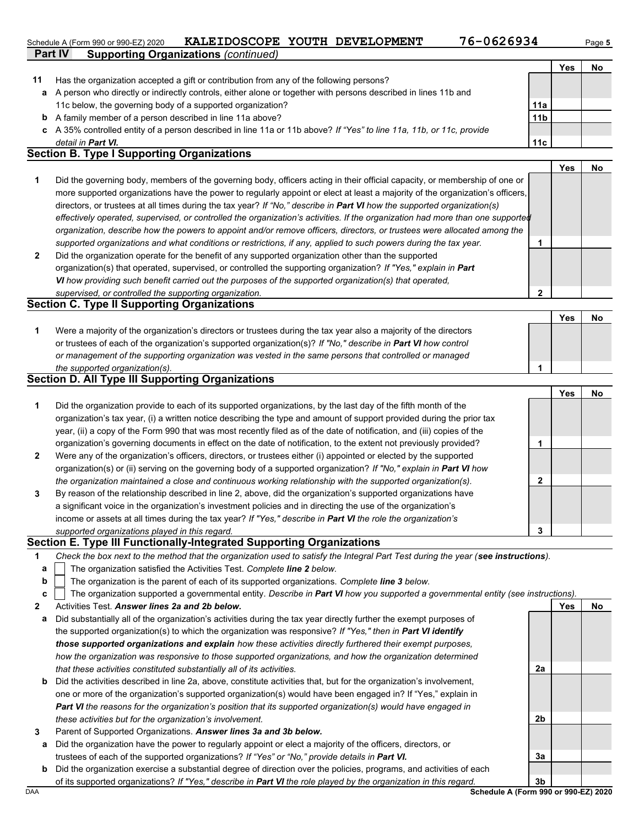#### Schedule A (Form 990 or 990-EZ) 2020 **KALEIDOSCOPE YOUTH DEVELOPMENT 76-0626934** Page 5

|  | 76-062693 |  |  |  |  |  |
|--|-----------|--|--|--|--|--|
|--|-----------|--|--|--|--|--|

**2**

|    | Part IV<br><b>Supporting Organizations (continued)</b>                                                                         |                 |     |    |
|----|--------------------------------------------------------------------------------------------------------------------------------|-----------------|-----|----|
|    |                                                                                                                                |                 | Yes | No |
| 11 | Has the organization accepted a gift or contribution from any of the following persons?                                        |                 |     |    |
| a  | A person who directly or indirectly controls, either alone or together with persons described in lines 11b and                 |                 |     |    |
|    | 11c below, the governing body of a supported organization?                                                                     | 11a             |     |    |
| b  | A family member of a person described in line 11a above?                                                                       | 11 <sub>b</sub> |     |    |
| c  | A 35% controlled entity of a person described in line 11a or 11b above? If "Yes" to line 11a, 11b, or 11c, provide             |                 |     |    |
|    | detail in <b>Part VI.</b>                                                                                                      | 11c             |     |    |
|    | <b>Section B. Type I Supporting Organizations</b>                                                                              |                 |     |    |
|    |                                                                                                                                |                 | Yes | No |
|    | Did the governing body, members of the governing body, officers acting in their official capacity, or membership of one or     |                 |     |    |
|    | more supported organizations have the power to regularly appoint or elect at least a majority of the organization's officers,  |                 |     |    |
|    | directors, or trustees at all times during the tax year? If "No," describe in Part VI how the supported organization(s)        |                 |     |    |
|    | effectively operated, supervised, or controlled the organization's activities. If the organization had more than one supported |                 |     |    |
|    | organization, describe how the powers to appoint and/or remove officers, directors, or trustees were allocated among the       |                 |     |    |
|    | supported organizations and what conditions or restrictions, if any, applied to such powers during the tax year.               |                 |     |    |

| Did the organization operate for the benefit of any supported organization other than the supported             |
|-----------------------------------------------------------------------------------------------------------------|
| organization(s) that operated, supervised, or controlled the supporting organization? If "Yes," explain in Part |
| VI how providing such benefit carried out the purposes of the supported organization(s) that operated.          |
| supervised, or controlled the supporting organization.                                                          |

#### **Section C. Type II Supporting Organizations**

|                                                                                                                  | Yes |  |
|------------------------------------------------------------------------------------------------------------------|-----|--|
| Were a majority of the organization's directors or trustees during the tax year also a majority of the directors |     |  |
| or trustees of each of the organization's supported organization(s)? If "No," describe in Part VI how control    |     |  |
| or management of the supporting organization was vested in the same persons that controlled or managed           |     |  |
| the supported organization(s).                                                                                   |     |  |

#### **Section D. All Type III Supporting Organizations**

|                |                                                                                                                        |   | Yes | No |
|----------------|------------------------------------------------------------------------------------------------------------------------|---|-----|----|
| 1              | Did the organization provide to each of its supported organizations, by the last day of the fifth month of the         |   |     |    |
|                | organization's tax year, (i) a written notice describing the type and amount of support provided during the prior tax  |   |     |    |
|                | year, (ii) a copy of the Form 990 that was most recently filed as of the date of notification, and (iii) copies of the |   |     |    |
|                | organization's governing documents in effect on the date of notification, to the extent not previously provided?       |   |     |    |
| $\overline{2}$ | Were any of the organization's officers, directors, or trustees either (i) appointed or elected by the supported       |   |     |    |
|                | organization(s) or (ii) serving on the governing body of a supported organization? If "No," explain in Part VI how     |   |     |    |
|                | the organization maintained a close and continuous working relationship with the supported organization(s).            | 2 |     |    |
| 3              | By reason of the relationship described in line 2, above, did the organization's supported organizations have          |   |     |    |
|                | a significant voice in the organization's investment policies and in directing the use of the organization's           |   |     |    |
|                | income or assets at all times during the tax year? If "Yes," describe in Part VI the role the organization's           |   |     |    |
|                | supported organizations played in this regard.                                                                         | 3 |     |    |

#### **Section E. Type III Functionally-Integrated Supporting Organizations**

| Check the box next to the method that the organization used to satisfy the Integral Part Test during the year (see instructions). |  |
|-----------------------------------------------------------------------------------------------------------------------------------|--|

- The organization satisfied the Activities Test. *Complete line 2 below.* **a**
- The organization is the parent of each of its supported organizations. *Complete line 3 below.* **b**

- **2** Activities Test. *Answer lines 2a and 2b below.*
- **a** Did substantially all of the organization's activities during the tax year directly further the exempt purposes of the supported organization(s) to which the organization was responsive? *If "Yes," then in Part VI identify those supported organizations and explain how these activities directly furthered their exempt purposes, how the organization was responsive to those supported organizations, and how the organization determined that these activities constituted substantially all of its activities.*
- **b** Did the activities described in line 2a, above, constitute activities that, but for the organization's involvement, one or more of the organization's supported organization(s) would have been engaged in? If "Yes," explain in *Part VI the reasons for the organization's position that its supported organization(s) would have engaged in these activities but for the organization's involvement.*
- **3** Parent of Supported Organizations. *Answer lines 3a and 3b below.*
	- **a** Did the organization have the power to regularly appoint or elect a majority of the officers, directors, or trustees of each of the supported organizations? *If "Yes" or "No," provide details in Part VI.*
	- **b** Did the organization exercise a substantial degree of direction over the policies, programs, and activities of each of its supported organizations? *If "Yes," describe in Part VI the role played by the organization in this regard.*

**2a**

**2b**

**3a**

**Yes No**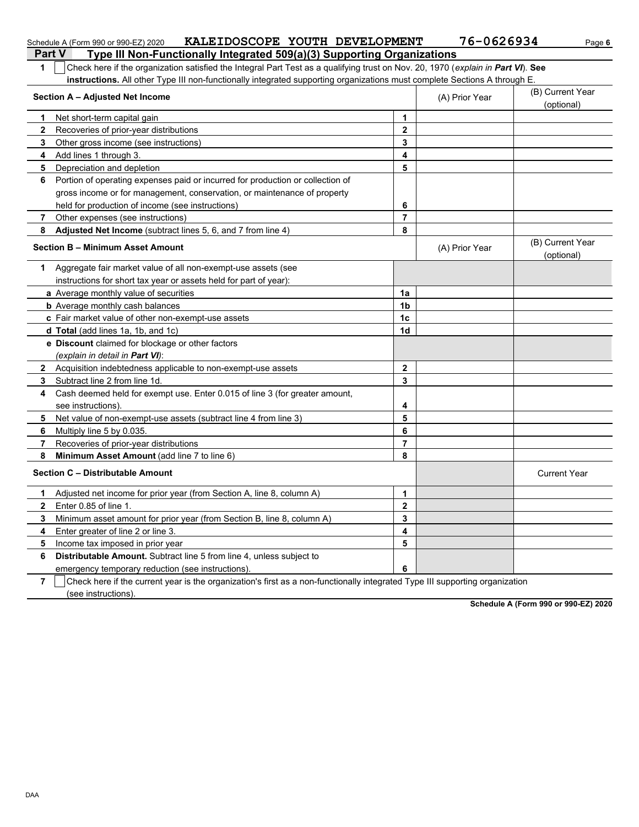|                | KALEIDOSCOPE YOUTH DEVELOPMENT<br>Schedule A (Form 990 or 990-EZ) 2020                                                           |                         | 76-0626934     | Page 6                         |
|----------------|----------------------------------------------------------------------------------------------------------------------------------|-------------------------|----------------|--------------------------------|
|                | <b>Part V</b><br>Type III Non-Functionally Integrated 509(a)(3) Supporting Organizations                                         |                         |                |                                |
| 1              | Check here if the organization satisfied the Integral Part Test as a qualifying trust on Nov. 20, 1970 (explain in Part VI). See |                         |                |                                |
|                | instructions. All other Type III non-functionally integrated supporting organizations must complete Sections A through E.        |                         |                |                                |
|                | Section A - Adjusted Net Income                                                                                                  |                         | (A) Prior Year | (B) Current Year<br>(optional) |
| 1.             | Net short-term capital gain                                                                                                      | 1                       |                |                                |
| 2              | Recoveries of prior-year distributions                                                                                           | $\mathbf{2}$            |                |                                |
| 3              | Other gross income (see instructions)                                                                                            | 3                       |                |                                |
| 4              | Add lines 1 through 3.                                                                                                           | 4                       |                |                                |
| 5              | Depreciation and depletion                                                                                                       | 5                       |                |                                |
| 6              | Portion of operating expenses paid or incurred for production or collection of                                                   |                         |                |                                |
|                | gross income or for management, conservation, or maintenance of property                                                         |                         |                |                                |
|                | held for production of income (see instructions)                                                                                 | 6                       |                |                                |
| 7              | Other expenses (see instructions)                                                                                                | $\overline{7}$          |                |                                |
| 8              | Adjusted Net Income (subtract lines 5, 6, and 7 from line 4)                                                                     | 8                       |                |                                |
|                | <b>Section B - Minimum Asset Amount</b>                                                                                          |                         | (A) Prior Year | (B) Current Year<br>(optional) |
| 1.             | Aggregate fair market value of all non-exempt-use assets (see                                                                    |                         |                |                                |
|                | instructions for short tax year or assets held for part of year):                                                                |                         |                |                                |
|                | a Average monthly value of securities                                                                                            | 1a                      |                |                                |
|                | <b>b</b> Average monthly cash balances                                                                                           | 1 <sub>b</sub>          |                |                                |
|                | c Fair market value of other non-exempt-use assets                                                                               | 1 <sub>c</sub>          |                |                                |
|                | d Total (add lines 1a, 1b, and 1c)                                                                                               | 1 <sub>d</sub>          |                |                                |
|                | e Discount claimed for blockage or other factors                                                                                 |                         |                |                                |
|                | (explain in detail in Part VI):                                                                                                  |                         |                |                                |
| $\mathbf{2}$   | Acquisition indebtedness applicable to non-exempt-use assets                                                                     | $\mathbf{2}$            |                |                                |
| 3              | Subtract line 2 from line 1d.                                                                                                    | 3                       |                |                                |
| 4              | Cash deemed held for exempt use. Enter 0.015 of line 3 (for greater amount,                                                      |                         |                |                                |
|                | see instructions).                                                                                                               | 4                       |                |                                |
| 5              | Net value of non-exempt-use assets (subtract line 4 from line 3)                                                                 | 5                       |                |                                |
| 6              | Multiply line 5 by 0.035.                                                                                                        | 6                       |                |                                |
| 7              | Recoveries of prior-year distributions                                                                                           | $\overline{7}$          |                |                                |
| 8              | Minimum Asset Amount (add line 7 to line 6)                                                                                      | 8                       |                |                                |
|                | Section C - Distributable Amount                                                                                                 |                         |                | <b>Current Year</b>            |
| 1              | Adjusted net income for prior year (from Section A, line 8, column A)                                                            | 1                       |                |                                |
| $\mathbf{2}$   | Enter 0.85 of line 1.                                                                                                            | $\mathbf 2$             |                |                                |
| 3              | Minimum asset amount for prior year (from Section B, line 8, column A)                                                           | 3                       |                |                                |
| 4              | Enter greater of line 2 or line 3.                                                                                               | $\overline{\mathbf{4}}$ |                |                                |
| 5              | Income tax imposed in prior year                                                                                                 | 5                       |                |                                |
| 6              | Distributable Amount. Subtract line 5 from line 4, unless subject to                                                             |                         |                |                                |
|                | emergency temporary reduction (see instructions).                                                                                | 6                       |                |                                |
| $\overline{7}$ | Check here if the current year is the organization's first as a non-functionally integrated Type III supporting organization     |                         |                |                                |

(see instructions).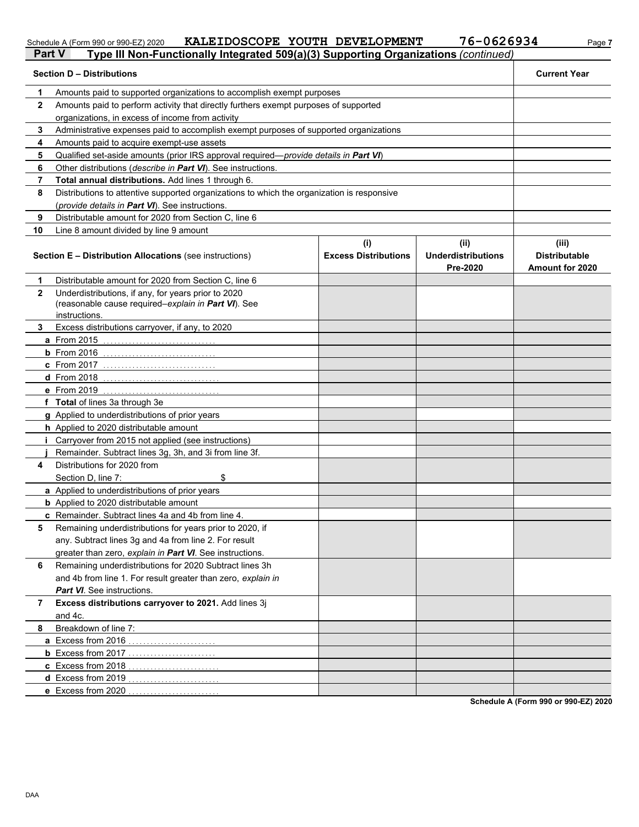#### Schedule A (Form 990 or 990-EZ) 2020 **KALETDOSCOPE YOUTH DEVELOPMENT / 6-U 62 6 9 3 4** Page 7 **KALEIDOSCOPE YOUTH DEVELOPMENT 76-0626934**

| <b>Section D - Distributions</b><br><b>Current Year</b><br>Amounts paid to supported organizations to accomplish exempt purposes<br>1<br>$\mathbf{2}$<br>Amounts paid to perform activity that directly furthers exempt purposes of supported<br>organizations, in excess of income from activity<br>Administrative expenses paid to accomplish exempt purposes of supported organizations<br>3<br>4<br>Amounts paid to acquire exempt-use assets<br>Qualified set-aside amounts (prior IRS approval required-provide details in Part VI)<br>5<br>Other distributions (describe in Part VI). See instructions.<br>6<br>Total annual distributions. Add lines 1 through 6.<br>7<br>Distributions to attentive supported organizations to which the organization is responsive<br>8<br>(provide details in Part VI). See instructions.<br>Distributable amount for 2020 from Section C, line 6<br>9<br>10<br>Line 8 amount divided by line 9 amount<br>(i)<br>(ii)<br>(iii)<br><b>Underdistributions</b><br><b>Distributable</b><br><b>Section E - Distribution Allocations (see instructions)</b><br><b>Excess Distributions</b><br>Pre-2020<br><b>Amount for 2020</b><br>Distributable amount for 2020 from Section C, line 6<br>1<br>Underdistributions, if any, for years prior to 2020<br>$\mathbf{2}$<br>(reasonable cause required-explain in Part VI). See<br>instructions.<br>Excess distributions carryover, if any, to 2020<br>3.<br><b>a</b> From 2015<br>$b$ From 2016<br><b>c</b> From 2017<br><b>d</b> From 2018<br>e From 2019<br>f Total of lines 3a through 3e<br>g Applied to underdistributions of prior years<br>h Applied to 2020 distributable amount<br>Carryover from 2015 not applied (see instructions)<br>Remainder. Subtract lines 3g, 3h, and 3i from line 3f.<br>Distributions for 2020 from<br>4<br>\$<br>Section D, line 7:<br>a Applied to underdistributions of prior years<br><b>b</b> Applied to 2020 distributable amount<br>c Remainder. Subtract lines 4a and 4b from line 4.<br>Remaining underdistributions for years prior to 2020, if<br>5<br>any. Subtract lines 3g and 4a from line 2. For result<br>greater than zero, explain in Part VI. See instructions.<br>Remaining underdistributions for 2020 Subtract lines 3h<br>6<br>and 4b from line 1. For result greater than zero, explain in<br><b>Part VI</b> . See instructions.<br>Excess distributions carryover to 2021. Add lines 3j<br>7<br>and 4c.<br>Breakdown of line 7:<br>8<br>a Excess from 2016<br><b>b</b> Excess from 2017<br>c Excess from 2018 | Part V | Type III Non-Functionally Integrated 509(a)(3) Supporting Organizations (continued) |  |  |  |  |  |
|---------------------------------------------------------------------------------------------------------------------------------------------------------------------------------------------------------------------------------------------------------------------------------------------------------------------------------------------------------------------------------------------------------------------------------------------------------------------------------------------------------------------------------------------------------------------------------------------------------------------------------------------------------------------------------------------------------------------------------------------------------------------------------------------------------------------------------------------------------------------------------------------------------------------------------------------------------------------------------------------------------------------------------------------------------------------------------------------------------------------------------------------------------------------------------------------------------------------------------------------------------------------------------------------------------------------------------------------------------------------------------------------------------------------------------------------------------------------------------------------------------------------------------------------------------------------------------------------------------------------------------------------------------------------------------------------------------------------------------------------------------------------------------------------------------------------------------------------------------------------------------------------------------------------------------------------------------------------------------------------------------------------------------------------------------------------------------------------------------------------------------------------------------------------------------------------------------------------------------------------------------------------------------------------------------------------------------------------------------------------------------------------------------------------------------------------------------------------------------------------------------------------------------------------------------------|--------|-------------------------------------------------------------------------------------|--|--|--|--|--|
|                                                                                                                                                                                                                                                                                                                                                                                                                                                                                                                                                                                                                                                                                                                                                                                                                                                                                                                                                                                                                                                                                                                                                                                                                                                                                                                                                                                                                                                                                                                                                                                                                                                                                                                                                                                                                                                                                                                                                                                                                                                                                                                                                                                                                                                                                                                                                                                                                                                                                                                                                               |        |                                                                                     |  |  |  |  |  |
|                                                                                                                                                                                                                                                                                                                                                                                                                                                                                                                                                                                                                                                                                                                                                                                                                                                                                                                                                                                                                                                                                                                                                                                                                                                                                                                                                                                                                                                                                                                                                                                                                                                                                                                                                                                                                                                                                                                                                                                                                                                                                                                                                                                                                                                                                                                                                                                                                                                                                                                                                               |        |                                                                                     |  |  |  |  |  |
|                                                                                                                                                                                                                                                                                                                                                                                                                                                                                                                                                                                                                                                                                                                                                                                                                                                                                                                                                                                                                                                                                                                                                                                                                                                                                                                                                                                                                                                                                                                                                                                                                                                                                                                                                                                                                                                                                                                                                                                                                                                                                                                                                                                                                                                                                                                                                                                                                                                                                                                                                               |        |                                                                                     |  |  |  |  |  |
|                                                                                                                                                                                                                                                                                                                                                                                                                                                                                                                                                                                                                                                                                                                                                                                                                                                                                                                                                                                                                                                                                                                                                                                                                                                                                                                                                                                                                                                                                                                                                                                                                                                                                                                                                                                                                                                                                                                                                                                                                                                                                                                                                                                                                                                                                                                                                                                                                                                                                                                                                               |        |                                                                                     |  |  |  |  |  |
|                                                                                                                                                                                                                                                                                                                                                                                                                                                                                                                                                                                                                                                                                                                                                                                                                                                                                                                                                                                                                                                                                                                                                                                                                                                                                                                                                                                                                                                                                                                                                                                                                                                                                                                                                                                                                                                                                                                                                                                                                                                                                                                                                                                                                                                                                                                                                                                                                                                                                                                                                               |        |                                                                                     |  |  |  |  |  |
|                                                                                                                                                                                                                                                                                                                                                                                                                                                                                                                                                                                                                                                                                                                                                                                                                                                                                                                                                                                                                                                                                                                                                                                                                                                                                                                                                                                                                                                                                                                                                                                                                                                                                                                                                                                                                                                                                                                                                                                                                                                                                                                                                                                                                                                                                                                                                                                                                                                                                                                                                               |        |                                                                                     |  |  |  |  |  |
|                                                                                                                                                                                                                                                                                                                                                                                                                                                                                                                                                                                                                                                                                                                                                                                                                                                                                                                                                                                                                                                                                                                                                                                                                                                                                                                                                                                                                                                                                                                                                                                                                                                                                                                                                                                                                                                                                                                                                                                                                                                                                                                                                                                                                                                                                                                                                                                                                                                                                                                                                               |        |                                                                                     |  |  |  |  |  |
|                                                                                                                                                                                                                                                                                                                                                                                                                                                                                                                                                                                                                                                                                                                                                                                                                                                                                                                                                                                                                                                                                                                                                                                                                                                                                                                                                                                                                                                                                                                                                                                                                                                                                                                                                                                                                                                                                                                                                                                                                                                                                                                                                                                                                                                                                                                                                                                                                                                                                                                                                               |        |                                                                                     |  |  |  |  |  |
|                                                                                                                                                                                                                                                                                                                                                                                                                                                                                                                                                                                                                                                                                                                                                                                                                                                                                                                                                                                                                                                                                                                                                                                                                                                                                                                                                                                                                                                                                                                                                                                                                                                                                                                                                                                                                                                                                                                                                                                                                                                                                                                                                                                                                                                                                                                                                                                                                                                                                                                                                               |        |                                                                                     |  |  |  |  |  |
|                                                                                                                                                                                                                                                                                                                                                                                                                                                                                                                                                                                                                                                                                                                                                                                                                                                                                                                                                                                                                                                                                                                                                                                                                                                                                                                                                                                                                                                                                                                                                                                                                                                                                                                                                                                                                                                                                                                                                                                                                                                                                                                                                                                                                                                                                                                                                                                                                                                                                                                                                               |        |                                                                                     |  |  |  |  |  |
|                                                                                                                                                                                                                                                                                                                                                                                                                                                                                                                                                                                                                                                                                                                                                                                                                                                                                                                                                                                                                                                                                                                                                                                                                                                                                                                                                                                                                                                                                                                                                                                                                                                                                                                                                                                                                                                                                                                                                                                                                                                                                                                                                                                                                                                                                                                                                                                                                                                                                                                                                               |        |                                                                                     |  |  |  |  |  |
|                                                                                                                                                                                                                                                                                                                                                                                                                                                                                                                                                                                                                                                                                                                                                                                                                                                                                                                                                                                                                                                                                                                                                                                                                                                                                                                                                                                                                                                                                                                                                                                                                                                                                                                                                                                                                                                                                                                                                                                                                                                                                                                                                                                                                                                                                                                                                                                                                                                                                                                                                               |        |                                                                                     |  |  |  |  |  |
|                                                                                                                                                                                                                                                                                                                                                                                                                                                                                                                                                                                                                                                                                                                                                                                                                                                                                                                                                                                                                                                                                                                                                                                                                                                                                                                                                                                                                                                                                                                                                                                                                                                                                                                                                                                                                                                                                                                                                                                                                                                                                                                                                                                                                                                                                                                                                                                                                                                                                                                                                               |        |                                                                                     |  |  |  |  |  |
|                                                                                                                                                                                                                                                                                                                                                                                                                                                                                                                                                                                                                                                                                                                                                                                                                                                                                                                                                                                                                                                                                                                                                                                                                                                                                                                                                                                                                                                                                                                                                                                                                                                                                                                                                                                                                                                                                                                                                                                                                                                                                                                                                                                                                                                                                                                                                                                                                                                                                                                                                               |        |                                                                                     |  |  |  |  |  |
|                                                                                                                                                                                                                                                                                                                                                                                                                                                                                                                                                                                                                                                                                                                                                                                                                                                                                                                                                                                                                                                                                                                                                                                                                                                                                                                                                                                                                                                                                                                                                                                                                                                                                                                                                                                                                                                                                                                                                                                                                                                                                                                                                                                                                                                                                                                                                                                                                                                                                                                                                               |        |                                                                                     |  |  |  |  |  |
|                                                                                                                                                                                                                                                                                                                                                                                                                                                                                                                                                                                                                                                                                                                                                                                                                                                                                                                                                                                                                                                                                                                                                                                                                                                                                                                                                                                                                                                                                                                                                                                                                                                                                                                                                                                                                                                                                                                                                                                                                                                                                                                                                                                                                                                                                                                                                                                                                                                                                                                                                               |        |                                                                                     |  |  |  |  |  |
|                                                                                                                                                                                                                                                                                                                                                                                                                                                                                                                                                                                                                                                                                                                                                                                                                                                                                                                                                                                                                                                                                                                                                                                                                                                                                                                                                                                                                                                                                                                                                                                                                                                                                                                                                                                                                                                                                                                                                                                                                                                                                                                                                                                                                                                                                                                                                                                                                                                                                                                                                               |        |                                                                                     |  |  |  |  |  |
|                                                                                                                                                                                                                                                                                                                                                                                                                                                                                                                                                                                                                                                                                                                                                                                                                                                                                                                                                                                                                                                                                                                                                                                                                                                                                                                                                                                                                                                                                                                                                                                                                                                                                                                                                                                                                                                                                                                                                                                                                                                                                                                                                                                                                                                                                                                                                                                                                                                                                                                                                               |        |                                                                                     |  |  |  |  |  |
|                                                                                                                                                                                                                                                                                                                                                                                                                                                                                                                                                                                                                                                                                                                                                                                                                                                                                                                                                                                                                                                                                                                                                                                                                                                                                                                                                                                                                                                                                                                                                                                                                                                                                                                                                                                                                                                                                                                                                                                                                                                                                                                                                                                                                                                                                                                                                                                                                                                                                                                                                               |        |                                                                                     |  |  |  |  |  |
|                                                                                                                                                                                                                                                                                                                                                                                                                                                                                                                                                                                                                                                                                                                                                                                                                                                                                                                                                                                                                                                                                                                                                                                                                                                                                                                                                                                                                                                                                                                                                                                                                                                                                                                                                                                                                                                                                                                                                                                                                                                                                                                                                                                                                                                                                                                                                                                                                                                                                                                                                               |        |                                                                                     |  |  |  |  |  |
|                                                                                                                                                                                                                                                                                                                                                                                                                                                                                                                                                                                                                                                                                                                                                                                                                                                                                                                                                                                                                                                                                                                                                                                                                                                                                                                                                                                                                                                                                                                                                                                                                                                                                                                                                                                                                                                                                                                                                                                                                                                                                                                                                                                                                                                                                                                                                                                                                                                                                                                                                               |        |                                                                                     |  |  |  |  |  |
|                                                                                                                                                                                                                                                                                                                                                                                                                                                                                                                                                                                                                                                                                                                                                                                                                                                                                                                                                                                                                                                                                                                                                                                                                                                                                                                                                                                                                                                                                                                                                                                                                                                                                                                                                                                                                                                                                                                                                                                                                                                                                                                                                                                                                                                                                                                                                                                                                                                                                                                                                               |        |                                                                                     |  |  |  |  |  |
|                                                                                                                                                                                                                                                                                                                                                                                                                                                                                                                                                                                                                                                                                                                                                                                                                                                                                                                                                                                                                                                                                                                                                                                                                                                                                                                                                                                                                                                                                                                                                                                                                                                                                                                                                                                                                                                                                                                                                                                                                                                                                                                                                                                                                                                                                                                                                                                                                                                                                                                                                               |        |                                                                                     |  |  |  |  |  |
|                                                                                                                                                                                                                                                                                                                                                                                                                                                                                                                                                                                                                                                                                                                                                                                                                                                                                                                                                                                                                                                                                                                                                                                                                                                                                                                                                                                                                                                                                                                                                                                                                                                                                                                                                                                                                                                                                                                                                                                                                                                                                                                                                                                                                                                                                                                                                                                                                                                                                                                                                               |        |                                                                                     |  |  |  |  |  |
|                                                                                                                                                                                                                                                                                                                                                                                                                                                                                                                                                                                                                                                                                                                                                                                                                                                                                                                                                                                                                                                                                                                                                                                                                                                                                                                                                                                                                                                                                                                                                                                                                                                                                                                                                                                                                                                                                                                                                                                                                                                                                                                                                                                                                                                                                                                                                                                                                                                                                                                                                               |        |                                                                                     |  |  |  |  |  |
|                                                                                                                                                                                                                                                                                                                                                                                                                                                                                                                                                                                                                                                                                                                                                                                                                                                                                                                                                                                                                                                                                                                                                                                                                                                                                                                                                                                                                                                                                                                                                                                                                                                                                                                                                                                                                                                                                                                                                                                                                                                                                                                                                                                                                                                                                                                                                                                                                                                                                                                                                               |        |                                                                                     |  |  |  |  |  |
|                                                                                                                                                                                                                                                                                                                                                                                                                                                                                                                                                                                                                                                                                                                                                                                                                                                                                                                                                                                                                                                                                                                                                                                                                                                                                                                                                                                                                                                                                                                                                                                                                                                                                                                                                                                                                                                                                                                                                                                                                                                                                                                                                                                                                                                                                                                                                                                                                                                                                                                                                               |        |                                                                                     |  |  |  |  |  |
|                                                                                                                                                                                                                                                                                                                                                                                                                                                                                                                                                                                                                                                                                                                                                                                                                                                                                                                                                                                                                                                                                                                                                                                                                                                                                                                                                                                                                                                                                                                                                                                                                                                                                                                                                                                                                                                                                                                                                                                                                                                                                                                                                                                                                                                                                                                                                                                                                                                                                                                                                               |        |                                                                                     |  |  |  |  |  |
|                                                                                                                                                                                                                                                                                                                                                                                                                                                                                                                                                                                                                                                                                                                                                                                                                                                                                                                                                                                                                                                                                                                                                                                                                                                                                                                                                                                                                                                                                                                                                                                                                                                                                                                                                                                                                                                                                                                                                                                                                                                                                                                                                                                                                                                                                                                                                                                                                                                                                                                                                               |        |                                                                                     |  |  |  |  |  |
|                                                                                                                                                                                                                                                                                                                                                                                                                                                                                                                                                                                                                                                                                                                                                                                                                                                                                                                                                                                                                                                                                                                                                                                                                                                                                                                                                                                                                                                                                                                                                                                                                                                                                                                                                                                                                                                                                                                                                                                                                                                                                                                                                                                                                                                                                                                                                                                                                                                                                                                                                               |        |                                                                                     |  |  |  |  |  |
|                                                                                                                                                                                                                                                                                                                                                                                                                                                                                                                                                                                                                                                                                                                                                                                                                                                                                                                                                                                                                                                                                                                                                                                                                                                                                                                                                                                                                                                                                                                                                                                                                                                                                                                                                                                                                                                                                                                                                                                                                                                                                                                                                                                                                                                                                                                                                                                                                                                                                                                                                               |        |                                                                                     |  |  |  |  |  |
|                                                                                                                                                                                                                                                                                                                                                                                                                                                                                                                                                                                                                                                                                                                                                                                                                                                                                                                                                                                                                                                                                                                                                                                                                                                                                                                                                                                                                                                                                                                                                                                                                                                                                                                                                                                                                                                                                                                                                                                                                                                                                                                                                                                                                                                                                                                                                                                                                                                                                                                                                               |        |                                                                                     |  |  |  |  |  |
|                                                                                                                                                                                                                                                                                                                                                                                                                                                                                                                                                                                                                                                                                                                                                                                                                                                                                                                                                                                                                                                                                                                                                                                                                                                                                                                                                                                                                                                                                                                                                                                                                                                                                                                                                                                                                                                                                                                                                                                                                                                                                                                                                                                                                                                                                                                                                                                                                                                                                                                                                               |        |                                                                                     |  |  |  |  |  |
|                                                                                                                                                                                                                                                                                                                                                                                                                                                                                                                                                                                                                                                                                                                                                                                                                                                                                                                                                                                                                                                                                                                                                                                                                                                                                                                                                                                                                                                                                                                                                                                                                                                                                                                                                                                                                                                                                                                                                                                                                                                                                                                                                                                                                                                                                                                                                                                                                                                                                                                                                               |        |                                                                                     |  |  |  |  |  |
|                                                                                                                                                                                                                                                                                                                                                                                                                                                                                                                                                                                                                                                                                                                                                                                                                                                                                                                                                                                                                                                                                                                                                                                                                                                                                                                                                                                                                                                                                                                                                                                                                                                                                                                                                                                                                                                                                                                                                                                                                                                                                                                                                                                                                                                                                                                                                                                                                                                                                                                                                               |        |                                                                                     |  |  |  |  |  |
|                                                                                                                                                                                                                                                                                                                                                                                                                                                                                                                                                                                                                                                                                                                                                                                                                                                                                                                                                                                                                                                                                                                                                                                                                                                                                                                                                                                                                                                                                                                                                                                                                                                                                                                                                                                                                                                                                                                                                                                                                                                                                                                                                                                                                                                                                                                                                                                                                                                                                                                                                               |        |                                                                                     |  |  |  |  |  |
|                                                                                                                                                                                                                                                                                                                                                                                                                                                                                                                                                                                                                                                                                                                                                                                                                                                                                                                                                                                                                                                                                                                                                                                                                                                                                                                                                                                                                                                                                                                                                                                                                                                                                                                                                                                                                                                                                                                                                                                                                                                                                                                                                                                                                                                                                                                                                                                                                                                                                                                                                               |        |                                                                                     |  |  |  |  |  |
|                                                                                                                                                                                                                                                                                                                                                                                                                                                                                                                                                                                                                                                                                                                                                                                                                                                                                                                                                                                                                                                                                                                                                                                                                                                                                                                                                                                                                                                                                                                                                                                                                                                                                                                                                                                                                                                                                                                                                                                                                                                                                                                                                                                                                                                                                                                                                                                                                                                                                                                                                               |        |                                                                                     |  |  |  |  |  |
|                                                                                                                                                                                                                                                                                                                                                                                                                                                                                                                                                                                                                                                                                                                                                                                                                                                                                                                                                                                                                                                                                                                                                                                                                                                                                                                                                                                                                                                                                                                                                                                                                                                                                                                                                                                                                                                                                                                                                                                                                                                                                                                                                                                                                                                                                                                                                                                                                                                                                                                                                               |        |                                                                                     |  |  |  |  |  |
|                                                                                                                                                                                                                                                                                                                                                                                                                                                                                                                                                                                                                                                                                                                                                                                                                                                                                                                                                                                                                                                                                                                                                                                                                                                                                                                                                                                                                                                                                                                                                                                                                                                                                                                                                                                                                                                                                                                                                                                                                                                                                                                                                                                                                                                                                                                                                                                                                                                                                                                                                               |        |                                                                                     |  |  |  |  |  |
|                                                                                                                                                                                                                                                                                                                                                                                                                                                                                                                                                                                                                                                                                                                                                                                                                                                                                                                                                                                                                                                                                                                                                                                                                                                                                                                                                                                                                                                                                                                                                                                                                                                                                                                                                                                                                                                                                                                                                                                                                                                                                                                                                                                                                                                                                                                                                                                                                                                                                                                                                               |        |                                                                                     |  |  |  |  |  |
|                                                                                                                                                                                                                                                                                                                                                                                                                                                                                                                                                                                                                                                                                                                                                                                                                                                                                                                                                                                                                                                                                                                                                                                                                                                                                                                                                                                                                                                                                                                                                                                                                                                                                                                                                                                                                                                                                                                                                                                                                                                                                                                                                                                                                                                                                                                                                                                                                                                                                                                                                               |        |                                                                                     |  |  |  |  |  |
|                                                                                                                                                                                                                                                                                                                                                                                                                                                                                                                                                                                                                                                                                                                                                                                                                                                                                                                                                                                                                                                                                                                                                                                                                                                                                                                                                                                                                                                                                                                                                                                                                                                                                                                                                                                                                                                                                                                                                                                                                                                                                                                                                                                                                                                                                                                                                                                                                                                                                                                                                               |        |                                                                                     |  |  |  |  |  |
|                                                                                                                                                                                                                                                                                                                                                                                                                                                                                                                                                                                                                                                                                                                                                                                                                                                                                                                                                                                                                                                                                                                                                                                                                                                                                                                                                                                                                                                                                                                                                                                                                                                                                                                                                                                                                                                                                                                                                                                                                                                                                                                                                                                                                                                                                                                                                                                                                                                                                                                                                               |        |                                                                                     |  |  |  |  |  |
| d Excess from 2019                                                                                                                                                                                                                                                                                                                                                                                                                                                                                                                                                                                                                                                                                                                                                                                                                                                                                                                                                                                                                                                                                                                                                                                                                                                                                                                                                                                                                                                                                                                                                                                                                                                                                                                                                                                                                                                                                                                                                                                                                                                                                                                                                                                                                                                                                                                                                                                                                                                                                                                                            |        |                                                                                     |  |  |  |  |  |
| e Excess from 2020                                                                                                                                                                                                                                                                                                                                                                                                                                                                                                                                                                                                                                                                                                                                                                                                                                                                                                                                                                                                                                                                                                                                                                                                                                                                                                                                                                                                                                                                                                                                                                                                                                                                                                                                                                                                                                                                                                                                                                                                                                                                                                                                                                                                                                                                                                                                                                                                                                                                                                                                            |        |                                                                                     |  |  |  |  |  |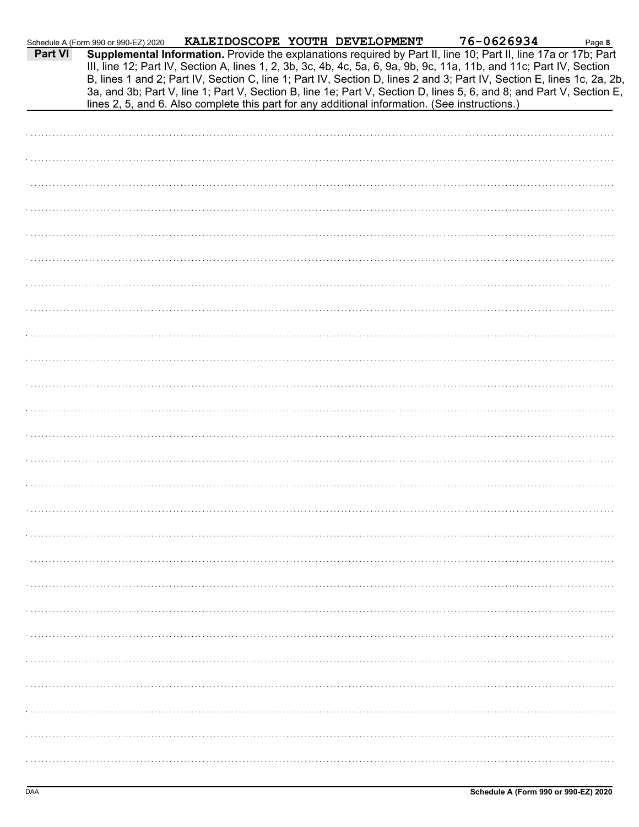| <b>Part VI</b> | Schedule A (Form 990 or 990-EZ) 2020 | KALEIDOSCOPE YOUTH DEVELOPMENT                                                                 |  | 76-0626934<br>Supplemental Information. Provide the explanations required by Part II, line 10; Part II, line 17a or 17b; Part                                                                                                                                                                                                                                          | Page 8 |
|----------------|--------------------------------------|------------------------------------------------------------------------------------------------|--|------------------------------------------------------------------------------------------------------------------------------------------------------------------------------------------------------------------------------------------------------------------------------------------------------------------------------------------------------------------------|--------|
|                |                                      |                                                                                                |  | III, line 12; Part IV, Section A, lines 1, 2, 3b, 3c, 4b, 4c, 5a, 6, 9a, 9b, 9c, 11a, 11b, and 11c; Part IV, Section<br>B, lines 1 and 2; Part IV, Section C, line 1; Part IV, Section D, lines 2 and 3; Part IV, Section E, lines 1c, 2a, 2b,<br>3a, and 3b; Part V, line 1; Part V, Section B, line 1e; Part V, Section D, lines 5, 6, and 8; and Part V, Section E, |        |
|                |                                      | lines 2, 5, and 6. Also complete this part for any additional information. (See instructions.) |  |                                                                                                                                                                                                                                                                                                                                                                        |        |
|                |                                      |                                                                                                |  |                                                                                                                                                                                                                                                                                                                                                                        |        |
|                |                                      |                                                                                                |  |                                                                                                                                                                                                                                                                                                                                                                        |        |
|                |                                      |                                                                                                |  |                                                                                                                                                                                                                                                                                                                                                                        |        |
|                |                                      |                                                                                                |  |                                                                                                                                                                                                                                                                                                                                                                        |        |
|                |                                      |                                                                                                |  |                                                                                                                                                                                                                                                                                                                                                                        |        |
|                |                                      |                                                                                                |  |                                                                                                                                                                                                                                                                                                                                                                        |        |
|                |                                      |                                                                                                |  |                                                                                                                                                                                                                                                                                                                                                                        |        |
|                |                                      |                                                                                                |  |                                                                                                                                                                                                                                                                                                                                                                        |        |
|                |                                      |                                                                                                |  |                                                                                                                                                                                                                                                                                                                                                                        |        |
|                |                                      |                                                                                                |  |                                                                                                                                                                                                                                                                                                                                                                        |        |
|                |                                      |                                                                                                |  |                                                                                                                                                                                                                                                                                                                                                                        |        |
|                |                                      |                                                                                                |  |                                                                                                                                                                                                                                                                                                                                                                        |        |
|                |                                      |                                                                                                |  |                                                                                                                                                                                                                                                                                                                                                                        |        |
|                |                                      |                                                                                                |  |                                                                                                                                                                                                                                                                                                                                                                        |        |
|                |                                      |                                                                                                |  |                                                                                                                                                                                                                                                                                                                                                                        |        |
|                |                                      |                                                                                                |  |                                                                                                                                                                                                                                                                                                                                                                        |        |
|                |                                      |                                                                                                |  |                                                                                                                                                                                                                                                                                                                                                                        |        |
|                |                                      |                                                                                                |  |                                                                                                                                                                                                                                                                                                                                                                        |        |
|                |                                      |                                                                                                |  |                                                                                                                                                                                                                                                                                                                                                                        |        |
|                |                                      |                                                                                                |  |                                                                                                                                                                                                                                                                                                                                                                        |        |
|                |                                      |                                                                                                |  |                                                                                                                                                                                                                                                                                                                                                                        |        |
|                |                                      |                                                                                                |  |                                                                                                                                                                                                                                                                                                                                                                        |        |
|                |                                      |                                                                                                |  |                                                                                                                                                                                                                                                                                                                                                                        |        |
|                |                                      |                                                                                                |  |                                                                                                                                                                                                                                                                                                                                                                        |        |
|                |                                      |                                                                                                |  |                                                                                                                                                                                                                                                                                                                                                                        |        |
|                |                                      |                                                                                                |  |                                                                                                                                                                                                                                                                                                                                                                        |        |
|                |                                      |                                                                                                |  |                                                                                                                                                                                                                                                                                                                                                                        |        |
|                |                                      |                                                                                                |  |                                                                                                                                                                                                                                                                                                                                                                        |        |
|                |                                      |                                                                                                |  |                                                                                                                                                                                                                                                                                                                                                                        |        |
|                |                                      |                                                                                                |  |                                                                                                                                                                                                                                                                                                                                                                        |        |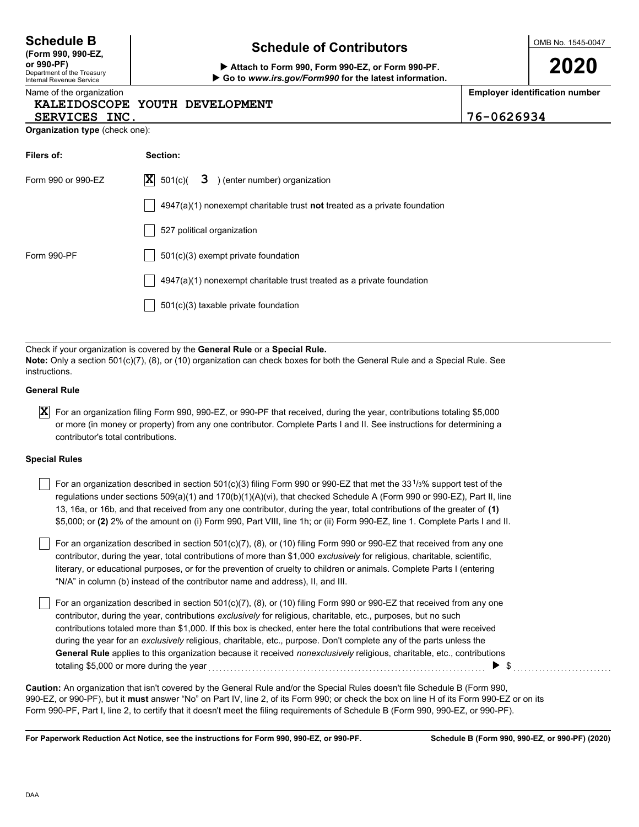| <b>Schedule B</b> |  |
|-------------------|--|
|-------------------|--|

|  |            | (Form 990, 990-EZ,         |  |
|--|------------|----------------------------|--|
|  | or 990-PF) |                            |  |
|  |            | Denartment of the Treasury |  |

#### Department of the Treasury Internal Revenue Service Name of the organization

### **Schedule of Contributors**

**or 990-PF) Attach to Form 990, Form 990-EZ, or Form 990-PF. Go to** *www.irs.gov/Form990* **for the latest information.** OMB No. 1545-0047

**2020**

**Employer identification number**

|               | KALEIDOSCOPE YOUTH DEVELOPMENT |                 |
|---------------|--------------------------------|-----------------|
| SERVICES INC. |                                | $ 76 - 0626934$ |

| Organization type (check one): |  |  |
|--------------------------------|--|--|
|                                |  |  |

| Filers of:         | Section:                                                                           |
|--------------------|------------------------------------------------------------------------------------|
| Form 990 or 990-EZ | $ \mathbf{X} $ 501(c)(<br>3 ) (enter number) organization                          |
|                    | $4947(a)(1)$ nonexempt charitable trust <b>not</b> treated as a private foundation |
|                    | 527 political organization                                                         |
| Form 990-PF        | $501(c)(3)$ exempt private foundation                                              |
|                    | $4947(a)(1)$ nonexempt charitable trust treated as a private foundation            |
|                    | 501(c)(3) taxable private foundation                                               |

Check if your organization is covered by the **General Rule** or a **Special Rule. Note:** Only a section 501(c)(7), (8), or (10) organization can check boxes for both the General Rule and a Special Rule. See instructions.

#### **General Rule**

 $\bm{X}$  For an organization filing Form 990, 990-EZ, or 990-PF that received, during the year, contributions totaling \$5,000 or more (in money or property) from any one contributor. Complete Parts I and II. See instructions for determining a contributor's total contributions.

#### **Special Rules**

| For an organization described in section 501(c)(3) filing Form 990 or 990-EZ that met the 33 <sup>1</sup> /3% support test of the |
|-----------------------------------------------------------------------------------------------------------------------------------|
| regulations under sections 509(a)(1) and 170(b)(1)(A)(vi), that checked Schedule A (Form 990 or 990-EZ), Part II, line            |
| 13, 16a, or 16b, and that received from any one contributor, during the year, total contributions of the greater of (1)           |
| \$5,000; or (2) 2% of the amount on (i) Form 990, Part VIII, line 1h; or (ii) Form 990-EZ, line 1. Complete Parts I and II.       |

literary, or educational purposes, or for the prevention of cruelty to children or animals. Complete Parts I (entering For an organization described in section 501(c)(7), (8), or (10) filing Form 990 or 990-EZ that received from any one contributor, during the year, total contributions of more than \$1,000 *exclusively* for religious, charitable, scientific, "N/A" in column (b) instead of the contributor name and address), II, and III.

For an organization described in section 501(c)(7), (8), or (10) filing Form 990 or 990-EZ that received from any one contributor, during the year, contributions *exclusively* for religious, charitable, etc., purposes, but no such contributions totaled more than \$1,000. If this box is checked, enter here the total contributions that were received during the year for an *exclusively* religious, charitable, etc., purpose. Don't complete any of the parts unless the **General Rule** applies to this organization because it received *nonexclusively* religious, charitable, etc., contributions totaling \$5,000 or more during the year . . . . . . . . . . . . . . . . . . . . . . . . . . . . . . . . . . . . . . . . . . . . . . . . . . . . . . . . . . . . . . . . . . . . . . . . . . . . \$ . . . . . . . . . . . . . . . . . . . . . . . . . . .

990-EZ, or 990-PF), but it **must** answer "No" on Part IV, line 2, of its Form 990; or check the box on line H of its Form 990-EZ or on its Form 990-PF, Part I, line 2, to certify that it doesn't meet the filing requirements of Schedule B (Form 990, 990-EZ, or 990-PF). **Caution:** An organization that isn't covered by the General Rule and/or the Special Rules doesn't file Schedule B (Form 990,

**For Paperwork Reduction Act Notice, see the instructions for Form 990, 990-EZ, or 990-PF.**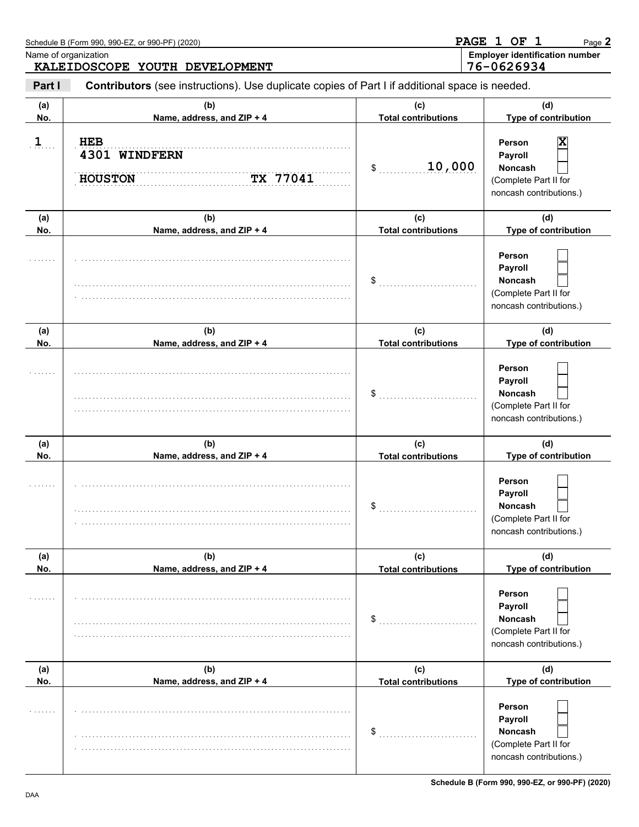| Name of organization | Schedule B (Form 990, 990-EZ, or 990-PF) (2020)<br>KALEIDOSCOPE YOUTH DEVELOPMENT              |                                   | PAGE 1 OF 1<br>Page 2<br><b>Employer identification number</b><br>76-0626934            |
|----------------------|------------------------------------------------------------------------------------------------|-----------------------------------|-----------------------------------------------------------------------------------------|
| Part I               | Contributors (see instructions). Use duplicate copies of Part I if additional space is needed. |                                   |                                                                                         |
| (a)<br>No.           | (b)<br>Name, address, and ZIP + 4                                                              | (c)<br><b>Total contributions</b> | (d)<br>Type of contribution                                                             |
| 1                    | <b>HEB</b><br>4301 WINDFERN<br>TX 77041<br><b>HOUSTON</b>                                      | 10,000<br>\$                      | Person<br>Payroll<br>Noncash<br>(Complete Part II for<br>noncash contributions.)        |
| (a)<br>No.           | (b)<br>Name, address, and ZIP + 4                                                              | (c)<br><b>Total contributions</b> | (d)<br>Type of contribution                                                             |
|                      |                                                                                                | \$                                | Person<br>Payroll<br>Noncash<br>(Complete Part II for<br>noncash contributions.)        |
| (a)<br>No.           | (b)<br>Name, address, and ZIP + 4                                                              | (c)<br><b>Total contributions</b> | (d)<br>Type of contribution                                                             |
|                      |                                                                                                | \$                                | Person<br>Payroll<br><b>Noncash</b><br>(Complete Part II for<br>noncash contributions.) |
| (a)<br>No.           | (b)<br>Name, address, and ZIP + 4                                                              | (c)<br><b>Total contributions</b> | (d)<br>Type of contribution                                                             |
|                      |                                                                                                | P.                                | Person<br>Payroll<br><b>Noncash</b><br>(Complete Part II for<br>noncash contributions.) |
| (a)<br>No.           | (b)<br>Name, address, and ZIP + 4                                                              | (c)<br><b>Total contributions</b> | (d)<br>Type of contribution                                                             |
|                      |                                                                                                | \$                                | Person<br>Payroll<br><b>Noncash</b><br>(Complete Part II for<br>noncash contributions.) |
| (a)<br>No.           | (b)<br>Name, address, and ZIP + 4                                                              | (c)<br><b>Total contributions</b> | (d)<br>Type of contribution                                                             |
|                      |                                                                                                | \$                                | Person<br>Payroll<br><b>Noncash</b><br>(Complete Part II for<br>noncash contributions.) |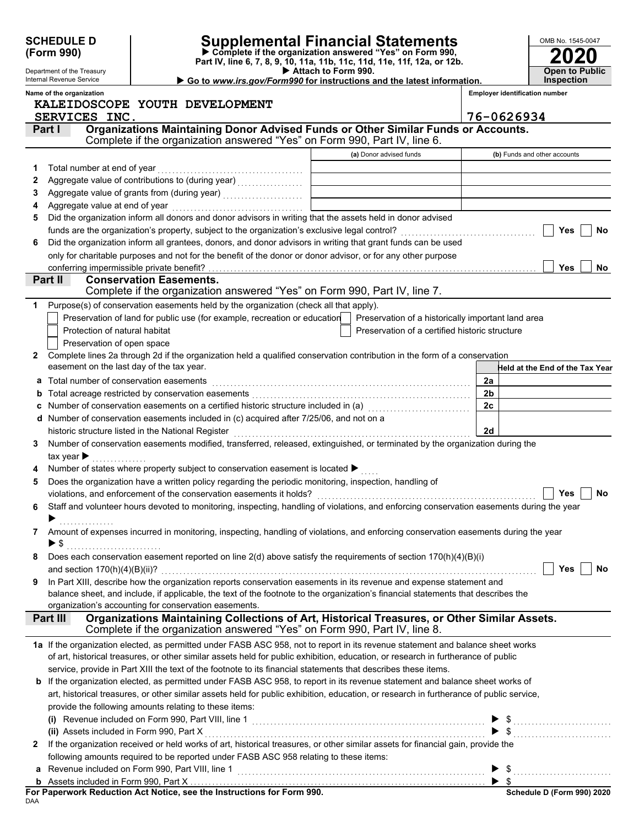|              | <b>SCHEDULE D</b>                                      |                                |                                                                                       | Supplemental Financial Statements<br>$\triangleright$ Complete if the organization answered "Yes" on Form 990,                            |                | OMB No. 1545-0047                     |
|--------------|--------------------------------------------------------|--------------------------------|---------------------------------------------------------------------------------------|-------------------------------------------------------------------------------------------------------------------------------------------|----------------|---------------------------------------|
|              | (Form 990)                                             |                                |                                                                                       | Part IV, line 6, 7, 8, 9, 10, 11a, 11b, 11c, 11d, 11e, 11f, 12a, or 12b.                                                                  |                |                                       |
|              | Department of the Treasury                             |                                |                                                                                       | Attach to Form 990.                                                                                                                       |                | <b>Open to Public</b>                 |
|              | Internal Revenue Service                               |                                |                                                                                       | Go to www.irs.gov/Form990 for instructions and the latest information.                                                                    |                | <b>Inspection</b>                     |
|              | Name of the organization                               |                                |                                                                                       |                                                                                                                                           |                | <b>Employer identification number</b> |
|              |                                                        |                                | KALEIDOSCOPE YOUTH DEVELOPMENT                                                        |                                                                                                                                           |                |                                       |
|              | SERVICES INC.                                          |                                |                                                                                       | Organizations Maintaining Donor Advised Funds or Other Similar Funds or Accounts.                                                         |                | 76-0626934                            |
|              | Part I                                                 |                                |                                                                                       | Complete if the organization answered "Yes" on Form 990, Part IV, line 6.                                                                 |                |                                       |
|              |                                                        |                                |                                                                                       | (a) Donor advised funds                                                                                                                   |                | (b) Funds and other accounts          |
| 1            | Total number at end of year                            |                                |                                                                                       |                                                                                                                                           |                |                                       |
| 2            |                                                        |                                |                                                                                       |                                                                                                                                           |                |                                       |
| 3            |                                                        |                                |                                                                                       |                                                                                                                                           |                |                                       |
| 4            |                                                        |                                |                                                                                       | <u> 1989 - Johann Harry Harry Harry Harry Harry Harry Harry Harry Harry Harry Harry Harry Harry Harry Harry Harry</u>                     |                |                                       |
| 5            |                                                        |                                |                                                                                       | Did the organization inform all donors and donor advisors in writing that the assets held in donor advised                                |                |                                       |
|              |                                                        |                                |                                                                                       |                                                                                                                                           |                | Yes<br><b>No</b>                      |
| 6            |                                                        |                                |                                                                                       | Did the organization inform all grantees, donors, and donor advisors in writing that grant funds can be used                              |                |                                       |
|              |                                                        |                                |                                                                                       | only for charitable purposes and not for the benefit of the donor or donor advisor, or for any other purpose                              |                |                                       |
|              | conferring impermissible private benefit?              |                                |                                                                                       |                                                                                                                                           |                | <b>Yes</b><br><b>No</b>               |
|              | Part II                                                | <b>Conservation Easements.</b> |                                                                                       |                                                                                                                                           |                |                                       |
|              |                                                        |                                |                                                                                       | Complete if the organization answered "Yes" on Form 990, Part IV, line 7.                                                                 |                |                                       |
| 1            |                                                        |                                | Purpose(s) of conservation easements held by the organization (check all that apply). |                                                                                                                                           |                |                                       |
|              |                                                        |                                | Preservation of land for public use (for example, recreation or education             | Preservation of a historically important land area                                                                                        |                |                                       |
|              | Protection of natural habitat                          |                                |                                                                                       | Preservation of a certified historic structure                                                                                            |                |                                       |
|              | Preservation of open space                             |                                |                                                                                       |                                                                                                                                           |                |                                       |
| 2            |                                                        |                                |                                                                                       | Complete lines 2a through 2d if the organization held a qualified conservation contribution in the form of a conservation                 |                |                                       |
|              | easement on the last day of the tax year.              |                                |                                                                                       |                                                                                                                                           |                | Held at the End of the Tax Year       |
| а            | Total number of conservation easements                 |                                |                                                                                       |                                                                                                                                           | 2a             |                                       |
| b            |                                                        |                                |                                                                                       |                                                                                                                                           | 2 <sub>b</sub> |                                       |
|              |                                                        |                                |                                                                                       | Number of conservation easements on a certified historic structure included in (a) [11] Number of conservation                            | 2c             |                                       |
|              |                                                        |                                | Number of conservation easements included in (c) acquired after 7/25/06, and not on a |                                                                                                                                           |                |                                       |
|              | historic structure listed in the National Register     |                                |                                                                                       |                                                                                                                                           | 2d             |                                       |
| 3            |                                                        |                                |                                                                                       | Number of conservation easements modified, transferred, released, extinguished, or terminated by the organization during the              |                |                                       |
|              | tax year $\blacktriangleright$                         |                                |                                                                                       |                                                                                                                                           |                |                                       |
|              |                                                        |                                | Number of states where property subject to conservation easement is located ▶         |                                                                                                                                           |                |                                       |
| 5            |                                                        |                                |                                                                                       | Does the organization have a written policy regarding the periodic monitoring, inspection, handling of                                    |                |                                       |
|              |                                                        |                                |                                                                                       |                                                                                                                                           |                | Yes<br>No                             |
| 6            |                                                        |                                |                                                                                       | Staff and volunteer hours devoted to monitoring, inspecting, handling of violations, and enforcing conservation easements during the year |                |                                       |
|              |                                                        |                                |                                                                                       |                                                                                                                                           |                |                                       |
| 7            |                                                        |                                |                                                                                       | Amount of expenses incurred in monitoring, inspecting, handling of violations, and enforcing conservation easements during the year       |                |                                       |
|              | $\blacktriangleright$ \$                               |                                |                                                                                       |                                                                                                                                           |                |                                       |
| 8            |                                                        |                                |                                                                                       | Does each conservation easement reported on line $2(d)$ above satisfy the requirements of section $170(h)(4)(B)(i)$                       |                |                                       |
|              |                                                        |                                |                                                                                       |                                                                                                                                           |                | Yes<br>No                             |
| 9            |                                                        |                                |                                                                                       | In Part XIII, describe how the organization reports conservation easements in its revenue and expense statement and                       |                |                                       |
|              |                                                        |                                |                                                                                       | balance sheet, and include, if applicable, the text of the footnote to the organization's financial statements that describes the         |                |                                       |
|              | organization's accounting for conservation easements.  |                                |                                                                                       |                                                                                                                                           |                |                                       |
|              | Part III                                               |                                |                                                                                       | Organizations Maintaining Collections of Art, Historical Treasures, or Other Similar Assets.                                              |                |                                       |
|              |                                                        |                                |                                                                                       | Complete if the organization answered "Yes" on Form 990, Part IV, line 8.                                                                 |                |                                       |
|              |                                                        |                                |                                                                                       | 1a If the organization elected, as permitted under FASB ASC 958, not to report in its revenue statement and balance sheet works           |                |                                       |
|              |                                                        |                                |                                                                                       | of art, historical treasures, or other similar assets held for public exhibition, education, or research in furtherance of public         |                |                                       |
|              |                                                        |                                |                                                                                       | service, provide in Part XIII the text of the footnote to its financial statements that describes these items.                            |                |                                       |
|              |                                                        |                                |                                                                                       | <b>b</b> If the organization elected, as permitted under FASB ASC 958, to report in its revenue statement and balance sheet works of      |                |                                       |
|              |                                                        |                                |                                                                                       | art, historical treasures, or other similar assets held for public exhibition, education, or research in furtherance of public service,   |                |                                       |
|              | provide the following amounts relating to these items: |                                |                                                                                       |                                                                                                                                           |                |                                       |
|              |                                                        |                                |                                                                                       |                                                                                                                                           |                |                                       |
|              | (ii) Assets included in Form 990, Part X               |                                |                                                                                       |                                                                                                                                           |                | $\blacktriangleright$ \$              |
| $\mathbf{2}$ |                                                        |                                |                                                                                       | If the organization received or held works of art, historical treasures, or other similar assets for financial gain, provide the          |                |                                       |
|              |                                                        |                                | following amounts required to be reported under FASB ASC 958 relating to these items: |                                                                                                                                           |                |                                       |
|              | a Revenue included on Form 990, Part VIII, line 1      |                                |                                                                                       |                                                                                                                                           |                | $\triangleright$ \$                   |

| For Paperwork Reduction Act Notice, see the Instructions for Form 990. |  |
|------------------------------------------------------------------------|--|
| DAA                                                                    |  |

\$

▶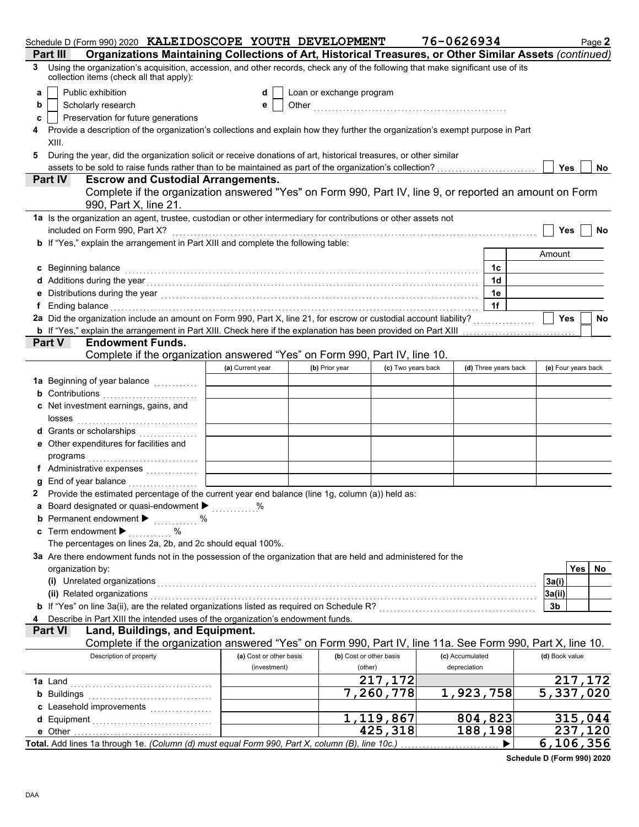| Schedule D (Form 990) 2020 KALEIDOSCOPE YOUTH DEVELOPMENT                                                                                                                                                                           |                         |                          |                         | 76-0626934      |                      | Page 2                 |
|-------------------------------------------------------------------------------------------------------------------------------------------------------------------------------------------------------------------------------------|-------------------------|--------------------------|-------------------------|-----------------|----------------------|------------------------|
| Organizations Maintaining Collections of Art, Historical Treasures, or Other Similar Assets (continued)<br>Part III                                                                                                                 |                         |                          |                         |                 |                      |                        |
| Using the organization's acquisition, accession, and other records, check any of the following that make significant use of its<br>3<br>collection items (check all that apply):                                                    |                         |                          |                         |                 |                      |                        |
| Public exhibition<br>a                                                                                                                                                                                                              | d                       | Loan or exchange program |                         |                 |                      |                        |
| Scholarly research<br>b                                                                                                                                                                                                             | е                       |                          |                         |                 |                      |                        |
| Preservation for future generations<br>c                                                                                                                                                                                            |                         |                          |                         |                 |                      |                        |
| Provide a description of the organization's collections and explain how they further the organization's exempt purpose in Part                                                                                                      |                         |                          |                         |                 |                      |                        |
| XIII.                                                                                                                                                                                                                               |                         |                          |                         |                 |                      |                        |
| During the year, did the organization solicit or receive donations of art, historical treasures, or other similar<br>5                                                                                                              |                         |                          |                         |                 |                      |                        |
|                                                                                                                                                                                                                                     |                         |                          |                         |                 |                      | Yes<br><b>No</b>       |
| Part IV<br><b>Escrow and Custodial Arrangements.</b>                                                                                                                                                                                |                         |                          |                         |                 |                      |                        |
| Complete if the organization answered "Yes" on Form 990, Part IV, line 9, or reported an amount on Form<br>990, Part X, line 21.                                                                                                    |                         |                          |                         |                 |                      |                        |
| 1a Is the organization an agent, trustee, custodian or other intermediary for contributions or other assets not                                                                                                                     |                         |                          |                         |                 |                      |                        |
| included on Form 990, Part X?                                                                                                                                                                                                       |                         |                          |                         |                 |                      | Yes<br>No              |
| <b>b</b> If "Yes," explain the arrangement in Part XIII and complete the following table:                                                                                                                                           |                         |                          |                         |                 |                      |                        |
|                                                                                                                                                                                                                                     |                         |                          |                         |                 |                      | Amount                 |
| c Beginning balance                                                                                                                                                                                                                 |                         |                          |                         |                 | 1c                   |                        |
|                                                                                                                                                                                                                                     |                         |                          |                         |                 | 1 <sub>d</sub>       |                        |
|                                                                                                                                                                                                                                     |                         |                          |                         |                 | 1e                   |                        |
| Ending balance <b>constructs</b> and the construction of the construction of the construction of the construction of the construction of the construction of the construction of the construction of the construction of the constr |                         |                          |                         |                 | 1f                   |                        |
| 2a Did the organization include an amount on Form 990, Part X, line 21, for escrow or custodial account liability?                                                                                                                  |                         |                          |                         |                 |                      | <b>Yes</b><br>No       |
| <b>b</b> If "Yes," explain the arrangement in Part XIII. Check here if the explanation has been provided on Part XIII                                                                                                               |                         |                          |                         |                 |                      |                        |
| <b>Endowment Funds.</b><br><b>Part V</b>                                                                                                                                                                                            |                         |                          |                         |                 |                      |                        |
| Complete if the organization answered "Yes" on Form 990, Part IV, line 10.                                                                                                                                                          |                         |                          |                         |                 |                      |                        |
|                                                                                                                                                                                                                                     | (a) Current year        | (b) Prior year           | (c) Two years back      |                 | (d) Three years back | (e) Four years back    |
| 1a Beginning of year balance <i>minimizing</i>                                                                                                                                                                                      |                         |                          |                         |                 |                      |                        |
| <b>b</b> Contributions <b>contributions</b>                                                                                                                                                                                         |                         |                          |                         |                 |                      |                        |
| c Net investment earnings, gains, and                                                                                                                                                                                               |                         |                          |                         |                 |                      |                        |
| losses                                                                                                                                                                                                                              |                         |                          |                         |                 |                      |                        |
| <b>d</b> Grants or scholarships<br>.                                                                                                                                                                                                |                         |                          |                         |                 |                      |                        |
| e Other expenditures for facilities and                                                                                                                                                                                             |                         |                          |                         |                 |                      |                        |
|                                                                                                                                                                                                                                     |                         |                          |                         |                 |                      |                        |
| f Administrative expenses                                                                                                                                                                                                           |                         |                          |                         |                 |                      |                        |
| End of year balance with containing and all the set of the set of the set of the set of the set of the set of the set of the set of the set of the set of the set of the set of the set of the set of the set of the set of th      |                         |                          |                         |                 |                      |                        |
| 2 Provide the estimated percentage of the current year end balance (line 1g, column (a)) held as:                                                                                                                                   |                         |                          |                         |                 |                      |                        |
| a Board designated or quasi-endowment ><br><b>b</b> Permanent endowment $\blacktriangleright$                                                                                                                                       | $\%$                    |                          |                         |                 |                      |                        |
| .<br>c Term endowment $\blacktriangleright$                                                                                                                                                                                         |                         |                          |                         |                 |                      |                        |
| The percentages on lines 2a, 2b, and 2c should equal 100%.                                                                                                                                                                          |                         |                          |                         |                 |                      |                        |
| 3a Are there endowment funds not in the possession of the organization that are held and administered for the                                                                                                                       |                         |                          |                         |                 |                      |                        |
| organization by:                                                                                                                                                                                                                    |                         |                          |                         |                 |                      | <b>Yes</b><br>No       |
| (i) Unrelated organizations [11, 12] Unrelated organizations [11, 12] Unrelated organizations [11, 12] Unrelated organizations [11, 12] Unrelated organizations [11, 12] Unrelated organizations [11, 12] Unrelated organizati      |                         |                          |                         |                 |                      | 3a(i)                  |
| (ii) Related organizations                                                                                                                                                                                                          |                         |                          |                         |                 |                      | 3a(ii)                 |
| b If "Yes" on line 3a(ii), are the related organizations listed as required on Schedule R? [[[[[[[[[[[[[[[[[[[                                                                                                                      |                         |                          |                         |                 |                      | 3b                     |
| Describe in Part XIII the intended uses of the organization's endowment funds.                                                                                                                                                      |                         |                          |                         |                 |                      |                        |
| Land, Buildings, and Equipment.<br><b>Part VI</b>                                                                                                                                                                                   |                         |                          |                         |                 |                      |                        |
| Complete if the organization answered "Yes" on Form 990, Part IV, line 11a. See Form 990, Part X, line 10.                                                                                                                          |                         |                          |                         |                 |                      |                        |
| Description of property                                                                                                                                                                                                             | (a) Cost or other basis |                          | (b) Cost or other basis | (c) Accumulated |                      | (d) Book value         |
|                                                                                                                                                                                                                                     | (investment)            |                          | (other)                 | depreciation    |                      |                        |
|                                                                                                                                                                                                                                     |                         |                          | 217,172                 |                 |                      | 217,172                |
| <b>b</b> Buildings <b>Multiples b</b>                                                                                                                                                                                               |                         |                          | $\overline{7,260,778}$  | 1,923,758       |                      | $\overline{5,337,020}$ |
| c Leasehold improvements                                                                                                                                                                                                            |                         |                          |                         |                 |                      |                        |
|                                                                                                                                                                                                                                     |                         |                          | 1,119,867               |                 | 804,823              | 315,044                |
| e Other                                                                                                                                                                                                                             |                         |                          | $\overline{4}$ 25,318   |                 | 188,198              | 237,120                |
| Total. Add lines 1a through 1e. (Column (d) must equal Form 990, Part X, column (B), line 10c.)                                                                                                                                     |                         |                          |                         |                 |                      | 6, 106, 356            |

**Schedule D (Form 990) 2020**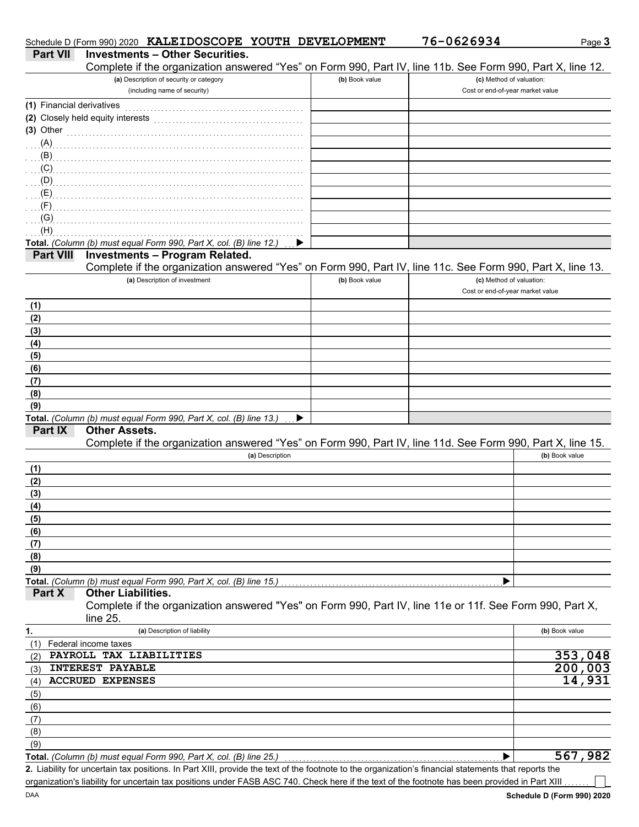|                           | Schedule D (Form 990) 2020 KALEIDOSCOPE YOUTH DEVELOPMENT                                                                                            |                | 76-0626934                                                   | Page 3         |
|---------------------------|------------------------------------------------------------------------------------------------------------------------------------------------------|----------------|--------------------------------------------------------------|----------------|
| <b>Part VII</b>           | <b>Investments - Other Securities.</b>                                                                                                               |                |                                                              |                |
|                           | Complete if the organization answered "Yes" on Form 990, Part IV, line 11b. See Form 990, Part X, line 12.                                           |                |                                                              |                |
|                           | (a) Description of security or category<br>(including name of security)                                                                              | (b) Book value | (c) Method of valuation:<br>Cost or end-of-year market value |                |
| (1) Financial derivatives |                                                                                                                                                      |                |                                                              |                |
|                           | (2) Closely held equity interests                                                                                                                    |                |                                                              |                |
| $(3)$ Other               |                                                                                                                                                      |                |                                                              |                |
| (A)                       |                                                                                                                                                      |                |                                                              |                |
| (B)                       |                                                                                                                                                      |                |                                                              |                |
| (C)                       |                                                                                                                                                      |                |                                                              |                |
| (D)<br>(E)                |                                                                                                                                                      |                |                                                              |                |
| (F)                       |                                                                                                                                                      |                |                                                              |                |
| (G)                       |                                                                                                                                                      |                |                                                              |                |
| (H)                       |                                                                                                                                                      |                |                                                              |                |
|                           | Total. (Column (b) must equal Form 990, Part X, col. (B) line 12.)                                                                                   |                |                                                              |                |
| <b>Part VIII</b>          | <b>Investments - Program Related.</b>                                                                                                                |                |                                                              |                |
|                           | Complete if the organization answered "Yes" on Form 990, Part IV, line 11c. See Form 990, Part X, line 13.                                           |                |                                                              |                |
|                           | (a) Description of investment                                                                                                                        | (b) Book value | (c) Method of valuation:<br>Cost or end-of-year market value |                |
|                           |                                                                                                                                                      |                |                                                              |                |
| (1)                       |                                                                                                                                                      |                |                                                              |                |
| (2)<br>(3)                |                                                                                                                                                      |                |                                                              |                |
| (4)                       |                                                                                                                                                      |                |                                                              |                |
| (5)                       |                                                                                                                                                      |                |                                                              |                |
| (6)                       |                                                                                                                                                      |                |                                                              |                |
| (7)                       |                                                                                                                                                      |                |                                                              |                |
| (8)                       |                                                                                                                                                      |                |                                                              |                |
| (9)                       |                                                                                                                                                      |                |                                                              |                |
|                           | Total. (Column (b) must equal Form 990, Part X, col. (B) line 13.)                                                                                   |                |                                                              |                |
| Part IX                   | <b>Other Assets.</b>                                                                                                                                 |                |                                                              |                |
|                           | Complete if the organization answered "Yes" on Form 990, Part IV, line 11d. See Form 990, Part X, line 15.                                           |                |                                                              |                |
|                           | (a) Description                                                                                                                                      |                |                                                              | (b) Book value |
| (1)<br>(2)                |                                                                                                                                                      |                |                                                              |                |
| (3)                       |                                                                                                                                                      |                |                                                              |                |
| <u>(4)</u>                |                                                                                                                                                      |                |                                                              |                |
| (5)                       |                                                                                                                                                      |                |                                                              |                |
| (6)                       |                                                                                                                                                      |                |                                                              |                |
| (7)                       |                                                                                                                                                      |                |                                                              |                |
| (8)                       |                                                                                                                                                      |                |                                                              |                |
| (9)                       |                                                                                                                                                      |                |                                                              |                |
|                           | Total. (Column (b) must equal Form 990, Part X, col. (B) line 15.)                                                                                   |                | ▶                                                            |                |
| Part X                    | <b>Other Liabilities.</b>                                                                                                                            |                |                                                              |                |
|                           | Complete if the organization answered "Yes" on Form 990, Part IV, line 11e or 11f. See Form 990, Part X,<br>line 25.                                 |                |                                                              |                |
| 1.                        | (a) Description of liability                                                                                                                         |                |                                                              | (b) Book value |
| (1)                       | Federal income taxes                                                                                                                                 |                |                                                              |                |
| (2)                       | PAYROLL TAX LIABILITIES                                                                                                                              |                |                                                              | 353,048        |
| (3)                       | <b>INTEREST PAYABLE</b>                                                                                                                              |                |                                                              | 200,003        |
| (4)                       | <b>ACCRUED EXPENSES</b>                                                                                                                              |                |                                                              | 14,931         |
| (5)                       |                                                                                                                                                      |                |                                                              |                |
| (6)                       |                                                                                                                                                      |                |                                                              |                |
| (7)                       |                                                                                                                                                      |                |                                                              |                |
| (8)                       |                                                                                                                                                      |                |                                                              |                |
| (9)                       |                                                                                                                                                      |                |                                                              |                |
|                           | Total. (Column (b) must equal Form 990, Part X, col. (B) line 25.)                                                                                   |                | ▶                                                            | 567,982        |
|                           | 2. Liability for uncertain tax positions. In Part XIII, provide the text of the footnote to the organization's financial statements that reports the |                |                                                              |                |
|                           | organization's liability for uncertain tax positions under FASB ASC 740. Check here if the text of the footnote has been provided in Part XIII       |                |                                                              |                |

organization's liability for uncertain tax positions under FASB ASC 740. Check here if the text of the footnote has been provided in Part XIII ...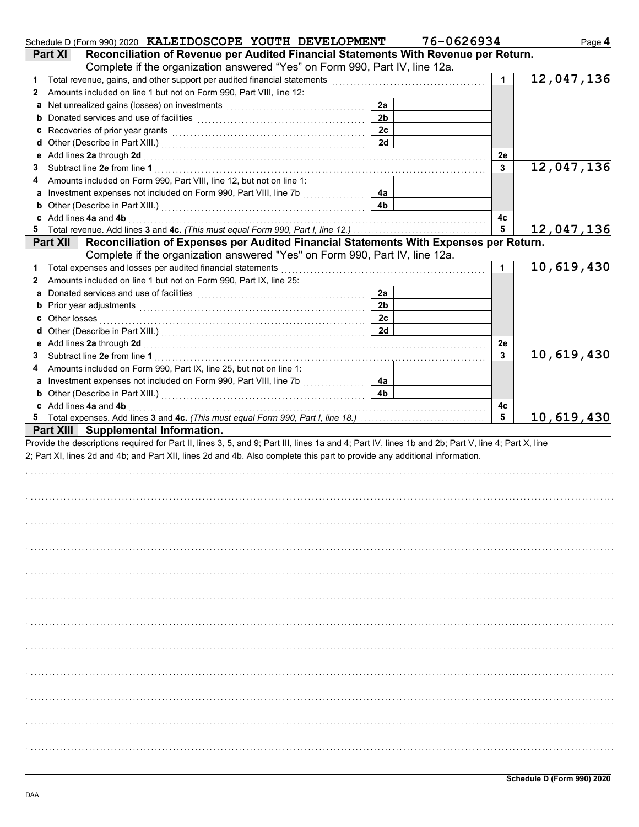|    | Schedule D (Form 990) 2020 KALEIDOSCOPE YOUTH DEVELOPMENT                                                                                                                                                                               |                      | 76-0626934 | Page 4     |
|----|-----------------------------------------------------------------------------------------------------------------------------------------------------------------------------------------------------------------------------------------|----------------------|------------|------------|
|    | Reconciliation of Revenue per Audited Financial Statements With Revenue per Return.<br><b>Part XI</b>                                                                                                                                   |                      |            |            |
|    | Complete if the organization answered "Yes" on Form 990, Part IV, line 12a.                                                                                                                                                             |                      |            |            |
| 1  | Total revenue, gains, and other support per audited financial statements [111] [11] [11] Total revenue, gains, and other support per audited financial statements [11] [11] Total revenue of the statements of the statements           |                      | 1          | 12,047,136 |
| 2  | Amounts included on line 1 but not on Form 990, Part VIII, line 12:                                                                                                                                                                     |                      |            |            |
| а  | Net unrealized gains (losses) on investments [11] with the uncontracted value of the uncontracted value of the                                                                                                                          | 2a                   |            |            |
|    | <b>b</b> Donated services and use of facilities <b>constants</b> and the constant of the service of the constant of the constant of the constant of the constant of the constant of the constant of the constant of the constant of the | 2 <sub>b</sub>       |            |            |
| c  | Recoveries of prior year grants [11] with the contract of prior year of prior year of prior year of the contract of the contract of the contract of the contract of the contract of the contract of the contract of the contra          | 2c                   |            |            |
| d  |                                                                                                                                                                                                                                         | 2d                   |            |            |
| е  | Add lines 2a through 2d [11] March 2014 [12] March 2014 [12] March 2014 [12] March 2014 [12] March 2014 [12] March 2015 [12] March 2014 [12] March 2014 [12] March 2014 [12] March 2014 [12] March 2014 [12] March 2014 [12] M          |                      | 2e         |            |
| 3  |                                                                                                                                                                                                                                         |                      | 3          | 12,047,136 |
| 4  | Amounts included on Form 990, Part VIII, line 12, but not on line 1:                                                                                                                                                                    |                      |            |            |
| a  |                                                                                                                                                                                                                                         | 4а                   |            |            |
| b  |                                                                                                                                                                                                                                         | 4b                   |            |            |
| c  | Add lines 4a and 4b electron contracts and the contracts of the state of the state of the state of the state of the state of the state of the state of the state of the state of the state of the state of the state of the st          |                      | 4c         |            |
| 5  | Total revenue. Add lines 3 and 4c. (This must equal Form 990, Part I, line 12.)                                                                                                                                                         |                      | 5          | 12,047,136 |
|    | Reconciliation of Expenses per Audited Financial Statements With Expenses per Return.<br><b>Part XII</b>                                                                                                                                |                      |            |            |
|    | Complete if the organization answered "Yes" on Form 990, Part IV, line 12a.                                                                                                                                                             |                      |            |            |
| 1. | Total expenses and losses per audited financial statements                                                                                                                                                                              |                      |            | 10,619,430 |
| 2  | Amounts included on line 1 but not on Form 990, Part IX, line 25:                                                                                                                                                                       |                      |            |            |
| а  |                                                                                                                                                                                                                                         | 2a                   |            |            |
|    | b Prior year adjustments <b>contained</b> and the contained and the contained and contained and prior of the contained and contained and contained and contained and contained and contained and contained and contained and contai     | 2 <sub>b</sub>       |            |            |
| c  |                                                                                                                                                                                                                                         | 2c                   |            |            |
| d  |                                                                                                                                                                                                                                         | 2d                   |            |            |
|    |                                                                                                                                                                                                                                         |                      | 2e         |            |
| 3  |                                                                                                                                                                                                                                         |                      | 3          | 10,619,430 |
| 4  | Amounts included on Form 990, Part IX, line 25, but not on line 1:                                                                                                                                                                      |                      |            |            |
|    |                                                                                                                                                                                                                                         | 4a<br>4 <sub>b</sub> |            |            |
|    |                                                                                                                                                                                                                                         |                      |            |            |
|    | c Add lines 4a and 4b <b>contract and 4</b> hours and 4 hours and 4 hours and 4 hours and 4 hours and 4 hours and 4 hours and 4 hours and 4 hours and 4 hours and 4 hours and 4 hours and 4 hours and 4 hours and 4 hours and 4 hou     |                      | 4с<br>5    | 10,619,430 |
|    | Part XIII Supplemental Information.                                                                                                                                                                                                     |                      |            |            |
|    | Provide the descriptions required for Part II, lines 3, 5, and 9; Part III, lines 1a and 4; Part IV, lines 1b and 2b; Part V, line 4; Part X, line                                                                                      |                      |            |            |
|    | 2; Part XI, lines 2d and 4b; and Part XII, lines 2d and 4b. Also complete this part to provide any additional information.                                                                                                              |                      |            |            |
|    |                                                                                                                                                                                                                                         |                      |            |            |
|    |                                                                                                                                                                                                                                         |                      |            |            |
|    |                                                                                                                                                                                                                                         |                      |            |            |
|    |                                                                                                                                                                                                                                         |                      |            |            |
|    |                                                                                                                                                                                                                                         |                      |            |            |
|    |                                                                                                                                                                                                                                         |                      |            |            |
|    |                                                                                                                                                                                                                                         |                      |            |            |
|    |                                                                                                                                                                                                                                         |                      |            |            |
|    |                                                                                                                                                                                                                                         |                      |            |            |
|    |                                                                                                                                                                                                                                         |                      |            |            |
|    |                                                                                                                                                                                                                                         |                      |            |            |
|    |                                                                                                                                                                                                                                         |                      |            |            |
|    |                                                                                                                                                                                                                                         |                      |            |            |
|    |                                                                                                                                                                                                                                         |                      |            |            |
|    |                                                                                                                                                                                                                                         |                      |            |            |
|    |                                                                                                                                                                                                                                         |                      |            |            |
|    |                                                                                                                                                                                                                                         |                      |            |            |
|    |                                                                                                                                                                                                                                         |                      |            |            |
|    |                                                                                                                                                                                                                                         |                      |            |            |
|    |                                                                                                                                                                                                                                         |                      |            |            |
|    |                                                                                                                                                                                                                                         |                      |            |            |
|    |                                                                                                                                                                                                                                         |                      |            |            |
|    |                                                                                                                                                                                                                                         |                      |            |            |
|    |                                                                                                                                                                                                                                         |                      |            |            |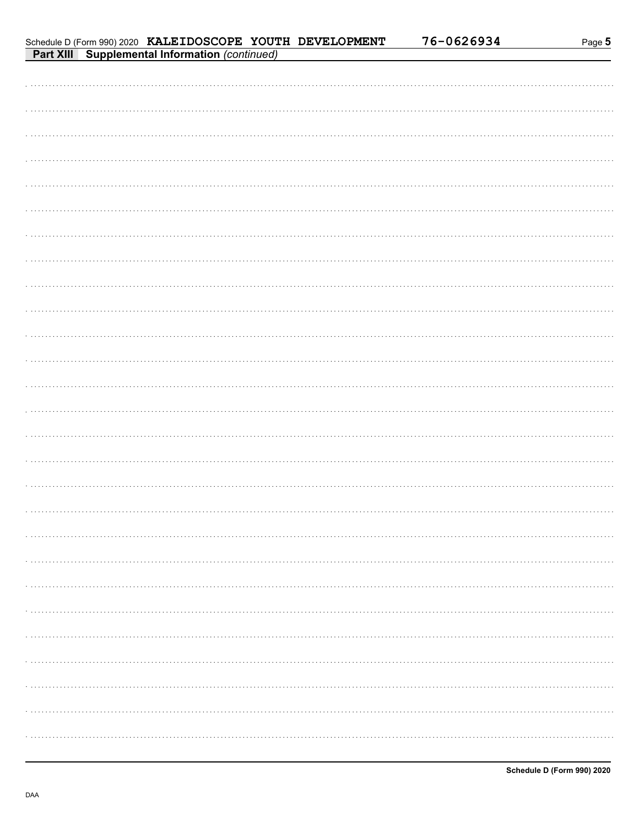76-0626934

| Schedule D (Form 990) 2020 KALEIDOSCOPE YOUTH DEVELOPMENT |  |  |
|-----------------------------------------------------------|--|--|
| <b>Part XIII</b> Supplemental Information (continued)     |  |  |

| $\sigma$ oupplemental imormation (commuted)<br><b>FAIL AIL</b> |
|----------------------------------------------------------------|
|                                                                |
|                                                                |
|                                                                |
|                                                                |
|                                                                |
|                                                                |
|                                                                |
|                                                                |
|                                                                |
|                                                                |
|                                                                |
|                                                                |
|                                                                |
|                                                                |
|                                                                |
|                                                                |
|                                                                |
|                                                                |
|                                                                |
|                                                                |
|                                                                |
|                                                                |
|                                                                |
|                                                                |
|                                                                |
|                                                                |
|                                                                |
|                                                                |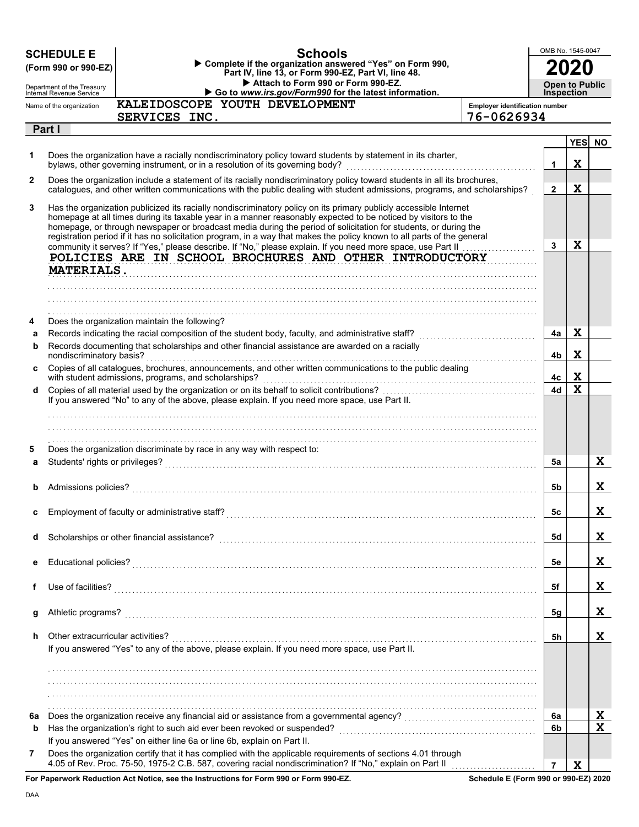|              | <b>SCHEDULE E</b><br>(Form 990 or 990-EZ)              | <b>Schools</b><br>Complete if the organization answered "Yes" on Form 990,<br>Part IV, line 13, or Form 990-EZ, Part VI, line 48.                                                                                                                                                                                                                                                                                                                                                                                                            |                                       | OMB No. 1545-0047                          |                            |             |
|--------------|--------------------------------------------------------|----------------------------------------------------------------------------------------------------------------------------------------------------------------------------------------------------------------------------------------------------------------------------------------------------------------------------------------------------------------------------------------------------------------------------------------------------------------------------------------------------------------------------------------------|---------------------------------------|--------------------------------------------|----------------------------|-------------|
|              | Department of the Treasury<br>Internal Revenue Service | Attach to Form 990 or Form 990-EZ.<br>Go to www.irs.gov/Form990 for the latest information.                                                                                                                                                                                                                                                                                                                                                                                                                                                  |                                       | <b>Open to Public</b><br><b>Inspection</b> |                            |             |
|              | Name of the organization                               | KALEIDOSCOPE YOUTH DEVELOPMENT                                                                                                                                                                                                                                                                                                                                                                                                                                                                                                               | <b>Employer identification number</b> |                                            |                            |             |
|              |                                                        | SERVICES INC.                                                                                                                                                                                                                                                                                                                                                                                                                                                                                                                                | 76-0626934                            |                                            |                            |             |
|              | Part I                                                 |                                                                                                                                                                                                                                                                                                                                                                                                                                                                                                                                              |                                       |                                            |                            |             |
| 1.           |                                                        | Does the organization have a racially nondiscriminatory policy toward students by statement in its charter,<br>bylaws, other governing instrument, or in a resolution of its governing body?                                                                                                                                                                                                                                                                                                                                                 |                                       | $\mathbf{1}$                               | $\mathbf x$                | YES NO      |
| $\mathbf{2}$ |                                                        | Does the organization include a statement of its racially nondiscriminatory policy toward students in all its brochures,<br>catalogues, and other written communications with the public dealing with student admissions, programs, and scholarships?                                                                                                                                                                                                                                                                                        |                                       | $\overline{2}$                             | $\mathbf x$                |             |
| 3            | MATERIALS.                                             | Has the organization publicized its racially nondiscriminatory policy on its primary publicly accessible Internet<br>homepage at all times during its taxable year in a manner reasonably expected to be noticed by visitors to the<br>homepage, or through newspaper or broadcast media during the period of solicitation for students, or during the<br>registration period if it has no solicitation program, in a way that makes the policy known to all parts of the general<br>POLICIES ARE IN SCHOOL BROCHURES AND OTHER INTRODUCTORY |                                       | $\mathbf{3}$                               | $\mathbf x$                |             |
|              |                                                        |                                                                                                                                                                                                                                                                                                                                                                                                                                                                                                                                              |                                       |                                            |                            |             |
| 4            |                                                        | Does the organization maintain the following?                                                                                                                                                                                                                                                                                                                                                                                                                                                                                                |                                       |                                            |                            |             |
| a            |                                                        |                                                                                                                                                                                                                                                                                                                                                                                                                                                                                                                                              |                                       | 4a                                         | X                          |             |
| b            |                                                        | Records documenting that scholarships and other financial assistance are awarded on a racially                                                                                                                                                                                                                                                                                                                                                                                                                                               |                                       |                                            |                            |             |
| C.           | nondiscriminatory basis?                               | Copies of all catalogues, brochures, announcements, and other written communications to the public dealing                                                                                                                                                                                                                                                                                                                                                                                                                                   |                                       | 4b<br>4с                                   | $\mathbf x$<br>$\mathbf x$ |             |
| d            |                                                        |                                                                                                                                                                                                                                                                                                                                                                                                                                                                                                                                              |                                       | 4d                                         | $\mathbf x$                |             |
| 5            |                                                        | If you answered "No" to any of the above, please explain. If you need more space, use Part II.<br>Does the organization discriminate by race in any way with respect to:                                                                                                                                                                                                                                                                                                                                                                     |                                       |                                            |                            |             |
| a            | Students' rights or privileges?                        |                                                                                                                                                                                                                                                                                                                                                                                                                                                                                                                                              |                                       | 5a                                         |                            | X           |
| b            | Admissions policies?                                   |                                                                                                                                                                                                                                                                                                                                                                                                                                                                                                                                              |                                       | 5b                                         |                            | X           |
|              |                                                        |                                                                                                                                                                                                                                                                                                                                                                                                                                                                                                                                              |                                       | 5c                                         |                            | ᅀ           |
| d            |                                                        | Scholarships or other financial assistance?                                                                                                                                                                                                                                                                                                                                                                                                                                                                                                  |                                       | 5d                                         |                            | X.          |
| е            |                                                        |                                                                                                                                                                                                                                                                                                                                                                                                                                                                                                                                              |                                       | 5e                                         |                            | X           |
| f            | Use of facilities?                                     |                                                                                                                                                                                                                                                                                                                                                                                                                                                                                                                                              |                                       | 5f                                         |                            | X           |
| g            | Athletic programs?                                     |                                                                                                                                                                                                                                                                                                                                                                                                                                                                                                                                              |                                       | 5g                                         |                            | X           |
| h            | Other extracurricular activities?                      | If you answered "Yes" to any of the above, please explain. If you need more space, use Part II.                                                                                                                                                                                                                                                                                                                                                                                                                                              |                                       | 5h                                         |                            | X           |
|              |                                                        |                                                                                                                                                                                                                                                                                                                                                                                                                                                                                                                                              |                                       |                                            |                            |             |
|              |                                                        |                                                                                                                                                                                                                                                                                                                                                                                                                                                                                                                                              |                                       |                                            |                            |             |
|              |                                                        |                                                                                                                                                                                                                                                                                                                                                                                                                                                                                                                                              |                                       |                                            |                            |             |
| 6а           |                                                        |                                                                                                                                                                                                                                                                                                                                                                                                                                                                                                                                              |                                       | 6a                                         |                            | X           |
| b            |                                                        |                                                                                                                                                                                                                                                                                                                                                                                                                                                                                                                                              |                                       | 6b                                         |                            | $\mathbf x$ |
|              |                                                        | If you answered "Yes" on either line 6a or line 6b, explain on Part II.                                                                                                                                                                                                                                                                                                                                                                                                                                                                      |                                       |                                            |                            |             |
| 7            |                                                        | Does the organization certify that it has complied with the applicable requirements of sections 4.01 through<br>estr Deduction Act Notice, ace the Instructions for Fesse 000 or Fesse 000 F7.                                                                                                                                                                                                                                                                                                                                               |                                       | $\overline{7}$                             | $\mathbf x$                |             |

**For Paperwork Reduction Act Notice, see the Instructions for Form 990 or Form 990-EZ.**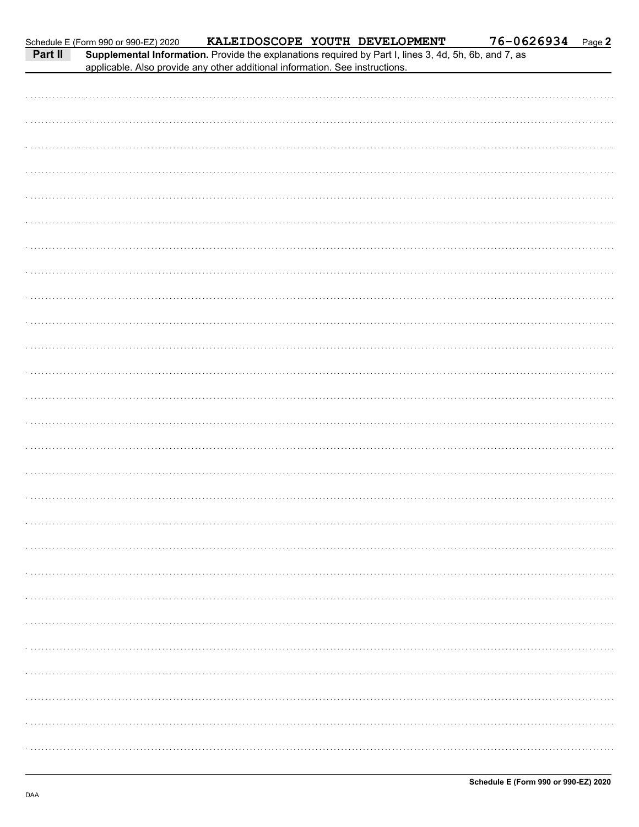| r ait II |  | supplemental information. Provide the explanations required by Part I, lines 3, 4d, 3h, 6b, and 7, as<br>applicable. Also provide any other additional information. See instructions. |  |
|----------|--|---------------------------------------------------------------------------------------------------------------------------------------------------------------------------------------|--|
|          |  |                                                                                                                                                                                       |  |
|          |  |                                                                                                                                                                                       |  |
|          |  |                                                                                                                                                                                       |  |
|          |  |                                                                                                                                                                                       |  |
|          |  |                                                                                                                                                                                       |  |
|          |  |                                                                                                                                                                                       |  |
|          |  |                                                                                                                                                                                       |  |
|          |  |                                                                                                                                                                                       |  |
|          |  |                                                                                                                                                                                       |  |
|          |  |                                                                                                                                                                                       |  |
|          |  |                                                                                                                                                                                       |  |
|          |  |                                                                                                                                                                                       |  |
|          |  |                                                                                                                                                                                       |  |
|          |  |                                                                                                                                                                                       |  |
|          |  |                                                                                                                                                                                       |  |
|          |  |                                                                                                                                                                                       |  |
|          |  |                                                                                                                                                                                       |  |
|          |  |                                                                                                                                                                                       |  |
|          |  |                                                                                                                                                                                       |  |
|          |  |                                                                                                                                                                                       |  |
|          |  |                                                                                                                                                                                       |  |
|          |  |                                                                                                                                                                                       |  |
|          |  |                                                                                                                                                                                       |  |
|          |  |                                                                                                                                                                                       |  |
|          |  |                                                                                                                                                                                       |  |
|          |  |                                                                                                                                                                                       |  |
|          |  |                                                                                                                                                                                       |  |
|          |  |                                                                                                                                                                                       |  |
|          |  |                                                                                                                                                                                       |  |
|          |  |                                                                                                                                                                                       |  |
|          |  |                                                                                                                                                                                       |  |
|          |  |                                                                                                                                                                                       |  |
|          |  |                                                                                                                                                                                       |  |
|          |  |                                                                                                                                                                                       |  |
|          |  |                                                                                                                                                                                       |  |
|          |  |                                                                                                                                                                                       |  |
|          |  |                                                                                                                                                                                       |  |
|          |  |                                                                                                                                                                                       |  |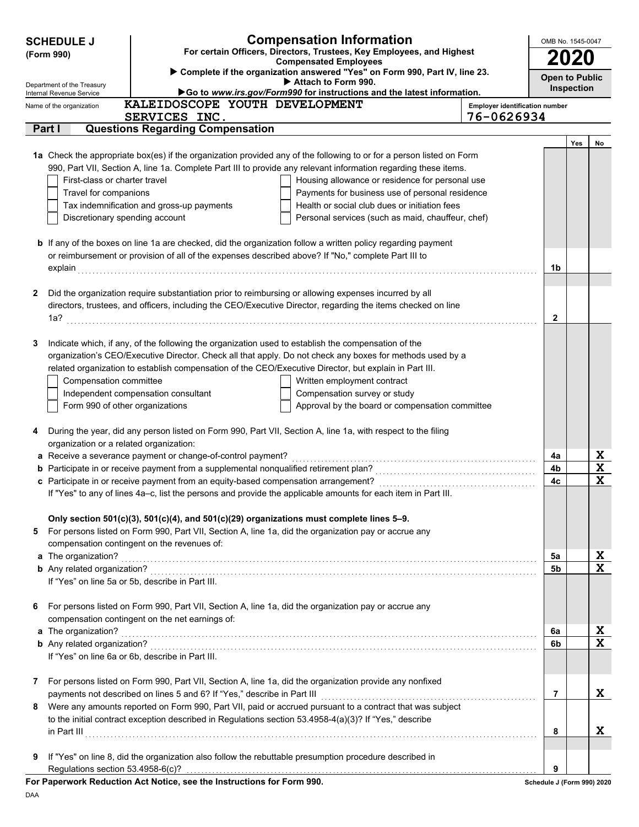| <b>Open to Public</b><br>Attach to Form 990.<br>Department of the Treasury<br><b>Inspection</b><br>Go to www.irs.gov/Form990 for instructions and the latest information.<br>Internal Revenue Service<br>KALEIDOSCOPE YOUTH DEVELOPMENT<br>Name of the organization<br><b>Employer identification number</b><br>76-0626934<br>SERVICES INC.<br>Part I<br><b>Questions Regarding Compensation</b><br>Yes<br>No<br>1a Check the appropriate box(es) if the organization provided any of the following to or for a person listed on Form<br>990, Part VII, Section A, line 1a. Complete Part III to provide any relevant information regarding these items.<br>First-class or charter travel<br>Housing allowance or residence for personal use<br>Travel for companions<br>Payments for business use of personal residence<br>Tax indemnification and gross-up payments<br>Health or social club dues or initiation fees<br>Discretionary spending account<br>Personal services (such as maid, chauffeur, chef)<br><b>b</b> If any of the boxes on line 1a are checked, did the organization follow a written policy regarding payment<br>or reimbursement or provision of all of the expenses described above? If "No," complete Part III to<br>1b<br>Did the organization require substantiation prior to reimbursing or allowing expenses incurred by all<br>2<br>directors, trustees, and officers, including the CEO/Executive Director, regarding the items checked on line<br>$\mathbf{2}$<br>Indicate which, if any, of the following the organization used to establish the compensation of the<br>3<br>organization's CEO/Executive Director. Check all that apply. Do not check any boxes for methods used by a<br>related organization to establish compensation of the CEO/Executive Director, but explain in Part III.<br>Compensation committee<br>Written employment contract<br>Independent compensation consultant<br>Compensation survey or study<br>Form 990 of other organizations<br>Approval by the board or compensation committee<br>During the year, did any person listed on Form 990, Part VII, Section A, line 1a, with respect to the filing<br>4<br>organization or a related organization:<br>X<br>a Receive a severance payment or change-of-control payment?<br>4a<br>$\mathbf x$<br>4b<br>$\overline{\mathbf{x}}$<br>4c<br>If "Yes" to any of lines 4a-c, list the persons and provide the applicable amounts for each item in Part III.<br>Only section 501(c)(3), 501(c)(4), and 501(c)(29) organizations must complete lines 5-9.<br>For persons listed on Form 990, Part VII, Section A, line 1a, did the organization pay or accrue any<br>5<br>compensation contingent on the revenues of:<br>X<br>a The organization? <b>And in the organization?</b><br>5a<br>$\mathbf x$<br>5b<br>If "Yes" on line 5a or 5b, describe in Part III.<br>For persons listed on Form 990, Part VII, Section A, line 1a, did the organization pay or accrue any<br>6<br>compensation contingent on the net earnings of:<br>X<br>a The organization? <b>And in the organization?</b> And in the organization of the organization?<br>6a<br>$\mathbf x$<br>6b<br>If "Yes" on line 6a or 6b, describe in Part III.<br>For persons listed on Form 990, Part VII, Section A, line 1a, did the organization provide any nonfixed<br>7<br>X<br>7<br>Were any amounts reported on Form 990, Part VII, paid or accrued pursuant to a contract that was subject<br>8<br>to the initial contract exception described in Regulations section 53.4958-4(a)(3)? If "Yes," describe<br>X<br>8<br>If "Yes" on line 8, did the organization also follow the rebuttable presumption procedure described in<br>9<br>Regulations section 53.4958-6(c)?<br>9<br>For Paperwork Reduction Act Notice, see the Instructions for Form 990.<br>Schedule J (Form 990) 2020 | <b>SCHEDULE J</b><br>(Form 990) | <b>Compensation Information</b><br>For certain Officers, Directors, Trustees, Key Employees, and Highest<br><b>Compensated Employees</b> | OMB No. 1545-0047 |  |
|----------------------------------------------------------------------------------------------------------------------------------------------------------------------------------------------------------------------------------------------------------------------------------------------------------------------------------------------------------------------------------------------------------------------------------------------------------------------------------------------------------------------------------------------------------------------------------------------------------------------------------------------------------------------------------------------------------------------------------------------------------------------------------------------------------------------------------------------------------------------------------------------------------------------------------------------------------------------------------------------------------------------------------------------------------------------------------------------------------------------------------------------------------------------------------------------------------------------------------------------------------------------------------------------------------------------------------------------------------------------------------------------------------------------------------------------------------------------------------------------------------------------------------------------------------------------------------------------------------------------------------------------------------------------------------------------------------------------------------------------------------------------------------------------------------------------------------------------------------------------------------------------------------------------------------------------------------------------------------------------------------------------------------------------------------------------------------------------------------------------------------------------------------------------------------------------------------------------------------------------------------------------------------------------------------------------------------------------------------------------------------------------------------------------------------------------------------------------------------------------------------------------------------------------------------------------------------------------------------------------------------------------------------------------------------------------------------------------------------------------------------------------------------------------------------------------------------------------------------------------------------------------------------------------------------------------------------------------------------------------------------------------------------------------------------------------------------------------------------------------------------------------------------------------------------------------------------------------------------------------------------------------------------------------------------------------------------------------------------------------------------------------------------------------------------------------------------------------------------------------------------------------------------------------------------------------------------------------------------------------------------------------------------------------------------------------------------------------------------------------------------------------------------------------------------------------------------------------------------------------|---------------------------------|------------------------------------------------------------------------------------------------------------------------------------------|-------------------|--|
|                                                                                                                                                                                                                                                                                                                                                                                                                                                                                                                                                                                                                                                                                                                                                                                                                                                                                                                                                                                                                                                                                                                                                                                                                                                                                                                                                                                                                                                                                                                                                                                                                                                                                                                                                                                                                                                                                                                                                                                                                                                                                                                                                                                                                                                                                                                                                                                                                                                                                                                                                                                                                                                                                                                                                                                                                                                                                                                                                                                                                                                                                                                                                                                                                                                                                                                                                                                                                                                                                                                                                                                                                                                                                                                                                                                                                                                                      |                                 | > Complete if the organization answered "Yes" on Form 990, Part IV, line 23.                                                             |                   |  |
|                                                                                                                                                                                                                                                                                                                                                                                                                                                                                                                                                                                                                                                                                                                                                                                                                                                                                                                                                                                                                                                                                                                                                                                                                                                                                                                                                                                                                                                                                                                                                                                                                                                                                                                                                                                                                                                                                                                                                                                                                                                                                                                                                                                                                                                                                                                                                                                                                                                                                                                                                                                                                                                                                                                                                                                                                                                                                                                                                                                                                                                                                                                                                                                                                                                                                                                                                                                                                                                                                                                                                                                                                                                                                                                                                                                                                                                                      |                                 |                                                                                                                                          |                   |  |
|                                                                                                                                                                                                                                                                                                                                                                                                                                                                                                                                                                                                                                                                                                                                                                                                                                                                                                                                                                                                                                                                                                                                                                                                                                                                                                                                                                                                                                                                                                                                                                                                                                                                                                                                                                                                                                                                                                                                                                                                                                                                                                                                                                                                                                                                                                                                                                                                                                                                                                                                                                                                                                                                                                                                                                                                                                                                                                                                                                                                                                                                                                                                                                                                                                                                                                                                                                                                                                                                                                                                                                                                                                                                                                                                                                                                                                                                      |                                 |                                                                                                                                          |                   |  |
|                                                                                                                                                                                                                                                                                                                                                                                                                                                                                                                                                                                                                                                                                                                                                                                                                                                                                                                                                                                                                                                                                                                                                                                                                                                                                                                                                                                                                                                                                                                                                                                                                                                                                                                                                                                                                                                                                                                                                                                                                                                                                                                                                                                                                                                                                                                                                                                                                                                                                                                                                                                                                                                                                                                                                                                                                                                                                                                                                                                                                                                                                                                                                                                                                                                                                                                                                                                                                                                                                                                                                                                                                                                                                                                                                                                                                                                                      |                                 |                                                                                                                                          |                   |  |
|                                                                                                                                                                                                                                                                                                                                                                                                                                                                                                                                                                                                                                                                                                                                                                                                                                                                                                                                                                                                                                                                                                                                                                                                                                                                                                                                                                                                                                                                                                                                                                                                                                                                                                                                                                                                                                                                                                                                                                                                                                                                                                                                                                                                                                                                                                                                                                                                                                                                                                                                                                                                                                                                                                                                                                                                                                                                                                                                                                                                                                                                                                                                                                                                                                                                                                                                                                                                                                                                                                                                                                                                                                                                                                                                                                                                                                                                      |                                 |                                                                                                                                          |                   |  |
|                                                                                                                                                                                                                                                                                                                                                                                                                                                                                                                                                                                                                                                                                                                                                                                                                                                                                                                                                                                                                                                                                                                                                                                                                                                                                                                                                                                                                                                                                                                                                                                                                                                                                                                                                                                                                                                                                                                                                                                                                                                                                                                                                                                                                                                                                                                                                                                                                                                                                                                                                                                                                                                                                                                                                                                                                                                                                                                                                                                                                                                                                                                                                                                                                                                                                                                                                                                                                                                                                                                                                                                                                                                                                                                                                                                                                                                                      |                                 |                                                                                                                                          |                   |  |
|                                                                                                                                                                                                                                                                                                                                                                                                                                                                                                                                                                                                                                                                                                                                                                                                                                                                                                                                                                                                                                                                                                                                                                                                                                                                                                                                                                                                                                                                                                                                                                                                                                                                                                                                                                                                                                                                                                                                                                                                                                                                                                                                                                                                                                                                                                                                                                                                                                                                                                                                                                                                                                                                                                                                                                                                                                                                                                                                                                                                                                                                                                                                                                                                                                                                                                                                                                                                                                                                                                                                                                                                                                                                                                                                                                                                                                                                      |                                 |                                                                                                                                          |                   |  |
|                                                                                                                                                                                                                                                                                                                                                                                                                                                                                                                                                                                                                                                                                                                                                                                                                                                                                                                                                                                                                                                                                                                                                                                                                                                                                                                                                                                                                                                                                                                                                                                                                                                                                                                                                                                                                                                                                                                                                                                                                                                                                                                                                                                                                                                                                                                                                                                                                                                                                                                                                                                                                                                                                                                                                                                                                                                                                                                                                                                                                                                                                                                                                                                                                                                                                                                                                                                                                                                                                                                                                                                                                                                                                                                                                                                                                                                                      |                                 |                                                                                                                                          |                   |  |
|                                                                                                                                                                                                                                                                                                                                                                                                                                                                                                                                                                                                                                                                                                                                                                                                                                                                                                                                                                                                                                                                                                                                                                                                                                                                                                                                                                                                                                                                                                                                                                                                                                                                                                                                                                                                                                                                                                                                                                                                                                                                                                                                                                                                                                                                                                                                                                                                                                                                                                                                                                                                                                                                                                                                                                                                                                                                                                                                                                                                                                                                                                                                                                                                                                                                                                                                                                                                                                                                                                                                                                                                                                                                                                                                                                                                                                                                      |                                 |                                                                                                                                          |                   |  |
|                                                                                                                                                                                                                                                                                                                                                                                                                                                                                                                                                                                                                                                                                                                                                                                                                                                                                                                                                                                                                                                                                                                                                                                                                                                                                                                                                                                                                                                                                                                                                                                                                                                                                                                                                                                                                                                                                                                                                                                                                                                                                                                                                                                                                                                                                                                                                                                                                                                                                                                                                                                                                                                                                                                                                                                                                                                                                                                                                                                                                                                                                                                                                                                                                                                                                                                                                                                                                                                                                                                                                                                                                                                                                                                                                                                                                                                                      |                                 |                                                                                                                                          |                   |  |
|                                                                                                                                                                                                                                                                                                                                                                                                                                                                                                                                                                                                                                                                                                                                                                                                                                                                                                                                                                                                                                                                                                                                                                                                                                                                                                                                                                                                                                                                                                                                                                                                                                                                                                                                                                                                                                                                                                                                                                                                                                                                                                                                                                                                                                                                                                                                                                                                                                                                                                                                                                                                                                                                                                                                                                                                                                                                                                                                                                                                                                                                                                                                                                                                                                                                                                                                                                                                                                                                                                                                                                                                                                                                                                                                                                                                                                                                      |                                 |                                                                                                                                          |                   |  |
|                                                                                                                                                                                                                                                                                                                                                                                                                                                                                                                                                                                                                                                                                                                                                                                                                                                                                                                                                                                                                                                                                                                                                                                                                                                                                                                                                                                                                                                                                                                                                                                                                                                                                                                                                                                                                                                                                                                                                                                                                                                                                                                                                                                                                                                                                                                                                                                                                                                                                                                                                                                                                                                                                                                                                                                                                                                                                                                                                                                                                                                                                                                                                                                                                                                                                                                                                                                                                                                                                                                                                                                                                                                                                                                                                                                                                                                                      |                                 |                                                                                                                                          |                   |  |
|                                                                                                                                                                                                                                                                                                                                                                                                                                                                                                                                                                                                                                                                                                                                                                                                                                                                                                                                                                                                                                                                                                                                                                                                                                                                                                                                                                                                                                                                                                                                                                                                                                                                                                                                                                                                                                                                                                                                                                                                                                                                                                                                                                                                                                                                                                                                                                                                                                                                                                                                                                                                                                                                                                                                                                                                                                                                                                                                                                                                                                                                                                                                                                                                                                                                                                                                                                                                                                                                                                                                                                                                                                                                                                                                                                                                                                                                      |                                 |                                                                                                                                          |                   |  |
|                                                                                                                                                                                                                                                                                                                                                                                                                                                                                                                                                                                                                                                                                                                                                                                                                                                                                                                                                                                                                                                                                                                                                                                                                                                                                                                                                                                                                                                                                                                                                                                                                                                                                                                                                                                                                                                                                                                                                                                                                                                                                                                                                                                                                                                                                                                                                                                                                                                                                                                                                                                                                                                                                                                                                                                                                                                                                                                                                                                                                                                                                                                                                                                                                                                                                                                                                                                                                                                                                                                                                                                                                                                                                                                                                                                                                                                                      |                                 |                                                                                                                                          |                   |  |
|                                                                                                                                                                                                                                                                                                                                                                                                                                                                                                                                                                                                                                                                                                                                                                                                                                                                                                                                                                                                                                                                                                                                                                                                                                                                                                                                                                                                                                                                                                                                                                                                                                                                                                                                                                                                                                                                                                                                                                                                                                                                                                                                                                                                                                                                                                                                                                                                                                                                                                                                                                                                                                                                                                                                                                                                                                                                                                                                                                                                                                                                                                                                                                                                                                                                                                                                                                                                                                                                                                                                                                                                                                                                                                                                                                                                                                                                      |                                 |                                                                                                                                          |                   |  |
|                                                                                                                                                                                                                                                                                                                                                                                                                                                                                                                                                                                                                                                                                                                                                                                                                                                                                                                                                                                                                                                                                                                                                                                                                                                                                                                                                                                                                                                                                                                                                                                                                                                                                                                                                                                                                                                                                                                                                                                                                                                                                                                                                                                                                                                                                                                                                                                                                                                                                                                                                                                                                                                                                                                                                                                                                                                                                                                                                                                                                                                                                                                                                                                                                                                                                                                                                                                                                                                                                                                                                                                                                                                                                                                                                                                                                                                                      |                                 |                                                                                                                                          |                   |  |
|                                                                                                                                                                                                                                                                                                                                                                                                                                                                                                                                                                                                                                                                                                                                                                                                                                                                                                                                                                                                                                                                                                                                                                                                                                                                                                                                                                                                                                                                                                                                                                                                                                                                                                                                                                                                                                                                                                                                                                                                                                                                                                                                                                                                                                                                                                                                                                                                                                                                                                                                                                                                                                                                                                                                                                                                                                                                                                                                                                                                                                                                                                                                                                                                                                                                                                                                                                                                                                                                                                                                                                                                                                                                                                                                                                                                                                                                      |                                 |                                                                                                                                          |                   |  |
|                                                                                                                                                                                                                                                                                                                                                                                                                                                                                                                                                                                                                                                                                                                                                                                                                                                                                                                                                                                                                                                                                                                                                                                                                                                                                                                                                                                                                                                                                                                                                                                                                                                                                                                                                                                                                                                                                                                                                                                                                                                                                                                                                                                                                                                                                                                                                                                                                                                                                                                                                                                                                                                                                                                                                                                                                                                                                                                                                                                                                                                                                                                                                                                                                                                                                                                                                                                                                                                                                                                                                                                                                                                                                                                                                                                                                                                                      |                                 |                                                                                                                                          |                   |  |
|                                                                                                                                                                                                                                                                                                                                                                                                                                                                                                                                                                                                                                                                                                                                                                                                                                                                                                                                                                                                                                                                                                                                                                                                                                                                                                                                                                                                                                                                                                                                                                                                                                                                                                                                                                                                                                                                                                                                                                                                                                                                                                                                                                                                                                                                                                                                                                                                                                                                                                                                                                                                                                                                                                                                                                                                                                                                                                                                                                                                                                                                                                                                                                                                                                                                                                                                                                                                                                                                                                                                                                                                                                                                                                                                                                                                                                                                      |                                 |                                                                                                                                          |                   |  |
|                                                                                                                                                                                                                                                                                                                                                                                                                                                                                                                                                                                                                                                                                                                                                                                                                                                                                                                                                                                                                                                                                                                                                                                                                                                                                                                                                                                                                                                                                                                                                                                                                                                                                                                                                                                                                                                                                                                                                                                                                                                                                                                                                                                                                                                                                                                                                                                                                                                                                                                                                                                                                                                                                                                                                                                                                                                                                                                                                                                                                                                                                                                                                                                                                                                                                                                                                                                                                                                                                                                                                                                                                                                                                                                                                                                                                                                                      |                                 |                                                                                                                                          |                   |  |
|                                                                                                                                                                                                                                                                                                                                                                                                                                                                                                                                                                                                                                                                                                                                                                                                                                                                                                                                                                                                                                                                                                                                                                                                                                                                                                                                                                                                                                                                                                                                                                                                                                                                                                                                                                                                                                                                                                                                                                                                                                                                                                                                                                                                                                                                                                                                                                                                                                                                                                                                                                                                                                                                                                                                                                                                                                                                                                                                                                                                                                                                                                                                                                                                                                                                                                                                                                                                                                                                                                                                                                                                                                                                                                                                                                                                                                                                      |                                 |                                                                                                                                          |                   |  |
|                                                                                                                                                                                                                                                                                                                                                                                                                                                                                                                                                                                                                                                                                                                                                                                                                                                                                                                                                                                                                                                                                                                                                                                                                                                                                                                                                                                                                                                                                                                                                                                                                                                                                                                                                                                                                                                                                                                                                                                                                                                                                                                                                                                                                                                                                                                                                                                                                                                                                                                                                                                                                                                                                                                                                                                                                                                                                                                                                                                                                                                                                                                                                                                                                                                                                                                                                                                                                                                                                                                                                                                                                                                                                                                                                                                                                                                                      |                                 |                                                                                                                                          |                   |  |
|                                                                                                                                                                                                                                                                                                                                                                                                                                                                                                                                                                                                                                                                                                                                                                                                                                                                                                                                                                                                                                                                                                                                                                                                                                                                                                                                                                                                                                                                                                                                                                                                                                                                                                                                                                                                                                                                                                                                                                                                                                                                                                                                                                                                                                                                                                                                                                                                                                                                                                                                                                                                                                                                                                                                                                                                                                                                                                                                                                                                                                                                                                                                                                                                                                                                                                                                                                                                                                                                                                                                                                                                                                                                                                                                                                                                                                                                      |                                 |                                                                                                                                          |                   |  |
|                                                                                                                                                                                                                                                                                                                                                                                                                                                                                                                                                                                                                                                                                                                                                                                                                                                                                                                                                                                                                                                                                                                                                                                                                                                                                                                                                                                                                                                                                                                                                                                                                                                                                                                                                                                                                                                                                                                                                                                                                                                                                                                                                                                                                                                                                                                                                                                                                                                                                                                                                                                                                                                                                                                                                                                                                                                                                                                                                                                                                                                                                                                                                                                                                                                                                                                                                                                                                                                                                                                                                                                                                                                                                                                                                                                                                                                                      |                                 |                                                                                                                                          |                   |  |
|                                                                                                                                                                                                                                                                                                                                                                                                                                                                                                                                                                                                                                                                                                                                                                                                                                                                                                                                                                                                                                                                                                                                                                                                                                                                                                                                                                                                                                                                                                                                                                                                                                                                                                                                                                                                                                                                                                                                                                                                                                                                                                                                                                                                                                                                                                                                                                                                                                                                                                                                                                                                                                                                                                                                                                                                                                                                                                                                                                                                                                                                                                                                                                                                                                                                                                                                                                                                                                                                                                                                                                                                                                                                                                                                                                                                                                                                      |                                 |                                                                                                                                          |                   |  |
|                                                                                                                                                                                                                                                                                                                                                                                                                                                                                                                                                                                                                                                                                                                                                                                                                                                                                                                                                                                                                                                                                                                                                                                                                                                                                                                                                                                                                                                                                                                                                                                                                                                                                                                                                                                                                                                                                                                                                                                                                                                                                                                                                                                                                                                                                                                                                                                                                                                                                                                                                                                                                                                                                                                                                                                                                                                                                                                                                                                                                                                                                                                                                                                                                                                                                                                                                                                                                                                                                                                                                                                                                                                                                                                                                                                                                                                                      |                                 |                                                                                                                                          |                   |  |
|                                                                                                                                                                                                                                                                                                                                                                                                                                                                                                                                                                                                                                                                                                                                                                                                                                                                                                                                                                                                                                                                                                                                                                                                                                                                                                                                                                                                                                                                                                                                                                                                                                                                                                                                                                                                                                                                                                                                                                                                                                                                                                                                                                                                                                                                                                                                                                                                                                                                                                                                                                                                                                                                                                                                                                                                                                                                                                                                                                                                                                                                                                                                                                                                                                                                                                                                                                                                                                                                                                                                                                                                                                                                                                                                                                                                                                                                      |                                 |                                                                                                                                          |                   |  |
|                                                                                                                                                                                                                                                                                                                                                                                                                                                                                                                                                                                                                                                                                                                                                                                                                                                                                                                                                                                                                                                                                                                                                                                                                                                                                                                                                                                                                                                                                                                                                                                                                                                                                                                                                                                                                                                                                                                                                                                                                                                                                                                                                                                                                                                                                                                                                                                                                                                                                                                                                                                                                                                                                                                                                                                                                                                                                                                                                                                                                                                                                                                                                                                                                                                                                                                                                                                                                                                                                                                                                                                                                                                                                                                                                                                                                                                                      |                                 |                                                                                                                                          |                   |  |
|                                                                                                                                                                                                                                                                                                                                                                                                                                                                                                                                                                                                                                                                                                                                                                                                                                                                                                                                                                                                                                                                                                                                                                                                                                                                                                                                                                                                                                                                                                                                                                                                                                                                                                                                                                                                                                                                                                                                                                                                                                                                                                                                                                                                                                                                                                                                                                                                                                                                                                                                                                                                                                                                                                                                                                                                                                                                                                                                                                                                                                                                                                                                                                                                                                                                                                                                                                                                                                                                                                                                                                                                                                                                                                                                                                                                                                                                      |                                 |                                                                                                                                          |                   |  |
|                                                                                                                                                                                                                                                                                                                                                                                                                                                                                                                                                                                                                                                                                                                                                                                                                                                                                                                                                                                                                                                                                                                                                                                                                                                                                                                                                                                                                                                                                                                                                                                                                                                                                                                                                                                                                                                                                                                                                                                                                                                                                                                                                                                                                                                                                                                                                                                                                                                                                                                                                                                                                                                                                                                                                                                                                                                                                                                                                                                                                                                                                                                                                                                                                                                                                                                                                                                                                                                                                                                                                                                                                                                                                                                                                                                                                                                                      |                                 |                                                                                                                                          |                   |  |
|                                                                                                                                                                                                                                                                                                                                                                                                                                                                                                                                                                                                                                                                                                                                                                                                                                                                                                                                                                                                                                                                                                                                                                                                                                                                                                                                                                                                                                                                                                                                                                                                                                                                                                                                                                                                                                                                                                                                                                                                                                                                                                                                                                                                                                                                                                                                                                                                                                                                                                                                                                                                                                                                                                                                                                                                                                                                                                                                                                                                                                                                                                                                                                                                                                                                                                                                                                                                                                                                                                                                                                                                                                                                                                                                                                                                                                                                      |                                 |                                                                                                                                          |                   |  |
|                                                                                                                                                                                                                                                                                                                                                                                                                                                                                                                                                                                                                                                                                                                                                                                                                                                                                                                                                                                                                                                                                                                                                                                                                                                                                                                                                                                                                                                                                                                                                                                                                                                                                                                                                                                                                                                                                                                                                                                                                                                                                                                                                                                                                                                                                                                                                                                                                                                                                                                                                                                                                                                                                                                                                                                                                                                                                                                                                                                                                                                                                                                                                                                                                                                                                                                                                                                                                                                                                                                                                                                                                                                                                                                                                                                                                                                                      |                                 |                                                                                                                                          |                   |  |
|                                                                                                                                                                                                                                                                                                                                                                                                                                                                                                                                                                                                                                                                                                                                                                                                                                                                                                                                                                                                                                                                                                                                                                                                                                                                                                                                                                                                                                                                                                                                                                                                                                                                                                                                                                                                                                                                                                                                                                                                                                                                                                                                                                                                                                                                                                                                                                                                                                                                                                                                                                                                                                                                                                                                                                                                                                                                                                                                                                                                                                                                                                                                                                                                                                                                                                                                                                                                                                                                                                                                                                                                                                                                                                                                                                                                                                                                      |                                 |                                                                                                                                          |                   |  |
|                                                                                                                                                                                                                                                                                                                                                                                                                                                                                                                                                                                                                                                                                                                                                                                                                                                                                                                                                                                                                                                                                                                                                                                                                                                                                                                                                                                                                                                                                                                                                                                                                                                                                                                                                                                                                                                                                                                                                                                                                                                                                                                                                                                                                                                                                                                                                                                                                                                                                                                                                                                                                                                                                                                                                                                                                                                                                                                                                                                                                                                                                                                                                                                                                                                                                                                                                                                                                                                                                                                                                                                                                                                                                                                                                                                                                                                                      |                                 |                                                                                                                                          |                   |  |
|                                                                                                                                                                                                                                                                                                                                                                                                                                                                                                                                                                                                                                                                                                                                                                                                                                                                                                                                                                                                                                                                                                                                                                                                                                                                                                                                                                                                                                                                                                                                                                                                                                                                                                                                                                                                                                                                                                                                                                                                                                                                                                                                                                                                                                                                                                                                                                                                                                                                                                                                                                                                                                                                                                                                                                                                                                                                                                                                                                                                                                                                                                                                                                                                                                                                                                                                                                                                                                                                                                                                                                                                                                                                                                                                                                                                                                                                      |                                 |                                                                                                                                          |                   |  |
|                                                                                                                                                                                                                                                                                                                                                                                                                                                                                                                                                                                                                                                                                                                                                                                                                                                                                                                                                                                                                                                                                                                                                                                                                                                                                                                                                                                                                                                                                                                                                                                                                                                                                                                                                                                                                                                                                                                                                                                                                                                                                                                                                                                                                                                                                                                                                                                                                                                                                                                                                                                                                                                                                                                                                                                                                                                                                                                                                                                                                                                                                                                                                                                                                                                                                                                                                                                                                                                                                                                                                                                                                                                                                                                                                                                                                                                                      |                                 |                                                                                                                                          |                   |  |
|                                                                                                                                                                                                                                                                                                                                                                                                                                                                                                                                                                                                                                                                                                                                                                                                                                                                                                                                                                                                                                                                                                                                                                                                                                                                                                                                                                                                                                                                                                                                                                                                                                                                                                                                                                                                                                                                                                                                                                                                                                                                                                                                                                                                                                                                                                                                                                                                                                                                                                                                                                                                                                                                                                                                                                                                                                                                                                                                                                                                                                                                                                                                                                                                                                                                                                                                                                                                                                                                                                                                                                                                                                                                                                                                                                                                                                                                      |                                 |                                                                                                                                          |                   |  |
|                                                                                                                                                                                                                                                                                                                                                                                                                                                                                                                                                                                                                                                                                                                                                                                                                                                                                                                                                                                                                                                                                                                                                                                                                                                                                                                                                                                                                                                                                                                                                                                                                                                                                                                                                                                                                                                                                                                                                                                                                                                                                                                                                                                                                                                                                                                                                                                                                                                                                                                                                                                                                                                                                                                                                                                                                                                                                                                                                                                                                                                                                                                                                                                                                                                                                                                                                                                                                                                                                                                                                                                                                                                                                                                                                                                                                                                                      |                                 |                                                                                                                                          |                   |  |
|                                                                                                                                                                                                                                                                                                                                                                                                                                                                                                                                                                                                                                                                                                                                                                                                                                                                                                                                                                                                                                                                                                                                                                                                                                                                                                                                                                                                                                                                                                                                                                                                                                                                                                                                                                                                                                                                                                                                                                                                                                                                                                                                                                                                                                                                                                                                                                                                                                                                                                                                                                                                                                                                                                                                                                                                                                                                                                                                                                                                                                                                                                                                                                                                                                                                                                                                                                                                                                                                                                                                                                                                                                                                                                                                                                                                                                                                      |                                 |                                                                                                                                          |                   |  |
|                                                                                                                                                                                                                                                                                                                                                                                                                                                                                                                                                                                                                                                                                                                                                                                                                                                                                                                                                                                                                                                                                                                                                                                                                                                                                                                                                                                                                                                                                                                                                                                                                                                                                                                                                                                                                                                                                                                                                                                                                                                                                                                                                                                                                                                                                                                                                                                                                                                                                                                                                                                                                                                                                                                                                                                                                                                                                                                                                                                                                                                                                                                                                                                                                                                                                                                                                                                                                                                                                                                                                                                                                                                                                                                                                                                                                                                                      |                                 |                                                                                                                                          |                   |  |
|                                                                                                                                                                                                                                                                                                                                                                                                                                                                                                                                                                                                                                                                                                                                                                                                                                                                                                                                                                                                                                                                                                                                                                                                                                                                                                                                                                                                                                                                                                                                                                                                                                                                                                                                                                                                                                                                                                                                                                                                                                                                                                                                                                                                                                                                                                                                                                                                                                                                                                                                                                                                                                                                                                                                                                                                                                                                                                                                                                                                                                                                                                                                                                                                                                                                                                                                                                                                                                                                                                                                                                                                                                                                                                                                                                                                                                                                      |                                 |                                                                                                                                          |                   |  |
|                                                                                                                                                                                                                                                                                                                                                                                                                                                                                                                                                                                                                                                                                                                                                                                                                                                                                                                                                                                                                                                                                                                                                                                                                                                                                                                                                                                                                                                                                                                                                                                                                                                                                                                                                                                                                                                                                                                                                                                                                                                                                                                                                                                                                                                                                                                                                                                                                                                                                                                                                                                                                                                                                                                                                                                                                                                                                                                                                                                                                                                                                                                                                                                                                                                                                                                                                                                                                                                                                                                                                                                                                                                                                                                                                                                                                                                                      |                                 |                                                                                                                                          |                   |  |
|                                                                                                                                                                                                                                                                                                                                                                                                                                                                                                                                                                                                                                                                                                                                                                                                                                                                                                                                                                                                                                                                                                                                                                                                                                                                                                                                                                                                                                                                                                                                                                                                                                                                                                                                                                                                                                                                                                                                                                                                                                                                                                                                                                                                                                                                                                                                                                                                                                                                                                                                                                                                                                                                                                                                                                                                                                                                                                                                                                                                                                                                                                                                                                                                                                                                                                                                                                                                                                                                                                                                                                                                                                                                                                                                                                                                                                                                      |                                 |                                                                                                                                          |                   |  |
|                                                                                                                                                                                                                                                                                                                                                                                                                                                                                                                                                                                                                                                                                                                                                                                                                                                                                                                                                                                                                                                                                                                                                                                                                                                                                                                                                                                                                                                                                                                                                                                                                                                                                                                                                                                                                                                                                                                                                                                                                                                                                                                                                                                                                                                                                                                                                                                                                                                                                                                                                                                                                                                                                                                                                                                                                                                                                                                                                                                                                                                                                                                                                                                                                                                                                                                                                                                                                                                                                                                                                                                                                                                                                                                                                                                                                                                                      |                                 |                                                                                                                                          |                   |  |
|                                                                                                                                                                                                                                                                                                                                                                                                                                                                                                                                                                                                                                                                                                                                                                                                                                                                                                                                                                                                                                                                                                                                                                                                                                                                                                                                                                                                                                                                                                                                                                                                                                                                                                                                                                                                                                                                                                                                                                                                                                                                                                                                                                                                                                                                                                                                                                                                                                                                                                                                                                                                                                                                                                                                                                                                                                                                                                                                                                                                                                                                                                                                                                                                                                                                                                                                                                                                                                                                                                                                                                                                                                                                                                                                                                                                                                                                      |                                 |                                                                                                                                          |                   |  |
|                                                                                                                                                                                                                                                                                                                                                                                                                                                                                                                                                                                                                                                                                                                                                                                                                                                                                                                                                                                                                                                                                                                                                                                                                                                                                                                                                                                                                                                                                                                                                                                                                                                                                                                                                                                                                                                                                                                                                                                                                                                                                                                                                                                                                                                                                                                                                                                                                                                                                                                                                                                                                                                                                                                                                                                                                                                                                                                                                                                                                                                                                                                                                                                                                                                                                                                                                                                                                                                                                                                                                                                                                                                                                                                                                                                                                                                                      |                                 |                                                                                                                                          |                   |  |
|                                                                                                                                                                                                                                                                                                                                                                                                                                                                                                                                                                                                                                                                                                                                                                                                                                                                                                                                                                                                                                                                                                                                                                                                                                                                                                                                                                                                                                                                                                                                                                                                                                                                                                                                                                                                                                                                                                                                                                                                                                                                                                                                                                                                                                                                                                                                                                                                                                                                                                                                                                                                                                                                                                                                                                                                                                                                                                                                                                                                                                                                                                                                                                                                                                                                                                                                                                                                                                                                                                                                                                                                                                                                                                                                                                                                                                                                      |                                 |                                                                                                                                          |                   |  |
|                                                                                                                                                                                                                                                                                                                                                                                                                                                                                                                                                                                                                                                                                                                                                                                                                                                                                                                                                                                                                                                                                                                                                                                                                                                                                                                                                                                                                                                                                                                                                                                                                                                                                                                                                                                                                                                                                                                                                                                                                                                                                                                                                                                                                                                                                                                                                                                                                                                                                                                                                                                                                                                                                                                                                                                                                                                                                                                                                                                                                                                                                                                                                                                                                                                                                                                                                                                                                                                                                                                                                                                                                                                                                                                                                                                                                                                                      |                                 |                                                                                                                                          |                   |  |
|                                                                                                                                                                                                                                                                                                                                                                                                                                                                                                                                                                                                                                                                                                                                                                                                                                                                                                                                                                                                                                                                                                                                                                                                                                                                                                                                                                                                                                                                                                                                                                                                                                                                                                                                                                                                                                                                                                                                                                                                                                                                                                                                                                                                                                                                                                                                                                                                                                                                                                                                                                                                                                                                                                                                                                                                                                                                                                                                                                                                                                                                                                                                                                                                                                                                                                                                                                                                                                                                                                                                                                                                                                                                                                                                                                                                                                                                      |                                 |                                                                                                                                          |                   |  |
|                                                                                                                                                                                                                                                                                                                                                                                                                                                                                                                                                                                                                                                                                                                                                                                                                                                                                                                                                                                                                                                                                                                                                                                                                                                                                                                                                                                                                                                                                                                                                                                                                                                                                                                                                                                                                                                                                                                                                                                                                                                                                                                                                                                                                                                                                                                                                                                                                                                                                                                                                                                                                                                                                                                                                                                                                                                                                                                                                                                                                                                                                                                                                                                                                                                                                                                                                                                                                                                                                                                                                                                                                                                                                                                                                                                                                                                                      |                                 |                                                                                                                                          |                   |  |
|                                                                                                                                                                                                                                                                                                                                                                                                                                                                                                                                                                                                                                                                                                                                                                                                                                                                                                                                                                                                                                                                                                                                                                                                                                                                                                                                                                                                                                                                                                                                                                                                                                                                                                                                                                                                                                                                                                                                                                                                                                                                                                                                                                                                                                                                                                                                                                                                                                                                                                                                                                                                                                                                                                                                                                                                                                                                                                                                                                                                                                                                                                                                                                                                                                                                                                                                                                                                                                                                                                                                                                                                                                                                                                                                                                                                                                                                      |                                 |                                                                                                                                          |                   |  |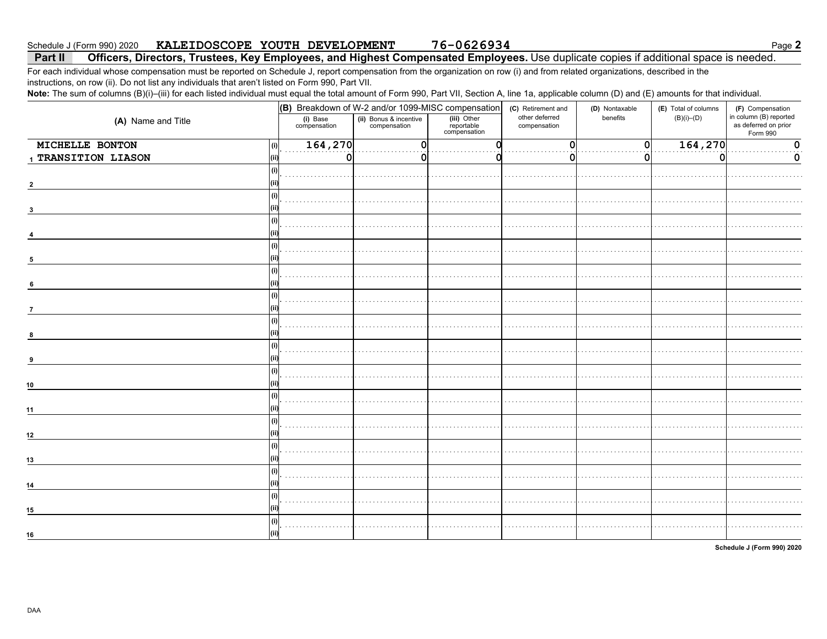76-0626934 KALEIDOSCOPE YOUTH DEVELOPMENT Schedule J (Form 990) 2020

#### Officers, Directors, Trustees, Key Employees, and Highest Compensated Employees. Use duplicate copies if additional space is needed. Part II

For each individual whose compensation must be reported on Schedule J, report compensation from the organization on row (i) and from related organizations, described in the instructions, on row (ii). Do not list any individuals that aren't listed on Form 990, Part VII.

Note: The sum of columns (B)(i)-(iii) for each listed individual must equal the total amount of Form 990, Part VII, Section A, line 1a, applicable column (D) and (E) amounts for that individual.

|                        | (B) Breakdown of W-2 and/or 1099-MISC compensation |                                        |                                           | (C) Retirement and             | (D) Nontaxable | (E) Total of columns | (F) Compensation                                           |
|------------------------|----------------------------------------------------|----------------------------------------|-------------------------------------------|--------------------------------|----------------|----------------------|------------------------------------------------------------|
| (A) Name and Title     | (i) Base<br>compensation                           | (ii) Bonus & incentive<br>compensation | (iii) Other<br>reportable<br>compensation | other deferred<br>compensation | benefits       | $(B)(i)$ – $(D)$     | in column (B) reported<br>as deferred on prior<br>Form 990 |
| MICHELLE BONTON<br>(i) | 164, 270                                           | O                                      |                                           | 0                              | 0              | 164,270              | 0                                                          |
| 1 TRANSITION LIASON    | 0                                                  | 0                                      |                                           |                                | O              | n                    | 0                                                          |
| (i)                    |                                                    |                                        |                                           |                                |                |                      |                                                            |
|                        |                                                    |                                        |                                           |                                |                |                      |                                                            |
| (i)                    |                                                    |                                        |                                           |                                |                |                      |                                                            |
|                        |                                                    |                                        |                                           |                                |                |                      |                                                            |
| (i)                    |                                                    |                                        |                                           |                                |                |                      |                                                            |
|                        |                                                    |                                        |                                           |                                |                |                      |                                                            |
| (i)                    |                                                    |                                        |                                           |                                |                |                      |                                                            |
| 5                      |                                                    |                                        |                                           |                                |                |                      |                                                            |
| (i)                    |                                                    |                                        |                                           |                                |                |                      |                                                            |
| 6                      |                                                    |                                        |                                           |                                |                |                      |                                                            |
| (i)                    |                                                    |                                        |                                           |                                |                |                      |                                                            |
| $\overline{7}$         |                                                    |                                        |                                           |                                |                |                      |                                                            |
| (i)                    |                                                    |                                        |                                           |                                |                |                      |                                                            |
| 8                      |                                                    |                                        |                                           |                                |                |                      |                                                            |
| (i)                    |                                                    |                                        |                                           |                                |                |                      |                                                            |
| 9                      |                                                    |                                        |                                           |                                |                |                      |                                                            |
| (i)                    |                                                    |                                        |                                           |                                |                |                      |                                                            |
| 10                     |                                                    |                                        |                                           |                                |                |                      |                                                            |
| (i)                    |                                                    |                                        |                                           |                                |                |                      |                                                            |
| 11                     |                                                    |                                        |                                           |                                |                |                      |                                                            |
| (i)                    |                                                    |                                        |                                           |                                |                |                      |                                                            |
| 12                     |                                                    |                                        |                                           |                                |                |                      |                                                            |
| (i)                    |                                                    |                                        |                                           |                                |                |                      |                                                            |
| 13                     |                                                    |                                        |                                           |                                |                |                      |                                                            |
| (i)                    |                                                    |                                        |                                           |                                |                |                      |                                                            |
| 14                     |                                                    |                                        |                                           |                                |                |                      |                                                            |
| (i)                    |                                                    |                                        |                                           |                                |                |                      |                                                            |
| 15                     |                                                    |                                        |                                           |                                |                |                      |                                                            |
| (i)                    |                                                    |                                        |                                           |                                |                |                      |                                                            |
| 16                     |                                                    |                                        |                                           |                                |                |                      |                                                            |

Schedule J (Form 990) 2020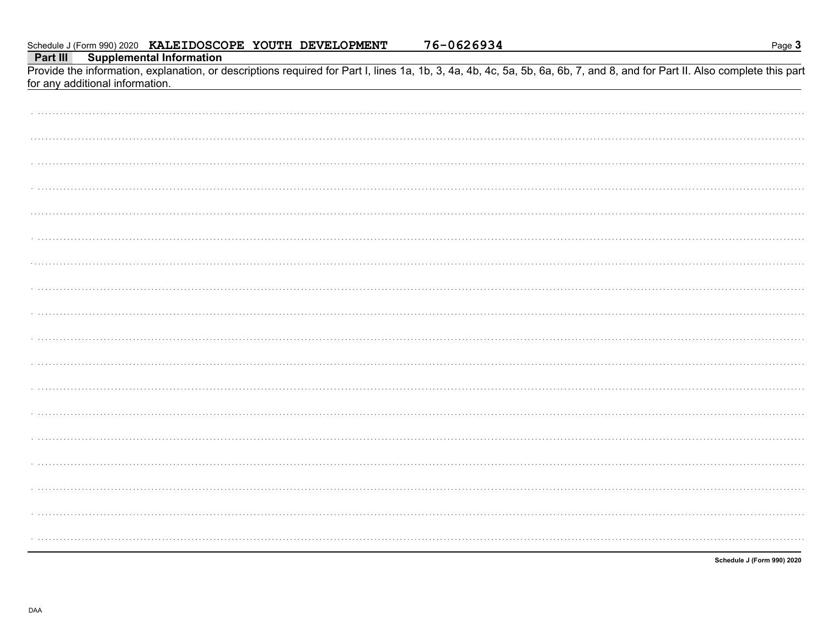|  |  | Schedule J (Form 990) 2020 KALEIDOSCOPE YOUTH DEVELOPMENT |  |  | 76-0626934 |
|--|--|-----------------------------------------------------------|--|--|------------|
|--|--|-----------------------------------------------------------|--|--|------------|

Page 3

Part III **Supplemental Information** 

Provide the information, explanation, or descriptions required for Part I, lines 1a, 1b, 3, 4a, 4b, 4c, 5a, 5b, 6a, 6b, 7, and 8, and for Part II. Also complete this part for any additional information.

Schedule J (Form 990) 2020